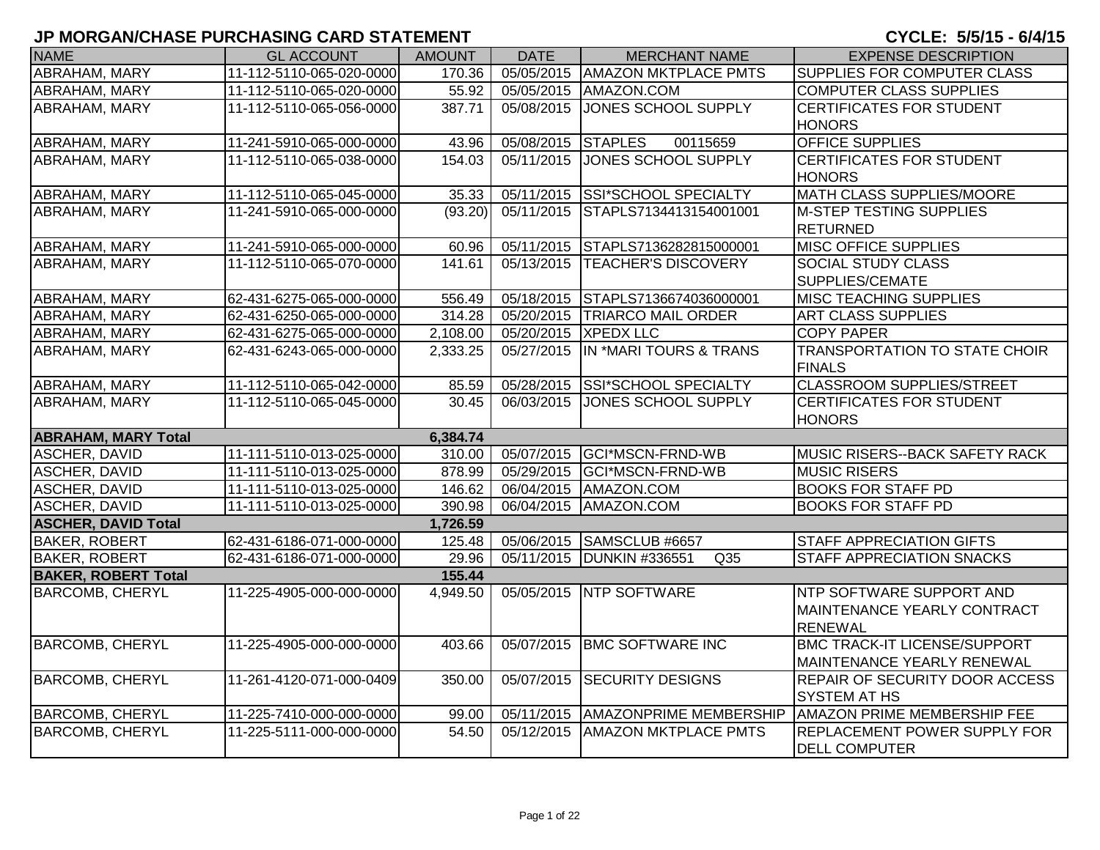| <b>NAME</b>                | <b>GL ACCOUNT</b>        | <b>AMOUNT</b> | <b>DATE</b>        | <b>MERCHANT NAME</b>          | <b>EXPENSE DESCRIPTION</b>                                                       |
|----------------------------|--------------------------|---------------|--------------------|-------------------------------|----------------------------------------------------------------------------------|
| ABRAHAM, MARY              | 11-112-5110-065-020-0000 | 170.36        | 05/05/2015         | <b>AMAZON MKTPLACE PMTS</b>   | SUPPLIES FOR COMPUTER CLASS                                                      |
| ABRAHAM, MARY              | 11-112-5110-065-020-0000 | 55.92         | 05/05/2015         | AMAZON.COM                    | <b>COMPUTER CLASS SUPPLIES</b>                                                   |
| ABRAHAM, MARY              | 11-112-5110-065-056-0000 | 387.71        | 05/08/2015         | JONES SCHOOL SUPPLY           | <b>CERTIFICATES FOR STUDENT</b><br><b>HONORS</b>                                 |
| ABRAHAM, MARY              | 11-241-5910-065-000-0000 | 43.96         | 05/08/2015 STAPLES | 00115659                      | <b>OFFICE SUPPLIES</b>                                                           |
| ABRAHAM, MARY              | 11-112-5110-065-038-0000 | 154.03        | 05/11/2015         | <b>JONES SCHOOL SUPPLY</b>    | <b>CERTIFICATES FOR STUDENT</b><br><b>HONORS</b>                                 |
| <b>ABRAHAM, MARY</b>       | 11-112-5110-065-045-0000 | 35.33         | 05/11/2015         | <b>SSI*SCHOOL SPECIALTY</b>   | <b>MATH CLASS SUPPLIES/MOORE</b>                                                 |
| ABRAHAM, MARY              | 11-241-5910-065-000-0000 | (93.20)       | 05/11/2015         | STAPLS7134413154001001        | <b>M-STEP TESTING SUPPLIES</b><br><b>RETURNED</b>                                |
| ABRAHAM, MARY              | 11-241-5910-065-000-0000 | 60.96         | 05/11/2015         | STAPLS7136282815000001        | <b>MISC OFFICE SUPPLIES</b>                                                      |
| ABRAHAM, MARY              | 11-112-5110-065-070-0000 | 141.61        | 05/13/2015         | <b>TEACHER'S DISCOVERY</b>    | SOCIAL STUDY CLASS<br>SUPPLIES/CEMATE                                            |
| ABRAHAM, MARY              | 62-431-6275-065-000-0000 | 556.49        | 05/18/2015         | STAPLS7136674036000001        | <b>MISC TEACHING SUPPLIES</b>                                                    |
| <b>ABRAHAM, MARY</b>       | 62-431-6250-065-000-0000 | 314.28        | 05/20/2015         | <b>TRIARCO MAIL ORDER</b>     | <b>ART CLASS SUPPLIES</b>                                                        |
| ABRAHAM, MARY              | 62-431-6275-065-000-0000 | 2,108.00      | 05/20/2015         | <b>XPEDX LLC</b>              | <b>COPY PAPER</b>                                                                |
| ABRAHAM, MARY              | 62-431-6243-065-000-0000 | 2,333.25      | 05/27/2015         | IN *MARI TOURS & TRANS        | <b>TRANSPORTATION TO STATE CHOIR</b><br><b>FINALS</b>                            |
| <b>ABRAHAM, MARY</b>       | 11-112-5110-065-042-0000 | 85.59         | 05/28/2015         | SSI*SCHOOL SPECIALTY          | <b>CLASSROOM SUPPLIES/STREET</b>                                                 |
| ABRAHAM, MARY              | 11-112-5110-065-045-0000 | 30.45         | 06/03/2015         | JONES SCHOOL SUPPLY           | CERTIFICATES FOR STUDENT<br><b>HONORS</b>                                        |
| <b>ABRAHAM, MARY Total</b> |                          | 6,384.74      |                    |                               |                                                                                  |
| ASCHER, DAVID              | 11-111-5110-013-025-0000 | 310.00        | 05/07/2015         | GCI*MSCN-FRND-WB              | MUSIC RISERS--BACK SAFETY RACK                                                   |
| ASCHER, DAVID              | 11-111-5110-013-025-0000 | 878.99        | 05/29/2015         | GCI*MSCN-FRND-WB              | <b>MUSIC RISERS</b>                                                              |
| <b>ASCHER, DAVID</b>       | 11-111-5110-013-025-0000 | 146.62        | 06/04/2015         | AMAZON.COM                    | <b>BOOKS FOR STAFF PD</b>                                                        |
| <b>ASCHER, DAVID</b>       | 11-111-5110-013-025-0000 | 390.98        | 06/04/2015         | AMAZON.COM                    | <b>BOOKS FOR STAFF PD</b>                                                        |
| <b>ASCHER, DAVID Total</b> |                          | 1,726.59      |                    |                               |                                                                                  |
| <b>BAKER, ROBERT</b>       | 62-431-6186-071-000-0000 | 125.48        | 05/06/2015         | SAMSCLUB #6657                | STAFF APPRECIATION GIFTS                                                         |
| <b>BAKER, ROBERT</b>       | 62-431-6186-071-000-0000 | 29.96         | 05/11/2015         | <b>DUNKIN #336551</b><br>Q35  | STAFF APPRECIATION SNACKS                                                        |
| <b>BAKER, ROBERT Total</b> |                          | 155.44        |                    |                               |                                                                                  |
| <b>BARCOMB, CHERYL</b>     | 11-225-4905-000-000-0000 | 4,949.50      | 05/05/2015         | <b>INTP SOFTWARE</b>          | <b>NTP SOFTWARE SUPPORT AND</b><br>MAINTENANCE YEARLY CONTRACT<br><b>RENEWAL</b> |
| <b>BARCOMB, CHERYL</b>     | 11-225-4905-000-000-0000 | 403.66        | 05/07/2015         | <b>BMC SOFTWARE INC</b>       | <b>BMC TRACK-IT LICENSE/SUPPORT</b><br>MAINTENANCE YEARLY RENEWAL                |
| <b>BARCOMB, CHERYL</b>     | 11-261-4120-071-000-0409 | 350.00        |                    | 05/07/2015 SECURITY DESIGNS   | <b>REPAIR OF SECURITY DOOR ACCESS</b><br><b>SYSTEM AT HS</b>                     |
| <b>BARCOMB, CHERYL</b>     | 11-225-7410-000-000-0000 | 99.00         | 05/11/2015         | <b>AMAZONPRIME MEMBERSHIP</b> | <b>AMAZON PRIME MEMBERSHIP FEE</b>                                               |
| <b>BARCOMB, CHERYL</b>     | 11-225-5111-000-000-0000 | 54.50         | 05/12/2015         | <b>AMAZON MKTPLACE PMTS</b>   | <b>REPLACEMENT POWER SUPPLY FOR</b><br><b>DELL COMPUTER</b>                      |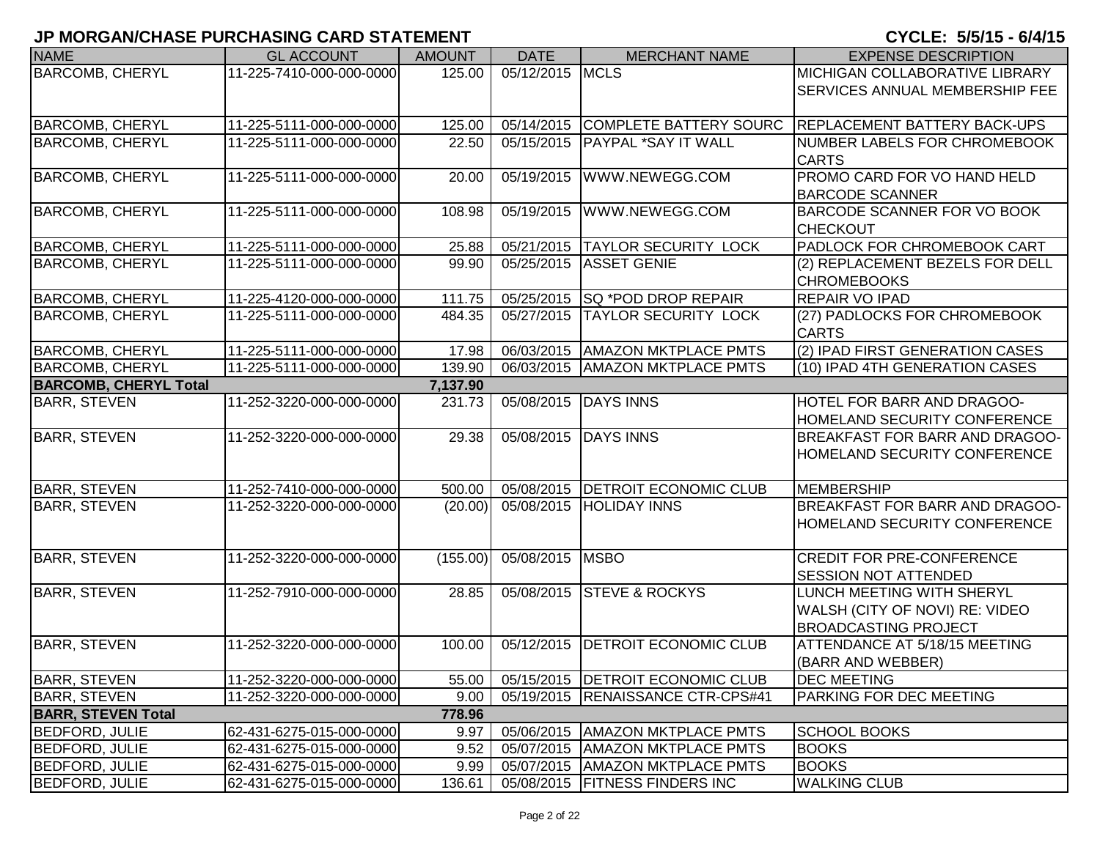| <b>NAME</b>                  | <b>GL ACCOUNT</b>        | <b>AMOUNT</b> | <b>DATE</b>     | <b>MERCHANT NAME</b>               | <b>EXPENSE DESCRIPTION</b>                                                                 |
|------------------------------|--------------------------|---------------|-----------------|------------------------------------|--------------------------------------------------------------------------------------------|
| <b>BARCOMB, CHERYL</b>       | 11-225-7410-000-000-0000 | 125.00        | 05/12/2015 MCLS |                                    | <b>MICHIGAN COLLABORATIVE LIBRARY</b>                                                      |
|                              |                          |               |                 |                                    | <b>SERVICES ANNUAL MEMBERSHIP FEE</b>                                                      |
| <b>BARCOMB, CHERYL</b>       | 11-225-5111-000-000-0000 | 125.00        | 05/14/2015      |                                    | COMPLETE BATTERY SOURC REPLACEMENT BATTERY BACK-UPS                                        |
| <b>BARCOMB, CHERYL</b>       | 11-225-5111-000-000-0000 | 22.50         | 05/15/2015      | <b>PAYPAL *SAY IT WALL</b>         | NUMBER LABELS FOR CHROMEBOOK                                                               |
|                              |                          |               |                 |                                    | <b>CARTS</b>                                                                               |
| <b>BARCOMB, CHERYL</b>       | 11-225-5111-000-000-0000 | 20.00         | 05/19/2015      | WWW.NEWEGG.COM                     | <b>PROMO CARD FOR VO HAND HELD</b><br><b>BARCODE SCANNER</b>                               |
| <b>BARCOMB, CHERYL</b>       | 11-225-5111-000-000-0000 | 108.98        | 05/19/2015      | WWW.NEWEGG.COM                     | <b>BARCODE SCANNER FOR VO BOOK</b><br><b>CHECKOUT</b>                                      |
| <b>BARCOMB, CHERYL</b>       | 11-225-5111-000-000-0000 | 25.88         | 05/21/2015      | <b>TAYLOR SECURITY LOCK</b>        | PADLOCK FOR CHROMEBOOK CART                                                                |
| <b>BARCOMB, CHERYL</b>       | 11-225-5111-000-000-0000 | 99.90         | 05/25/2015      | <b>ASSET GENIE</b>                 | (2) REPLACEMENT BEZELS FOR DELL<br><b>CHROMEBOOKS</b>                                      |
| <b>BARCOMB, CHERYL</b>       | 11-225-4120-000-000-0000 | 111.75        | 05/25/2015      | <b>SQ *POD DROP REPAIR</b>         | <b>REPAIR VO IPAD</b>                                                                      |
| <b>BARCOMB, CHERYL</b>       | 11-225-5111-000-000-0000 | 484.35        | 05/27/2015      | <b>TAYLOR SECURITY LOCK</b>        | (27) PADLOCKS FOR CHROMEBOOK<br><b>CARTS</b>                                               |
| <b>BARCOMB, CHERYL</b>       | 11-225-5111-000-000-0000 | 17.98         | 06/03/2015      | <b>AMAZON MKTPLACE PMTS</b>        | (2) IPAD FIRST GENERATION CASES                                                            |
| <b>BARCOMB, CHERYL</b>       | 11-225-5111-000-000-0000 | 139.90        | 06/03/2015      | <b>AMAZON MKTPLACE PMTS</b>        | (10) IPAD 4TH GENERATION CASES                                                             |
| <b>BARCOMB, CHERYL Total</b> |                          | 7,137.90      |                 |                                    |                                                                                            |
| <b>BARR, STEVEN</b>          | 11-252-3220-000-000-0000 | 231.73        | 05/08/2015      | <b>DAYS INNS</b>                   | HOTEL FOR BARR AND DRAGOO-<br>HOMELAND SECURITY CONFERENCE                                 |
| <b>BARR, STEVEN</b>          | 11-252-3220-000-000-0000 | 29.38         | 05/08/2015      | <b>DAYS INNS</b>                   | BREAKFAST FOR BARR AND DRAGOO-<br>HOMELAND SECURITY CONFERENCE                             |
| <b>BARR, STEVEN</b>          | 11-252-7410-000-000-0000 | 500.00        | 05/08/2015      | <b>DETROIT ECONOMIC CLUB</b>       | <b>MEMBERSHIP</b>                                                                          |
| <b>BARR, STEVEN</b>          | 11-252-3220-000-000-0000 | (20.00)       | 05/08/2015      | <b>HOLIDAY INNS</b>                | BREAKFAST FOR BARR AND DRAGOO-                                                             |
|                              |                          |               |                 |                                    | <b>HOMELAND SECURITY CONFERENCE</b>                                                        |
| <b>BARR, STEVEN</b>          | 11-252-3220-000-000-0000 | (155.00)      | 05/08/2015 MSBO |                                    | <b>CREDIT FOR PRE-CONFERENCE</b>                                                           |
|                              |                          |               |                 |                                    | <b>SESSION NOT ATTENDED</b>                                                                |
| <b>BARR, STEVEN</b>          | 11-252-7910-000-000-0000 | 28.85         | 05/08/2015      | <b>STEVE &amp; ROCKYS</b>          | LUNCH MEETING WITH SHERYL<br>WALSH (CITY OF NOVI) RE: VIDEO<br><b>BROADCASTING PROJECT</b> |
| <b>BARR, STEVEN</b>          | 11-252-3220-000-000-0000 | 100.00        | 05/12/2015      | <b>DETROIT ECONOMIC CLUB</b>       | ATTENDANCE AT 5/18/15 MEETING<br>(BARR AND WEBBER)                                         |
| <b>BARR, STEVEN</b>          | 11-252-3220-000-000-0000 | 55.00         |                 | 05/15/2015   DETROIT ECONOMIC CLUB | <b>DEC MEETING</b>                                                                         |
| <b>BARR, STEVEN</b>          | 11-252-3220-000-000-0000 | 9.00          |                 | 05/19/2015  RENAISSANCE CTR-CPS#41 | <b>PARKING FOR DEC MEETING</b>                                                             |
| <b>BARR, STEVEN Total</b>    |                          | 778.96        |                 |                                    |                                                                                            |
| <b>BEDFORD, JULIE</b>        | 62-431-6275-015-000-0000 | 9.97          |                 | 05/06/2015   AMAZON MKTPLACE PMTS  | <b>SCHOOL BOOKS</b>                                                                        |
| <b>BEDFORD, JULIE</b>        | 62-431-6275-015-000-0000 | 9.52          |                 | 05/07/2015   AMAZON MKTPLACE PMTS  | <b>BOOKS</b>                                                                               |
| <b>BEDFORD, JULIE</b>        | 62-431-6275-015-000-0000 | 9.99          |                 | 05/07/2015   AMAZON MKTPLACE PMTS  | <b>BOOKS</b>                                                                               |
| <b>BEDFORD, JULIE</b>        | 62-431-6275-015-000-0000 | 136.61        |                 | 05/08/2015   FITNESS FINDERS INC   | <b>WALKING CLUB</b>                                                                        |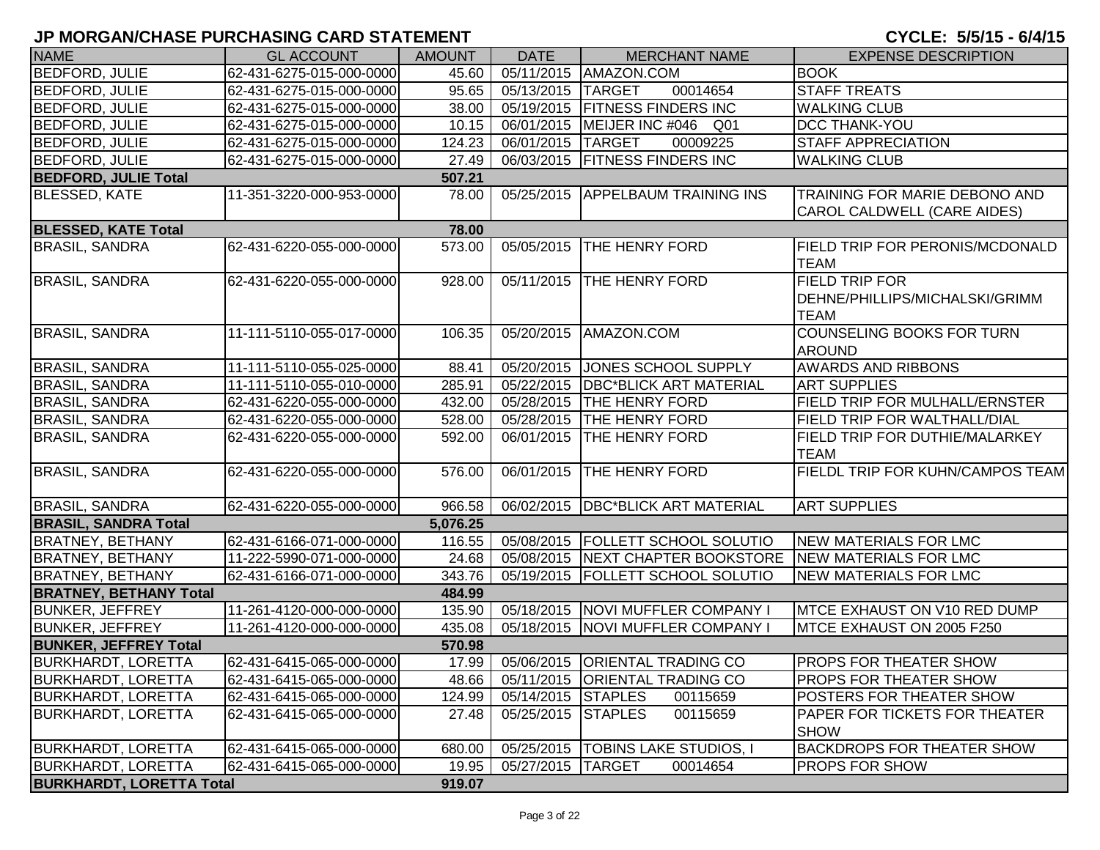| <b>NAME</b>                     | <b>GL ACCOUNT</b>        | <b>AMOUNT</b> | <b>DATE</b>        | <b>MERCHANT NAME</b>                                    | <b>EXPENSE DESCRIPTION</b>                                          |
|---------------------------------|--------------------------|---------------|--------------------|---------------------------------------------------------|---------------------------------------------------------------------|
| <b>BEDFORD, JULIE</b>           | 62-431-6275-015-000-0000 | 45.60         |                    | 05/11/2015   AMAZON.COM                                 | <b>BOOK</b>                                                         |
| <b>BEDFORD, JULIE</b>           | 62-431-6275-015-000-0000 | 95.65         | 05/13/2015 TARGET  | 00014654                                                | <b>STAFF TREATS</b>                                                 |
| <b>BEDFORD, JULIE</b>           | 62-431-6275-015-000-0000 | 38.00         |                    | 05/19/2015 FITNESS FINDERS INC                          | <b>WALKING CLUB</b>                                                 |
| <b>BEDFORD, JULIE</b>           | 62-431-6275-015-000-0000 | 10.15         |                    | 06/01/2015 MEIJER INC #046 Q01                          | <b>DCC THANK-YOU</b>                                                |
| <b>BEDFORD, JULIE</b>           | 62-431-6275-015-000-0000 | 124.23        | 06/01/2015 TARGET  | 00009225                                                | <b>STAFF APPRECIATION</b>                                           |
| <b>BEDFORD, JULIE</b>           | 62-431-6275-015-000-0000 | 27.49         |                    | 06/03/2015 FITNESS FINDERS INC                          | <b>WALKING CLUB</b>                                                 |
| <b>BEDFORD, JULIE Total</b>     |                          | 507.21        |                    |                                                         |                                                                     |
| <b>BLESSED, KATE</b>            | 11-351-3220-000-953-0000 | 78.00         |                    | 05/25/2015 APPELBAUM TRAINING INS                       | TRAINING FOR MARIE DEBONO AND<br><b>CAROL CALDWELL (CARE AIDES)</b> |
| <b>BLESSED, KATE Total</b>      |                          | 78.00         |                    |                                                         |                                                                     |
| <b>BRASIL, SANDRA</b>           | 62-431-6220-055-000-0000 | 573.00        | 05/05/2015         | THE HENRY FORD                                          | <b>FIELD TRIP FOR PERONIS/MCDONALD</b>                              |
|                                 |                          |               |                    |                                                         | <b>TEAM</b>                                                         |
| <b>BRASIL, SANDRA</b>           | 62-431-6220-055-000-0000 | 928.00        | 05/11/2015         | <b>THE HENRY FORD</b>                                   | <b>FIELD TRIP FOR</b>                                               |
|                                 |                          |               |                    |                                                         | DEHNE/PHILLIPS/MICHALSKI/GRIMM                                      |
|                                 |                          |               |                    |                                                         | <b>TEAM</b>                                                         |
| <b>BRASIL, SANDRA</b>           | 11-111-5110-055-017-0000 | 106.35        | 05/20/2015         | AMAZON.COM                                              | COUNSELING BOOKS FOR TURN                                           |
|                                 |                          |               |                    |                                                         | <b>AROUND</b>                                                       |
| <b>BRASIL, SANDRA</b>           | 11-111-5110-055-025-0000 | 88.41         | 05/20/2015         | JONES SCHOOL SUPPLY                                     | <b>AWARDS AND RIBBONS</b>                                           |
| <b>BRASIL, SANDRA</b>           | 11-111-5110-055-010-0000 | 285.91        |                    | 05/22/2015 DBC*BLICK ART MATERIAL                       | <b>ART SUPPLIES</b>                                                 |
| <b>BRASIL, SANDRA</b>           | 62-431-6220-055-000-0000 | 432.00        |                    | 05/28/2015 THE HENRY FORD                               | <b>FIELD TRIP FOR MULHALL/ERNSTER</b>                               |
| <b>BRASIL, SANDRA</b>           | 62-431-6220-055-000-0000 | 528.00        |                    | 05/28/2015 THE HENRY FORD                               | FIELD TRIP FOR WALTHALL/DIAL                                        |
| <b>BRASIL, SANDRA</b>           | 62-431-6220-055-000-0000 | 592.00        | 06/01/2015         | <b>THE HENRY FORD</b>                                   | <b>FIELD TRIP FOR DUTHIE/MALARKEY</b>                               |
|                                 |                          |               |                    |                                                         | <b>TEAM</b>                                                         |
| <b>BRASIL, SANDRA</b>           | 62-431-6220-055-000-0000 | 576.00        | 06/01/2015         | THE HENRY FORD                                          | <b>FIELDL TRIP FOR KUHN/CAMPOS TEAM</b>                             |
|                                 |                          |               |                    |                                                         |                                                                     |
| <b>BRASIL, SANDRA</b>           | 62-431-6220-055-000-0000 | 966.58        |                    | 06/02/2015   DBC*BLICK ART MATERIAL                     | <b>ART SUPPLIES</b>                                                 |
| <b>BRASIL, SANDRA Total</b>     |                          | 5,076.25      |                    |                                                         |                                                                     |
| <b>BRATNEY, BETHANY</b>         | 62-431-6166-071-000-0000 | 116.55        |                    | 05/08/2015   FOLLETT SCHOOL SOLUTIO                     | <b>NEW MATERIALS FOR LMC</b>                                        |
| <b>BRATNEY, BETHANY</b>         | 11-222-5990-071-000-0000 | 24.68         |                    | 05/08/2015 NEXT CHAPTER BOOKSTORE NEW MATERIALS FOR LMC |                                                                     |
| <b>BRATNEY, BETHANY</b>         | 62-431-6166-071-000-0000 | 343.76        |                    | 05/19/2015   FOLLETT SCHOOL SOLUTIO                     | NEW MATERIALS FOR LMC                                               |
| <b>BRATNEY, BETHANY Total</b>   |                          | 484.99        |                    |                                                         |                                                                     |
| <b>BUNKER, JEFFREY</b>          | 11-261-4120-000-000-0000 | 135.90        |                    | 05/18/2015 NOVI MUFFLER COMPANY I                       | MTCE EXHAUST ON V10 RED DUMP                                        |
| <b>BUNKER, JEFFREY</b>          | 11-261-4120-000-000-0000 | 435.08        |                    | 05/18/2015 NOVI MUFFLER COMPANY I                       | MTCE EXHAUST ON 2005 F250                                           |
| <b>BUNKER, JEFFREY Total</b>    |                          | 570.98        |                    |                                                         |                                                                     |
| <b>BURKHARDT, LORETTA</b>       | 62-431-6415-065-000-0000 | 17.99         |                    | 05/06/2015 ORIENTAL TRADING CO                          | <b>PROPS FOR THEATER SHOW</b>                                       |
| <b>BURKHARDT, LORETTA</b>       | 62-431-6415-065-000-0000 | 48.66         |                    | 05/11/2015   ORIENTAL TRADING CO                        | <b>PROPS FOR THEATER SHOW</b>                                       |
| <b>BURKHARDT, LORETTA</b>       | 62-431-6415-065-000-0000 | 124.99        | 05/14/2015 STAPLES | 00115659                                                | <b>POSTERS FOR THEATER SHOW</b>                                     |
| <b>BURKHARDT, LORETTA</b>       | 62-431-6415-065-000-0000 | 27.48         | 05/25/2015 STAPLES | 00115659                                                | <b>PAPER FOR TICKETS FOR THEATER</b>                                |
|                                 |                          |               |                    |                                                         | <b>SHOW</b>                                                         |
| <b>BURKHARDT, LORETTA</b>       | 62-431-6415-065-000-0000 | 680.00        |                    | 05/25/2015   TOBINS LAKE STUDIOS, I                     | <b>BACKDROPS FOR THEATER SHOW</b>                                   |
| <b>BURKHARDT, LORETTA</b>       | 62-431-6415-065-000-0000 | 19.95         | 05/27/2015 TARGET  | 00014654                                                | <b>PROPS FOR SHOW</b>                                               |
| <b>BURKHARDT, LORETTA Total</b> |                          | 919.07        |                    |                                                         |                                                                     |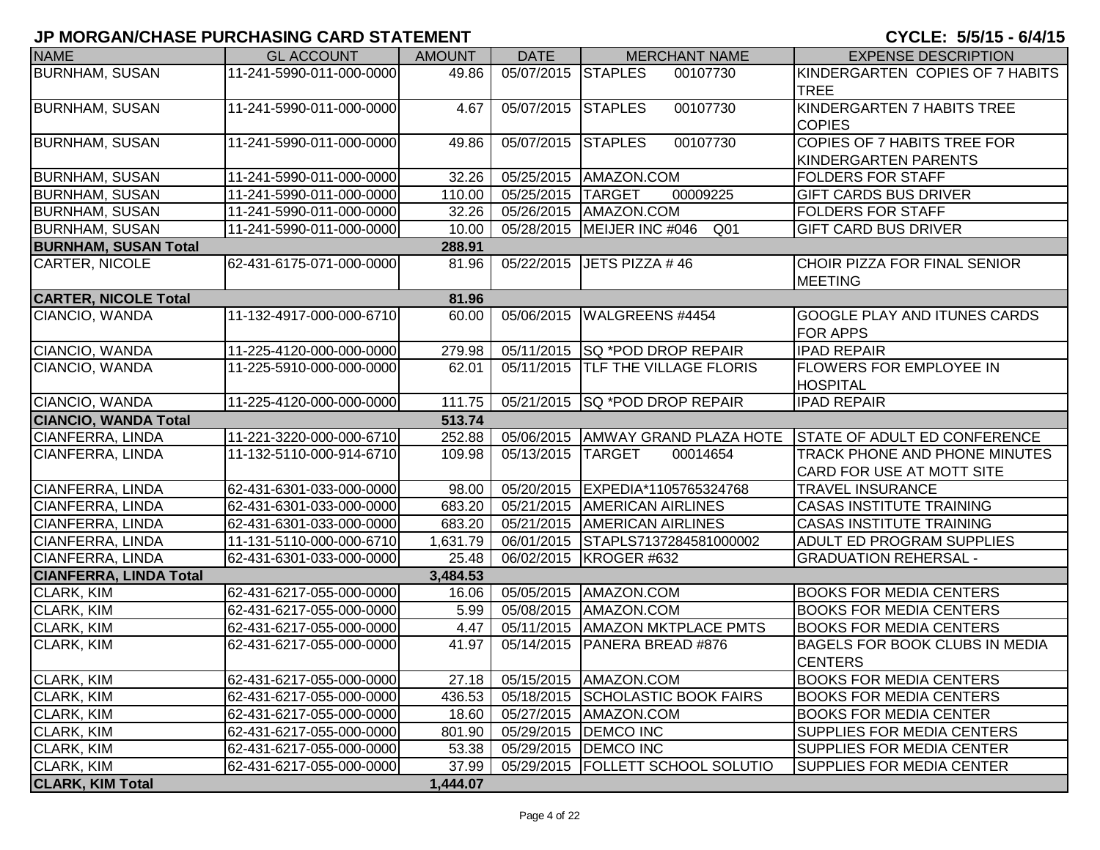| <b>NAME</b>                   | <b>GL ACCOUNT</b>        | <b>AMOUNT</b> | <b>DATE</b>        | <b>MERCHANT NAME</b>                            | <b>EXPENSE DESCRIPTION</b>            |
|-------------------------------|--------------------------|---------------|--------------------|-------------------------------------------------|---------------------------------------|
| <b>BURNHAM, SUSAN</b>         | 11-241-5990-011-000-0000 | 49.86         | 05/07/2015 STAPLES | 00107730                                        | KINDERGARTEN COPIES OF 7 HABITS       |
|                               |                          |               |                    |                                                 | <b>TREE</b>                           |
| <b>BURNHAM, SUSAN</b>         | 11-241-5990-011-000-0000 | 4.67          | 05/07/2015         | 00107730<br><b>STAPLES</b>                      | KINDERGARTEN 7 HABITS TREE            |
|                               |                          |               |                    |                                                 | <b>COPIES</b>                         |
| <b>BURNHAM, SUSAN</b>         | 11-241-5990-011-000-0000 | 49.86         | 05/07/2015         | <b>STAPLES</b><br>00107730                      | <b>COPIES OF 7 HABITS TREE FOR</b>    |
|                               |                          |               |                    |                                                 | KINDERGARTEN PARENTS                  |
| <b>BURNHAM, SUSAN</b>         | 11-241-5990-011-000-0000 | 32.26         |                    | 05/25/2015   AMAZON.COM                         | <b>FOLDERS FOR STAFF</b>              |
| <b>BURNHAM, SUSAN</b>         | 11-241-5990-011-000-0000 | 110.00        | 05/25/2015         | 00009225<br><b>TARGET</b>                       | <b>GIFT CARDS BUS DRIVER</b>          |
| <b>BURNHAM, SUSAN</b>         | 11-241-5990-011-000-0000 | 32.26         |                    | 05/26/2015   AMAZON.COM                         | <b>FOLDERS FOR STAFF</b>              |
| <b>BURNHAM, SUSAN</b>         | 11-241-5990-011-000-0000 | 10.00         |                    | Q <sub>01</sub><br>05/28/2015   MEIJER INC #046 | <b>GIFT CARD BUS DRIVER</b>           |
| <b>BURNHAM, SUSAN Total</b>   |                          | 288.91        |                    |                                                 |                                       |
| <b>CARTER, NICOLE</b>         | 62-431-6175-071-000-0000 | 81.96         |                    | 05/22/2015   JETS PIZZA #46                     | CHOIR PIZZA FOR FINAL SENIOR          |
|                               |                          |               |                    |                                                 | <b>MEETING</b>                        |
| <b>CARTER, NICOLE Total</b>   |                          | 81.96         |                    |                                                 |                                       |
| CIANCIO, WANDA                | 11-132-4917-000-000-6710 | 60.00         | 05/06/2015         | WALGREENS #4454                                 | GOOGLE PLAY AND ITUNES CARDS          |
|                               |                          |               |                    |                                                 | <b>FOR APPS</b>                       |
| CIANCIO, WANDA                | 11-225-4120-000-000-0000 | 279.98        | 05/11/2015         | <b>SQ *POD DROP REPAIR</b>                      | <b>IPAD REPAIR</b>                    |
| CIANCIO, WANDA                | 11-225-5910-000-000-0000 | 62.01         | 05/11/2015         | <b>TLF THE VILLAGE FLORIS</b>                   | <b>FLOWERS FOR EMPLOYEE IN</b>        |
|                               |                          |               |                    |                                                 | <b>HOSPITAL</b>                       |
| CIANCIO, WANDA                | 11-225-4120-000-000-0000 | 111.75        |                    | 05/21/2015   SQ * POD DROP REPAIR               | <b>IPAD REPAIR</b>                    |
| <b>CIANCIO, WANDA Total</b>   |                          | 513.74        |                    |                                                 |                                       |
| CIANFERRA, LINDA              | 11-221-3220-000-000-6710 | 252.88        |                    | 05/06/2015 AMWAY GRAND PLAZA HOTE               | <b>STATE OF ADULT ED CONFERENCE</b>   |
| CIANFERRA, LINDA              | 11-132-5110-000-914-6710 | 109.98        | 05/13/2015         | <b>TARGET</b><br>00014654                       | TRACK PHONE AND PHONE MINUTES         |
|                               |                          |               |                    |                                                 | CARD FOR USE AT MOTT SITE             |
| <b>CIANFERRA, LINDA</b>       | 62-431-6301-033-000-0000 | 98.00         |                    | 05/20/2015 EXPEDIA*1105765324768                | <b>TRAVEL INSURANCE</b>               |
| <b>CIANFERRA, LINDA</b>       | 62-431-6301-033-000-0000 | 683.20        |                    | 05/21/2015 AMERICAN AIRLINES                    | <b>CASAS INSTITUTE TRAINING</b>       |
| CIANFERRA, LINDA              | 62-431-6301-033-000-0000 | 683.20        | 05/21/2015         | <b>AMERICAN AIRLINES</b>                        | <b>CASAS INSTITUTE TRAINING</b>       |
| CIANFERRA, LINDA              | 11-131-5110-000-000-6710 | 1,631.79      |                    | 06/01/2015 STAPLS7137284581000002               | ADULT ED PROGRAM SUPPLIES             |
| CIANFERRA, LINDA              | 62-431-6301-033-000-0000 | 25.48         |                    | 06/02/2015 KROGER #632                          | <b>GRADUATION REHERSAL -</b>          |
| <b>CIANFERRA, LINDA Total</b> |                          | 3,484.53      |                    |                                                 |                                       |
| CLARK, KIM                    | 62-431-6217-055-000-0000 | 16.06         |                    | 05/05/2015   AMAZON.COM                         | <b>BOOKS FOR MEDIA CENTERS</b>        |
| CLARK, KIM                    | 62-431-6217-055-000-0000 | 5.99          |                    | 05/08/2015   AMAZON.COM                         | <b>BOOKS FOR MEDIA CENTERS</b>        |
| CLARK, KIM                    | 62-431-6217-055-000-0000 | 4.47          | 05/11/2015         | <b>AMAZON MKTPLACE PMTS</b>                     | <b>BOOKS FOR MEDIA CENTERS</b>        |
| CLARK, KIM                    | 62-431-6217-055-000-0000 | 41.97         | 05/14/2015         | PANERA BREAD #876                               | <b>BAGELS FOR BOOK CLUBS IN MEDIA</b> |
|                               |                          |               |                    |                                                 | <b>CENTERS</b>                        |
| <b>CLARK, KIM</b>             | 62-431-6217-055-000-0000 | 27.18         |                    | 05/15/2015   AMAZON.COM                         | <b>BOOKS FOR MEDIA CENTERS</b>        |
| CLARK, KIM                    | 62-431-6217-055-000-0000 | 436.53        |                    | 05/18/2015 SCHOLASTIC BOOK FAIRS                | <b>BOOKS FOR MEDIA CENTERS</b>        |
| <b>CLARK, KIM</b>             | 62-431-6217-055-000-0000 | 18.60         |                    | 05/27/2015   AMAZON.COM                         | <b>BOOKS FOR MEDIA CENTER</b>         |
| CLARK, KIM                    | 62-431-6217-055-000-0000 | 801.90        |                    | 05/29/2015   DEMCO INC                          | SUPPLIES FOR MEDIA CENTERS            |
| CLARK, KIM                    | 62-431-6217-055-000-0000 | 53.38         |                    | 05/29/2015   DEMCO INC                          | SUPPLIES FOR MEDIA CENTER             |
| CLARK, KIM                    | 62-431-6217-055-000-0000 | 37.99         |                    | 05/29/2015   FOLLETT SCHOOL SOLUTIO             | <b>SUPPLIES FOR MEDIA CENTER</b>      |
| <b>CLARK, KIM Total</b>       |                          | 1,444.07      |                    |                                                 |                                       |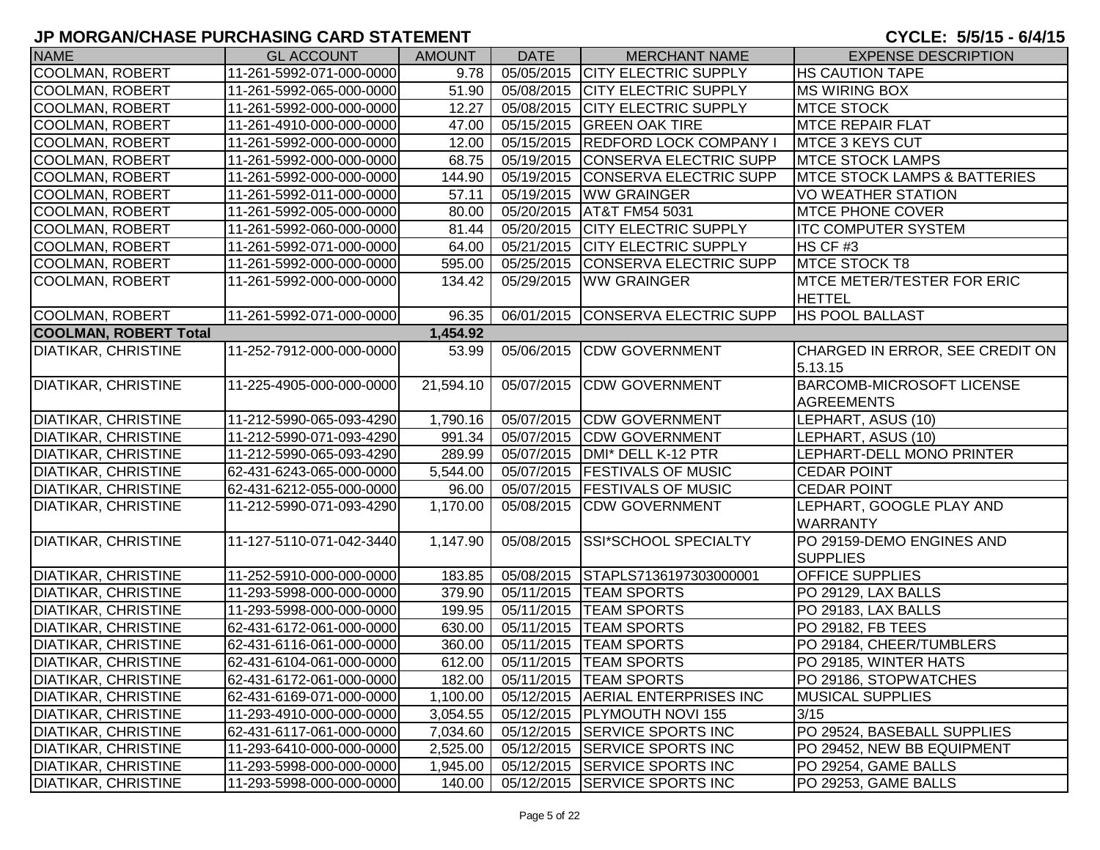| <b>NAME</b>                  | <b>GL ACCOUNT</b>        | <b>AMOUNT</b> | <b>DATE</b> | <b>MERCHANT NAME</b>              | <b>EXPENSE DESCRIPTION</b>               |
|------------------------------|--------------------------|---------------|-------------|-----------------------------------|------------------------------------------|
| COOLMAN, ROBERT              | 11-261-5992-071-000-0000 | 9.78          |             | 05/05/2015 CITY ELECTRIC SUPPLY   | <b>HS CAUTION TAPE</b>                   |
| COOLMAN, ROBERT              | 11-261-5992-065-000-0000 | 51.90         | 05/08/2015  | <b>CITY ELECTRIC SUPPLY</b>       | <b>MS WIRING BOX</b>                     |
| COOLMAN, ROBERT              | 11-261-5992-000-000-0000 | 12.27         | 05/08/2015  | <b>CITY ELECTRIC SUPPLY</b>       | <b>MTCE STOCK</b>                        |
| COOLMAN, ROBERT              | 11-261-4910-000-000-0000 | 47.00         |             | 05/15/2015 GREEN OAK TIRE         | <b>MTCE REPAIR FLAT</b>                  |
| COOLMAN, ROBERT              | 11-261-5992-000-000-0000 | 12.00         | 05/15/2015  | <b>REDFORD LOCK COMPANY I</b>     | MTCE 3 KEYS CUT                          |
| COOLMAN, ROBERT              | 11-261-5992-000-000-0000 | 68.75         | 05/19/2015  | CONSERVA ELECTRIC SUPP            | <b>MTCE STOCK LAMPS</b>                  |
| COOLMAN, ROBERT              | 11-261-5992-000-000-0000 | 144.90        | 05/19/2015  | CONSERVA ELECTRIC SUPP            | <b>IMTCE STOCK LAMPS &amp; BATTERIES</b> |
| COOLMAN, ROBERT              | 11-261-5992-011-000-0000 | 57.11         | 05/19/2015  | <b>WW GRAINGER</b>                | VO WEATHER STATION                       |
| COOLMAN, ROBERT              | 11-261-5992-005-000-0000 | 80.00         | 05/20/2015  | <b>AT&amp;T FM54 5031</b>         | <b>MTCE PHONE COVER</b>                  |
| COOLMAN, ROBERT              | 11-261-5992-060-000-0000 | 81.44         | 05/20/2015  | <b>CITY ELECTRIC SUPPLY</b>       | <b>ITC COMPUTER SYSTEM</b>               |
| <b>COOLMAN, ROBERT</b>       | 11-261-5992-071-000-0000 | 64.00         | 05/21/2015  | <b>CITY ELECTRIC SUPPLY</b>       | HS CF #3                                 |
| COOLMAN, ROBERT              | 11-261-5992-000-000-0000 | 595.00        | 05/25/2015  | CONSERVA ELECTRIC SUPP            | <b>MTCE STOCK T8</b>                     |
| COOLMAN, ROBERT              | 11-261-5992-000-000-0000 | 134.42        | 05/29/2015  | <b>WW GRAINGER</b>                | <b>IMTCE METER/TESTER FOR ERIC</b>       |
|                              |                          |               |             |                                   | <b>HETTEL</b>                            |
| COOLMAN, ROBERT              | 11-261-5992-071-000-0000 | 96.35         | 06/01/2015  | <b>CONSERVA ELECTRIC SUPP</b>     | <b>HS POOL BALLAST</b>                   |
| <b>COOLMAN, ROBERT Total</b> |                          | 1,454.92      |             |                                   |                                          |
| <b>DIATIKAR, CHRISTINE</b>   | 11-252-7912-000-000-0000 | 53.99         | 05/06/2015  | <b>CDW GOVERNMENT</b>             | CHARGED IN ERROR, SEE CREDIT ON          |
|                              |                          |               |             |                                   | 5.13.15                                  |
| <b>DIATIKAR, CHRISTINE</b>   | 11-225-4905-000-000-0000 | 21,594.10     | 05/07/2015  | <b>CDW GOVERNMENT</b>             | <b>BARCOMB-MICROSOFT LICENSE</b>         |
|                              |                          |               |             |                                   | <b>AGREEMENTS</b>                        |
| <b>DIATIKAR, CHRISTINE</b>   | 11-212-5990-065-093-4290 | 1,790.16      |             | 05/07/2015 CDW GOVERNMENT         | LEPHART, ASUS (10)                       |
| <b>DIATIKAR, CHRISTINE</b>   | 11-212-5990-071-093-4290 | 991.34        | 05/07/2015  | <b>CDW GOVERNMENT</b>             | LEPHART, ASUS (10)                       |
| <b>DIATIKAR, CHRISTINE</b>   | 11-212-5990-065-093-4290 | 289.99        | 05/07/2015  | DMI* DELL K-12 PTR                | LEPHART-DELL MONO PRINTER                |
| <b>DIATIKAR, CHRISTINE</b>   | 62-431-6243-065-000-0000 | 5,544.00      |             | 05/07/2015   FESTIVALS OF MUSIC   | <b>CEDAR POINT</b>                       |
| <b>DIATIKAR, CHRISTINE</b>   | 62-431-6212-055-000-0000 | 96.00         | 05/07/2015  | <b>FESTIVALS OF MUSIC</b>         | <b>CEDAR POINT</b>                       |
| <b>DIATIKAR, CHRISTINE</b>   | 11-212-5990-071-093-4290 | 1,170.00      | 05/08/2015  | <b>CDW GOVERNMENT</b>             | LEPHART, GOOGLE PLAY AND                 |
|                              |                          |               |             |                                   | <b>WARRANTY</b>                          |
| <b>DIATIKAR, CHRISTINE</b>   | 11-127-5110-071-042-3440 | 1,147.90      |             | 05/08/2015 SSI*SCHOOL SPECIALTY   | PO 29159-DEMO ENGINES AND                |
|                              |                          |               |             |                                   | <b>SUPPLIES</b>                          |
| <b>DIATIKAR, CHRISTINE</b>   | 11-252-5910-000-000-0000 | 183.85        |             | 05/08/2015 STAPLS7136197303000001 | <b>OFFICE SUPPLIES</b>                   |
| <b>DIATIKAR, CHRISTINE</b>   | 11-293-5998-000-000-0000 | 379.90        | 05/11/2015  | <b>TEAM SPORTS</b>                | PO 29129, LAX BALLS                      |
| <b>DIATIKAR, CHRISTINE</b>   | 11-293-5998-000-000-0000 | 199.95        | 05/11/2015  | <b>TEAM SPORTS</b>                | PO 29183, LAX BALLS                      |
| <b>DIATIKAR, CHRISTINE</b>   | 62-431-6172-061-000-0000 | 630.00        | 05/11/2015  | <b>TEAM SPORTS</b>                | PO 29182, FB TEES                        |
| <b>DIATIKAR, CHRISTINE</b>   | 62-431-6116-061-000-0000 | 360.00        | 05/11/2015  | <b>TEAM SPORTS</b>                | PO 29184, CHEER/TUMBLERS                 |
| <b>DIATIKAR, CHRISTINE</b>   | 62-431-6104-061-000-0000 | 612.00        |             | 05/11/2015  TEAM SPORTS           | PO 29185, WINTER HATS                    |
| <b>DIATIKAR, CHRISTINE</b>   | 62-431-6172-061-000-0000 | 182.00        |             | 05/11/2015  TEAM SPORTS           | PO 29186, STOPWATCHES                    |
| DIATIKAR, CHRISTINE          | 62-431-6169-071-000-0000 | 1,100.00      | 05/12/2015  | AERIAL ENTERPRISES INC            | <b>MUSICAL SUPPLIES</b>                  |
| <b>DIATIKAR, CHRISTINE</b>   | 11-293-4910-000-000-0000 | 3,054.55      | 05/12/2015  | <b>PLYMOUTH NOVI 155</b>          | 3/15                                     |
| <b>DIATIKAR, CHRISTINE</b>   | 62-431-6117-061-000-0000 | 7,034.60      | 05/12/2015  | <b>SERVICE SPORTS INC</b>         | PO 29524, BASEBALL SUPPLIES              |
| <b>DIATIKAR, CHRISTINE</b>   | 11-293-6410-000-000-0000 | 2,525.00      | 05/12/2015  | <b>SERVICE SPORTS INC</b>         | PO 29452, NEW BB EQUIPMENT               |
| DIATIKAR, CHRISTINE          | 11-293-5998-000-000-0000 | 1,945.00      |             | 05/12/2015 SERVICE SPORTS INC     | PO 29254, GAME BALLS                     |
| <b>DIATIKAR, CHRISTINE</b>   | 11-293-5998-000-000-0000 | 140.00        |             | 05/12/2015 SERVICE SPORTS INC     | PO 29253, GAME BALLS                     |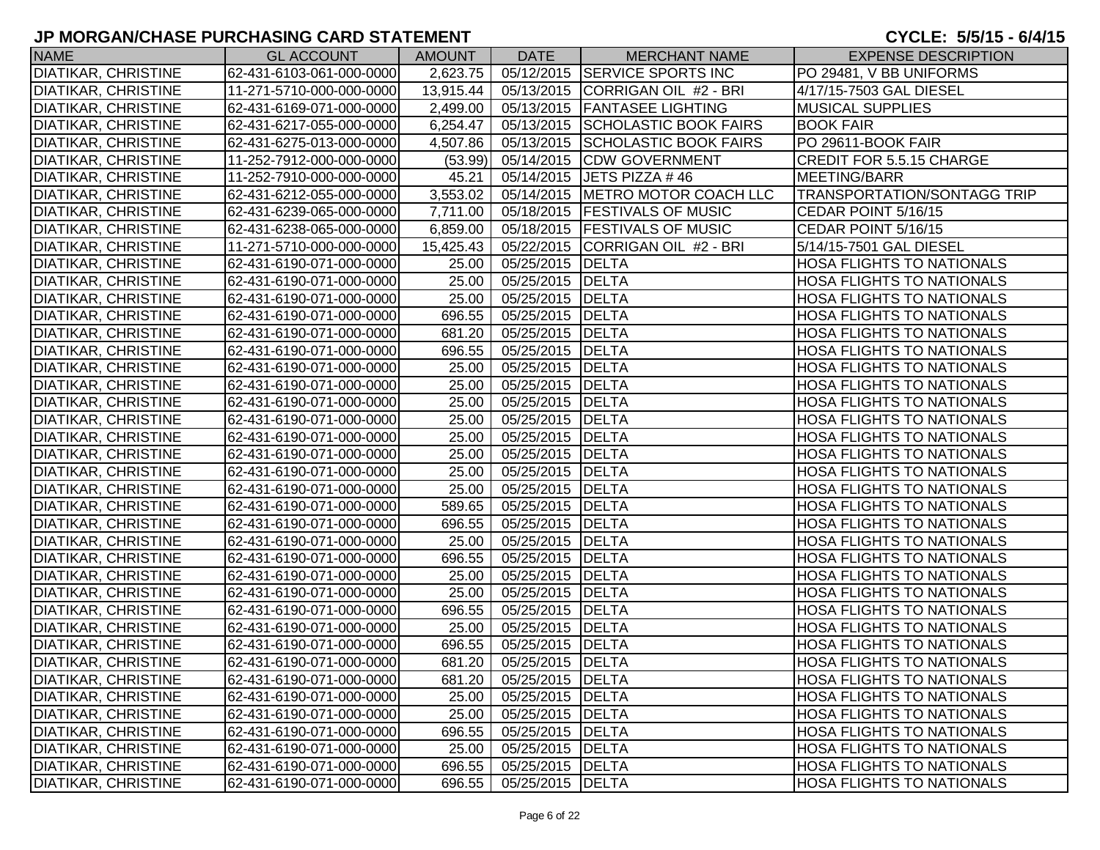| <b>NAME</b>                | <b>GL ACCOUNT</b>        | <b>AMOUNT</b> | <b>DATE</b>        | <b>MERCHANT NAME</b>               | <b>EXPENSE DESCRIPTION</b>         |
|----------------------------|--------------------------|---------------|--------------------|------------------------------------|------------------------------------|
| <b>DIATIKAR, CHRISTINE</b> | 62-431-6103-061-000-0000 | 2,623.75      |                    | 05/12/2015 SERVICE SPORTS INC      | PO 29481, V BB UNIFORMS            |
| <b>DIATIKAR, CHRISTINE</b> | 11-271-5710-000-000-0000 | 13,915.44     |                    | 05/13/2015 CORRIGAN OIL #2 - BRI   | 4/17/15-7503 GAL DIESEL            |
| <b>DIATIKAR, CHRISTINE</b> | 62-431-6169-071-000-0000 | 2,499.00      |                    | 05/13/2015   FANTASEE LIGHTING     | <b>MUSICAL SUPPLIES</b>            |
| <b>DIATIKAR, CHRISTINE</b> | 62-431-6217-055-000-0000 | 6,254.47      |                    | 05/13/2015 SCHOLASTIC BOOK FAIRS   | <b>BOOK FAIR</b>                   |
| <b>DIATIKAR, CHRISTINE</b> | 62-431-6275-013-000-0000 | 4,507.86      |                    | 05/13/2015 SCHOLASTIC BOOK FAIRS   | PO 29611-BOOK FAIR                 |
| <b>DIATIKAR, CHRISTINE</b> | 11-252-7912-000-000-0000 | (53.99)       |                    | 05/14/2015 CDW GOVERNMENT          | <b>CREDIT FOR 5.5.15 CHARGE</b>    |
| DIATIKAR, CHRISTINE        | 11-252-7910-000-000-0000 | 45.21         |                    | 05/14/2015 JETS PIZZA #46          | MEETING/BARR                       |
| <b>DIATIKAR, CHRISTINE</b> | 62-431-6212-055-000-0000 | 3,553.02      |                    | 05/14/2015   METRO MOTOR COACH LLC | <b>TRANSPORTATION/SONTAGG TRIP</b> |
| <b>DIATIKAR, CHRISTINE</b> | 62-431-6239-065-000-0000 | 7,711.00      |                    | 05/18/2015   FESTIVALS OF MUSIC    | CEDAR POINT 5/16/15                |
| <b>DIATIKAR, CHRISTINE</b> | 62-431-6238-065-000-0000 | 6,859.00      |                    | 05/18/2015   FESTIVALS OF MUSIC    | CEDAR POINT 5/16/15                |
| <b>DIATIKAR, CHRISTINE</b> | 11-271-5710-000-000-0000 | 15,425.43     |                    | 05/22/2015 CORRIGAN OIL #2 - BRI   | 5/14/15-7501 GAL DIESEL            |
| <b>DIATIKAR, CHRISTINE</b> | 62-431-6190-071-000-0000 | 25.00         | 05/25/2015 DELTA   |                                    | <b>HOSA FLIGHTS TO NATIONALS</b>   |
| <b>DIATIKAR, CHRISTINE</b> | 62-431-6190-071-000-0000 | 25.00         | 05/25/2015 DELTA   |                                    | <b>HOSA FLIGHTS TO NATIONALS</b>   |
| <b>DIATIKAR, CHRISTINE</b> | 62-431-6190-071-000-0000 | 25.00         | 05/25/2015 DELTA   |                                    | <b>HOSA FLIGHTS TO NATIONALS</b>   |
| <b>DIATIKAR, CHRISTINE</b> | 62-431-6190-071-000-0000 | 696.55        | 05/25/2015 DELTA   |                                    | <b>HOSA FLIGHTS TO NATIONALS</b>   |
| <b>DIATIKAR, CHRISTINE</b> | 62-431-6190-071-000-0000 | 681.20        | 05/25/2015 DELTA   |                                    | <b>HOSA FLIGHTS TO NATIONALS</b>   |
| <b>DIATIKAR, CHRISTINE</b> | 62-431-6190-071-000-0000 | 696.55        | 05/25/2015 DELTA   |                                    | <b>HOSA FLIGHTS TO NATIONALS</b>   |
| <b>DIATIKAR, CHRISTINE</b> | 62-431-6190-071-000-0000 | 25.00         | 05/25/2015 DELTA   |                                    | <b>HOSA FLIGHTS TO NATIONALS</b>   |
| <b>DIATIKAR, CHRISTINE</b> | 62-431-6190-071-000-0000 | 25.00         | 05/25/2015 DELTA   |                                    | <b>HOSA FLIGHTS TO NATIONALS</b>   |
| <b>DIATIKAR, CHRISTINE</b> | 62-431-6190-071-000-0000 | 25.00         | 05/25/2015 DELTA   |                                    | <b>HOSA FLIGHTS TO NATIONALS</b>   |
| <b>DIATIKAR, CHRISTINE</b> | 62-431-6190-071-000-0000 | 25.00         | 05/25/2015 DELTA   |                                    | <b>HOSA FLIGHTS TO NATIONALS</b>   |
| <b>DIATIKAR, CHRISTINE</b> | 62-431-6190-071-000-0000 | 25.00         | 05/25/2015 DELTA   |                                    | <b>HOSA FLIGHTS TO NATIONALS</b>   |
| <b>DIATIKAR, CHRISTINE</b> | 62-431-6190-071-000-0000 | 25.00         | 05/25/2015 DELTA   |                                    | <b>HOSA FLIGHTS TO NATIONALS</b>   |
| <b>DIATIKAR, CHRISTINE</b> | 62-431-6190-071-000-0000 | 25.00         | 05/25/2015 DELTA   |                                    | <b>HOSA FLIGHTS TO NATIONALS</b>   |
| <b>DIATIKAR, CHRISTINE</b> | 62-431-6190-071-000-0000 | 25.00         | 05/25/2015 DELTA   |                                    | <b>HOSA FLIGHTS TO NATIONALS</b>   |
| <b>DIATIKAR, CHRISTINE</b> | 62-431-6190-071-000-0000 | 589.65        | 05/25/2015   DELTA |                                    | <b>HOSA FLIGHTS TO NATIONALS</b>   |
| <b>DIATIKAR, CHRISTINE</b> | 62-431-6190-071-000-0000 | 696.55        | 05/25/2015 DELTA   |                                    | <b>HOSA FLIGHTS TO NATIONALS</b>   |
| <b>DIATIKAR, CHRISTINE</b> | 62-431-6190-071-000-0000 | 25.00         | 05/25/2015 DELTA   |                                    | <b>HOSA FLIGHTS TO NATIONALS</b>   |
| <b>DIATIKAR, CHRISTINE</b> | 62-431-6190-071-000-0000 | 696.55        | 05/25/2015 DELTA   |                                    | <b>HOSA FLIGHTS TO NATIONALS</b>   |
| <b>DIATIKAR, CHRISTINE</b> | 62-431-6190-071-000-0000 | 25.00         | 05/25/2015 DELTA   |                                    | <b>HOSA FLIGHTS TO NATIONALS</b>   |
| <b>DIATIKAR, CHRISTINE</b> | 62-431-6190-071-000-0000 | 25.00         | 05/25/2015 DELTA   |                                    | <b>HOSA FLIGHTS TO NATIONALS</b>   |
| <b>DIATIKAR, CHRISTINE</b> | 62-431-6190-071-000-0000 | 696.55        | 05/25/2015 DELTA   |                                    | <b>HOSA FLIGHTS TO NATIONALS</b>   |
| <b>DIATIKAR, CHRISTINE</b> | 62-431-6190-071-000-0000 | 25.00         | 05/25/2015 DELTA   |                                    | <b>HOSA FLIGHTS TO NATIONALS</b>   |
| <b>DIATIKAR, CHRISTINE</b> | 62-431-6190-071-000-0000 | 696.55        | 05/25/2015 DELTA   |                                    | <b>HOSA FLIGHTS TO NATIONALS</b>   |
| <b>DIATIKAR, CHRISTINE</b> | 62-431-6190-071-000-0000 | 681.20        | 05/25/2015 DELTA   |                                    | <b>HOSA FLIGHTS TO NATIONALS</b>   |
| <b>DIATIKAR, CHRISTINE</b> | 62-431-6190-071-000-0000 | 681.20        | 05/25/2015 DELTA   |                                    | <b>HOSA FLIGHTS TO NATIONALS</b>   |
| <b>DIATIKAR, CHRISTINE</b> | 62-431-6190-071-000-0000 | 25.00         | 05/25/2015 DELTA   |                                    | <b>HOSA FLIGHTS TO NATIONALS</b>   |
| <b>DIATIKAR, CHRISTINE</b> | 62-431-6190-071-000-0000 | 25.00         | 05/25/2015   DELTA |                                    | <b>HOSA FLIGHTS TO NATIONALS</b>   |
| <b>DIATIKAR, CHRISTINE</b> | 62-431-6190-071-000-0000 | 696.55        | 05/25/2015 DELTA   |                                    | <b>HOSA FLIGHTS TO NATIONALS</b>   |
| <b>DIATIKAR, CHRISTINE</b> | 62-431-6190-071-000-0000 | 25.00         | 05/25/2015   DELTA |                                    | <b>HOSA FLIGHTS TO NATIONALS</b>   |
| <b>DIATIKAR, CHRISTINE</b> | 62-431-6190-071-000-0000 | 696.55        | 05/25/2015 DELTA   |                                    | <b>HOSA FLIGHTS TO NATIONALS</b>   |
| <b>DIATIKAR, CHRISTINE</b> | 62-431-6190-071-000-0000 | 696.55        | 05/25/2015 DELTA   |                                    | <b>HOSA FLIGHTS TO NATIONALS</b>   |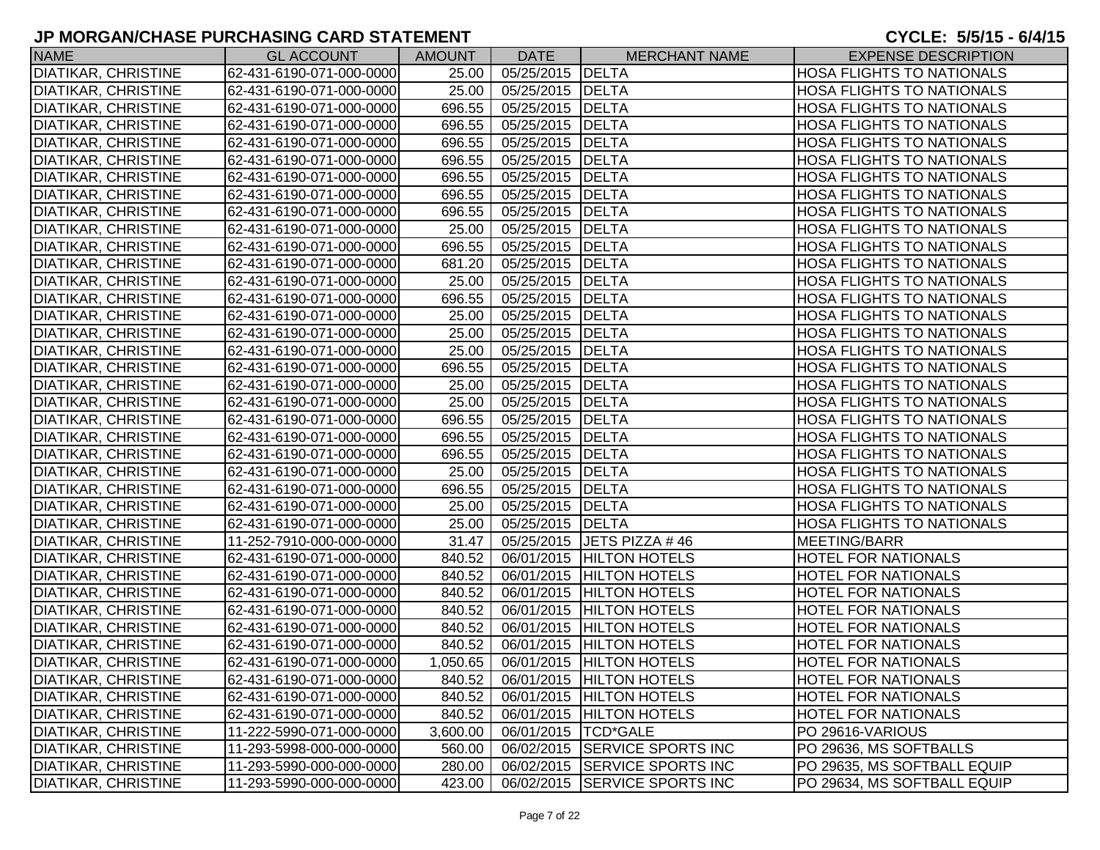| <b>NAME</b>                | <b>GL ACCOUNT</b>        | <b>AMOUNT</b> | <b>DATE</b> | <b>MERCHANT NAME</b>          | <b>EXPENSE DESCRIPTION</b>       |
|----------------------------|--------------------------|---------------|-------------|-------------------------------|----------------------------------|
| <b>DIATIKAR, CHRISTINE</b> | 62-431-6190-071-000-0000 | 25.00         | 05/25/2015  | DELTA                         | <b>HOSA FLIGHTS TO NATIONALS</b> |
| <b>DIATIKAR, CHRISTINE</b> | 62-431-6190-071-000-0000 | 25.00         | 05/25/2015  | DELTA                         | <b>HOSA FLIGHTS TO NATIONALS</b> |
| <b>DIATIKAR, CHRISTINE</b> | 62-431-6190-071-000-0000 | 696.55        | 05/25/2015  | DELTA                         | <b>HOSA FLIGHTS TO NATIONALS</b> |
| <b>DIATIKAR, CHRISTINE</b> | 62-431-6190-071-000-0000 | 696.55        | 05/25/2015  | <b>DELTA</b>                  | <b>HOSA FLIGHTS TO NATIONALS</b> |
| <b>DIATIKAR, CHRISTINE</b> | 62-431-6190-071-000-0000 | 696.55        | 05/25/2015  | DELTA                         | <b>HOSA FLIGHTS TO NATIONALS</b> |
| <b>DIATIKAR, CHRISTINE</b> | 62-431-6190-071-000-0000 | 696.55        | 05/25/2015  | DELTA                         | <b>HOSA FLIGHTS TO NATIONALS</b> |
| <b>DIATIKAR, CHRISTINE</b> | 62-431-6190-071-000-0000 | 696.55        | 05/25/2015  | <b>DELTA</b>                  | <b>HOSA FLIGHTS TO NATIONALS</b> |
| <b>DIATIKAR, CHRISTINE</b> | 62-431-6190-071-000-0000 | 696.55        | 05/25/2015  | <b>DELTA</b>                  | <b>HOSA FLIGHTS TO NATIONALS</b> |
| <b>DIATIKAR, CHRISTINE</b> | 62-431-6190-071-000-0000 | 696.55        | 05/25/2015  | DELTA                         | <b>HOSA FLIGHTS TO NATIONALS</b> |
| <b>DIATIKAR, CHRISTINE</b> | 62-431-6190-071-000-0000 | 25.00         | 05/25/2015  | <b>DELTA</b>                  | <b>HOSA FLIGHTS TO NATIONALS</b> |
| <b>DIATIKAR, CHRISTINE</b> | 62-431-6190-071-000-0000 | 696.55        | 05/25/2015  | <b>DELTA</b>                  | <b>HOSA FLIGHTS TO NATIONALS</b> |
| <b>DIATIKAR, CHRISTINE</b> | 62-431-6190-071-000-0000 | 681.20        | 05/25/2015  | DELTA                         | <b>HOSA FLIGHTS TO NATIONALS</b> |
| <b>DIATIKAR, CHRISTINE</b> | 62-431-6190-071-000-0000 | 25.00         | 05/25/2015  | <b>DELTA</b>                  | <b>HOSA FLIGHTS TO NATIONALS</b> |
| <b>DIATIKAR, CHRISTINE</b> | 62-431-6190-071-000-0000 | 696.55        | 05/25/2015  | <b>DELTA</b>                  | <b>HOSA FLIGHTS TO NATIONALS</b> |
| <b>DIATIKAR, CHRISTINE</b> | 62-431-6190-071-000-0000 | 25.00         | 05/25/2015  | <b>DELTA</b>                  | <b>HOSA FLIGHTS TO NATIONALS</b> |
| <b>DIATIKAR, CHRISTINE</b> | 62-431-6190-071-000-0000 | 25.00         | 05/25/2015  | <b>DELTA</b>                  | <b>HOSA FLIGHTS TO NATIONALS</b> |
| <b>DIATIKAR, CHRISTINE</b> | 62-431-6190-071-000-0000 | 25.00         | 05/25/2015  | <b>DELTA</b>                  | <b>HOSA FLIGHTS TO NATIONALS</b> |
| <b>DIATIKAR, CHRISTINE</b> | 62-431-6190-071-000-0000 | 696.55        | 05/25/2015  | <b>DELTA</b>                  | <b>HOSA FLIGHTS TO NATIONALS</b> |
| <b>DIATIKAR, CHRISTINE</b> | 62-431-6190-071-000-0000 | 25.00         | 05/25/2015  | DELTA                         | <b>HOSA FLIGHTS TO NATIONALS</b> |
| <b>DIATIKAR, CHRISTINE</b> | 62-431-6190-071-000-0000 | 25.00         | 05/25/2015  | <b>DELTA</b>                  | <b>HOSA FLIGHTS TO NATIONALS</b> |
| <b>DIATIKAR, CHRISTINE</b> | 62-431-6190-071-000-0000 | 696.55        | 05/25/2015  | DELTA                         | <b>HOSA FLIGHTS TO NATIONALS</b> |
| <b>DIATIKAR, CHRISTINE</b> | 62-431-6190-071-000-0000 | 696.55        | 05/25/2015  | DELTA                         | <b>HOSA FLIGHTS TO NATIONALS</b> |
| <b>DIATIKAR, CHRISTINE</b> | 62-431-6190-071-000-0000 | 696.55        | 05/25/2015  | <b>DELTA</b>                  | <b>HOSA FLIGHTS TO NATIONALS</b> |
| <b>DIATIKAR, CHRISTINE</b> | 62-431-6190-071-000-0000 | 25.00         | 05/25/2015  | <b>DELTA</b>                  | <b>HOSA FLIGHTS TO NATIONALS</b> |
| <b>DIATIKAR, CHRISTINE</b> | 62-431-6190-071-000-0000 | 696.55        | 05/25/2015  | DELTA                         | <b>HOSA FLIGHTS TO NATIONALS</b> |
| <b>DIATIKAR, CHRISTINE</b> | 62-431-6190-071-000-0000 | 25.00         | 05/25/2015  | <b>DELTA</b>                  | <b>HOSA FLIGHTS TO NATIONALS</b> |
| <b>DIATIKAR, CHRISTINE</b> | 62-431-6190-071-000-0000 | 25.00         | 05/25/2015  | <b>DELTA</b>                  | <b>HOSA FLIGHTS TO NATIONALS</b> |
| <b>DIATIKAR, CHRISTINE</b> | 11-252-7910-000-000-0000 | 31.47         | 05/25/2015  | JETS PIZZA #46                | MEETING/BARR                     |
| <b>DIATIKAR, CHRISTINE</b> | 62-431-6190-071-000-0000 | 840.52        | 06/01/2015  | <b>HILTON HOTELS</b>          | <b>HOTEL FOR NATIONALS</b>       |
| <b>DIATIKAR, CHRISTINE</b> | 62-431-6190-071-000-0000 | 840.52        | 06/01/2015  | <b>HILTON HOTELS</b>          | <b>HOTEL FOR NATIONALS</b>       |
| <b>DIATIKAR, CHRISTINE</b> | 62-431-6190-071-000-0000 | 840.52        | 06/01/2015  | <b>HILTON HOTELS</b>          | <b>HOTEL FOR NATIONALS</b>       |
| <b>DIATIKAR, CHRISTINE</b> | 62-431-6190-071-000-0000 | 840.52        | 06/01/2015  | <b>HILTON HOTELS</b>          | <b>HOTEL FOR NATIONALS</b>       |
| <b>DIATIKAR, CHRISTINE</b> | 62-431-6190-071-000-0000 | 840.52        | 06/01/2015  | <b>HILTON HOTELS</b>          | <b>HOTEL FOR NATIONALS</b>       |
| <b>DIATIKAR, CHRISTINE</b> | 62-431-6190-071-000-0000 | 840.52        |             | 06/01/2015 HILTON HOTELS      | <b>HOTEL FOR NATIONALS</b>       |
| <b>DIATIKAR, CHRISTINE</b> | 62-431-6190-071-000-0000 | 1,050.65      |             | 06/01/2015   HILTON HOTELS    | <b>HOTEL FOR NATIONALS</b>       |
| DIATIKAR, CHRISTINE        | 62-431-6190-071-000-0000 | 840.52        |             | 06/01/2015   HILTON HOTELS    | <b>HOTEL FOR NATIONALS</b>       |
| <b>DIATIKAR, CHRISTINE</b> | 62-431-6190-071-000-0000 | 840.52        | 06/01/2015  | <b>HILTON HOTELS</b>          | <b>HOTEL FOR NATIONALS</b>       |
| <b>DIATIKAR, CHRISTINE</b> | 62-431-6190-071-000-0000 | 840.52        | 06/01/2015  | <b>HILTON HOTELS</b>          | <b>HOTEL FOR NATIONALS</b>       |
| <b>DIATIKAR, CHRISTINE</b> | 11-222-5990-071-000-0000 | 3,600.00      | 06/01/2015  | <b>TCD*GALE</b>               | PO 29616-VARIOUS                 |
| <b>DIATIKAR, CHRISTINE</b> | 11-293-5998-000-000-0000 | 560.00        | 06/02/2015  | <b>SERVICE SPORTS INC</b>     | PO 29636, MS SOFTBALLS           |
| DIATIKAR, CHRISTINE        | 11-293-5990-000-000-0000 | 280.00        |             | 06/02/2015 SERVICE SPORTS INC | PO 29635, MS SOFTBALL EQUIP      |
| DIATIKAR, CHRISTINE        | 11-293-5990-000-000-0000 | 423.00        |             | 06/02/2015 SERVICE SPORTS INC | PO 29634, MS SOFTBALL EQUIP      |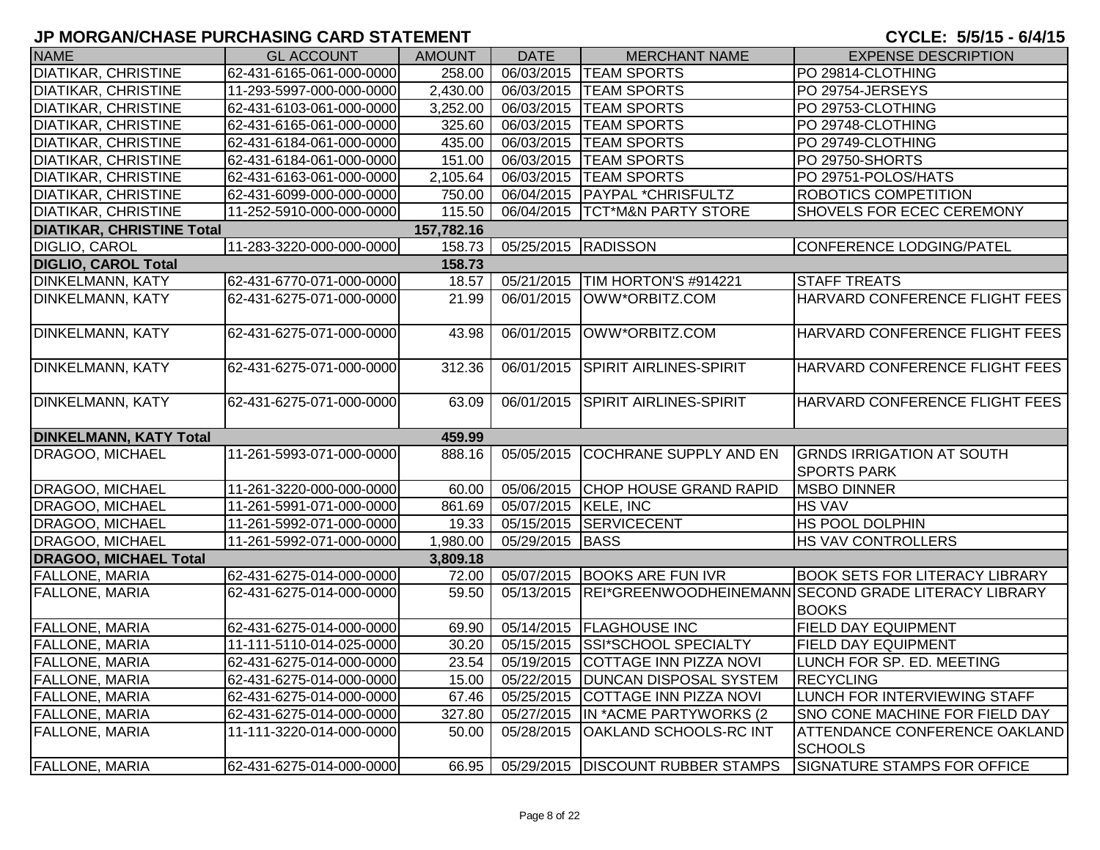| <b>NAME</b>                      | <b>GL ACCOUNT</b>        | <b>AMOUNT</b>         | <b>DATE</b>            | <b>MERCHANT NAME</b>                | <b>EXPENSE DESCRIPTION</b>                                           |
|----------------------------------|--------------------------|-----------------------|------------------------|-------------------------------------|----------------------------------------------------------------------|
| <b>DIATIKAR, CHRISTINE</b>       | 62-431-6165-061-000-0000 | 258.00                | 06/03/2015             | <b>TEAM SPORTS</b>                  | PO 29814-CLOTHING                                                    |
| <b>DIATIKAR, CHRISTINE</b>       | 11-293-5997-000-000-0000 | $\overline{2,}430.00$ | 06/03/2015             | <b>TEAM SPORTS</b>                  | PO 29754-JERSEYS                                                     |
| <b>DIATIKAR, CHRISTINE</b>       | 62-431-6103-061-000-0000 | 3,252.00              | 06/03/2015             | <b>TEAM SPORTS</b>                  | PO 29753-CLOTHING                                                    |
| <b>DIATIKAR, CHRISTINE</b>       | 62-431-6165-061-000-0000 | 325.60                | 06/03/2015             | <b>TEAM SPORTS</b>                  | PO 29748-CLOTHING                                                    |
| <b>DIATIKAR, CHRISTINE</b>       | 62-431-6184-061-000-0000 | 435.00                | 06/03/2015             | <b>TEAM SPORTS</b>                  | PO 29749-CLOTHING                                                    |
| <b>DIATIKAR, CHRISTINE</b>       | 62-431-6184-061-000-0000 | 151.00                | 06/03/2015             | <b>TEAM SPORTS</b>                  | PO 29750-SHORTS                                                      |
| <b>DIATIKAR, CHRISTINE</b>       | 62-431-6163-061-000-0000 | 2,105.64              | 06/03/2015             | <b>TEAM SPORTS</b>                  | PO 29751-POLOS/HATS                                                  |
| <b>DIATIKAR, CHRISTINE</b>       | 62-431-6099-000-000-0000 | 750.00                | 06/04/2015             | <b>PAYPAL *CHRISFULTZ</b>           | <b>ROBOTICS COMPETITION</b>                                          |
| <b>DIATIKAR, CHRISTINE</b>       | 11-252-5910-000-000-0000 | 115.50                | 06/04/2015             | <b>TCT*M&amp;N PARTY STORE</b>      | SHOVELS FOR ECEC CEREMONY                                            |
| <b>DIATIKAR, CHRISTINE Total</b> |                          | 157,782.16            |                        |                                     |                                                                      |
| <b>DIGLIO, CAROL</b>             | 11-283-3220-000-000-0000 | 158.73                | 05/25/2015 RADISSON    |                                     | CONFERENCE LODGING/PATEL                                             |
| <b>DIGLIO, CAROL Total</b>       |                          | 158.73                |                        |                                     |                                                                      |
| DINKELMANN, KATY                 | 62-431-6770-071-000-0000 | 18.57                 | 05/21/2015             | TIM HORTON'S #914221                | <b>STAFF TREATS</b>                                                  |
| DINKELMANN, KATY                 | 62-431-6275-071-000-0000 | 21.99                 | 06/01/2015             | OWW*ORBITZ.COM                      | HARVARD CONFERENCE FLIGHT FEES                                       |
| <b>DINKELMANN, KATY</b>          | 62-431-6275-071-000-0000 | 43.98                 | 06/01/2015             | OWW*ORBITZ.COM                      | HARVARD CONFERENCE FLIGHT FEES                                       |
| <b>DINKELMANN, KATY</b>          | 62-431-6275-071-000-0000 | 312.36                | 06/01/2015             | <b>SPIRIT AIRLINES-SPIRIT</b>       | HARVARD CONFERENCE FLIGHT FEES                                       |
| <b>DINKELMANN, KATY</b>          | 62-431-6275-071-000-0000 | 63.09                 | 06/01/2015             | <b>SPIRIT AIRLINES-SPIRIT</b>       | HARVARD CONFERENCE FLIGHT FEES                                       |
| <b>DINKELMANN, KATY Total</b>    |                          | 459.99                |                        |                                     |                                                                      |
| <b>DRAGOO, MICHAEL</b>           | 11-261-5993-071-000-0000 | 888.16                | 05/05/2015             | COCHRANE SUPPLY AND EN              | <b>GRNDS IRRIGATION AT SOUTH</b><br><b>SPORTS PARK</b>               |
| DRAGOO, MICHAEL                  | 11-261-3220-000-000-0000 | 60.00                 | 05/06/2015             | <b>CHOP HOUSE GRAND RAPID</b>       | <b>MSBO DINNER</b>                                                   |
| <b>DRAGOO, MICHAEL</b>           | 11-261-5991-071-000-0000 | 861.69                | 05/07/2015   KELE, INC |                                     | <b>HS VAV</b>                                                        |
| DRAGOO, MICHAEL                  | 11-261-5992-071-000-0000 | 19.33                 |                        | 05/15/2015 SERVICECENT              | <b>HS POOL DOLPHIN</b>                                               |
| DRAGOO, MICHAEL                  | 11-261-5992-071-000-0000 | 1,980.00              | 05/29/2015             | <b>BASS</b>                         | <b>HS VAV CONTROLLERS</b>                                            |
| <b>DRAGOO, MICHAEL Total</b>     |                          | 3,809.18              |                        |                                     |                                                                      |
| <b>FALLONE, MARIA</b>            | 62-431-6275-014-000-0000 | 72.00                 | 05/07/2015             | <b>BOOKS ARE FUN IVR</b>            | <b>BOOK SETS FOR LITERACY LIBRARY</b>                                |
| <b>FALLONE, MARIA</b>            | 62-431-6275-014-000-0000 | 59.50                 | 05/13/2015             |                                     | REI*GREENWOODHEINEMANN SECOND GRADE LITERACY LIBRARY<br><b>BOOKS</b> |
| <b>FALLONE, MARIA</b>            | 62-431-6275-014-000-0000 | 69.90                 |                        | 05/14/2015   FLAGHOUSE INC          | <b>FIELD DAY EQUIPMENT</b>                                           |
| <b>FALLONE, MARIA</b>            | 11-111-5110-014-025-0000 | 30.20                 | 05/15/2015             | <b>SSI*SCHOOL SPECIALTY</b>         | <b>FIELD DAY EQUIPMENT</b>                                           |
| <b>FALLONE, MARIA</b>            | 62-431-6275-014-000-0000 | 23.54                 |                        | 05/19/2015 COTTAGE INN PIZZA NOVI   | LUNCH FOR SP. ED. MEETING                                            |
| <b>FALLONE, MARIA</b>            | 62-431-6275-014-000-0000 | 15.00                 | 05/22/2015             | <b>DUNCAN DISPOSAL SYSTEM</b>       | <b>RECYCLING</b>                                                     |
| <b>FALLONE, MARIA</b>            | 62-431-6275-014-000-0000 | 67.46                 | 05/25/2015             | COTTAGE INN PIZZA NOVI              | LUNCH FOR INTERVIEWING STAFF                                         |
| <b>FALLONE, MARIA</b>            | 62-431-6275-014-000-0000 | 327.80                | 05/27/2015             | IN *ACME PARTYWORKS (2)             | <b>SNO CONE MACHINE FOR FIELD DAY</b>                                |
| <b>FALLONE, MARIA</b>            | 11-111-3220-014-000-0000 | 50.00                 | 05/28/2015             | <b>OAKLAND SCHOOLS-RC INT</b>       | <b>ATTENDANCE CONFERENCE OAKLAND</b><br><b>SCHOOLS</b>               |
| <b>FALLONE, MARIA</b>            | 62-431-6275-014-000-0000 | 66.95                 |                        | 05/29/2015   DISCOUNT RUBBER STAMPS | SIGNATURE STAMPS FOR OFFICE                                          |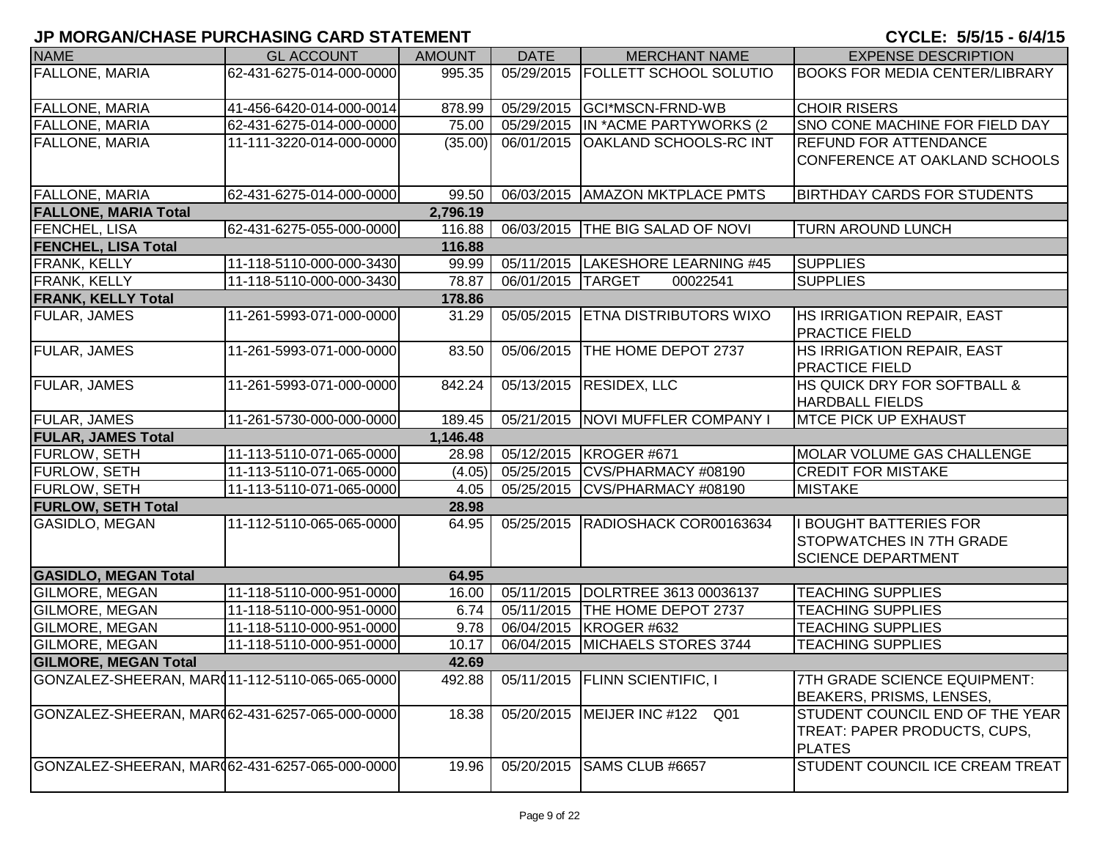| <b>NAME</b>                                     | <b>GL ACCOUNT</b>        | <b>AMOUNT</b> | <b>DATE</b>       | <b>MERCHANT NAME</b>                | <b>EXPENSE DESCRIPTION</b>             |
|-------------------------------------------------|--------------------------|---------------|-------------------|-------------------------------------|----------------------------------------|
| <b>FALLONE, MARIA</b>                           | 62-431-6275-014-000-0000 | 995.35        |                   | 05/29/2015   FOLLETT SCHOOL SOLUTIO | <b>BOOKS FOR MEDIA CENTER/LIBRARY</b>  |
|                                                 |                          |               |                   |                                     |                                        |
| <b>FALLONE, MARIA</b>                           | 41-456-6420-014-000-0014 | 878.99        |                   | 05/29/2015 GCI*MSCN-FRND-WB         | <b>CHOIR RISERS</b>                    |
| <b>FALLONE, MARIA</b>                           | 62-431-6275-014-000-0000 | 75.00         |                   | 05/29/2015 IN *ACME PARTYWORKS (2   | SNO CONE MACHINE FOR FIELD DAY         |
| <b>FALLONE, MARIA</b>                           | 11-111-3220-014-000-0000 | (35.00)       | 06/01/2015        | <b>OAKLAND SCHOOLS-RC INT</b>       | <b>REFUND FOR ATTENDANCE</b>           |
|                                                 |                          |               |                   |                                     | CONFERENCE AT OAKLAND SCHOOLS          |
|                                                 |                          |               |                   |                                     |                                        |
| <b>FALLONE, MARIA</b>                           | 62-431-6275-014-000-0000 | 99.50         |                   | 06/03/2015   AMAZON MKTPLACE PMTS   | <b>BIRTHDAY CARDS FOR STUDENTS</b>     |
| <b>FALLONE, MARIA Total</b>                     |                          | 2,796.19      |                   |                                     |                                        |
| FENCHEL, LISA                                   | 62-431-6275-055-000-0000 | 116.88        |                   | 06/03/2015   THE BIG SALAD OF NOVI  | <b>TURN AROUND LUNCH</b>               |
| <b>FENCHEL, LISA Total</b>                      |                          | 116.88        |                   |                                     |                                        |
| <b>FRANK, KELLY</b>                             | 11-118-5110-000-000-3430 | 99.99         |                   | 05/11/2015   LAKESHORE LEARNING #45 | <b>SUPPLIES</b>                        |
| FRANK, KELLY                                    | 11-118-5110-000-000-3430 | 78.87         | 06/01/2015 TARGET | 00022541                            | <b>SUPPLIES</b>                        |
| <b>FRANK, KELLY Total</b>                       |                          | 178.86        |                   |                                     |                                        |
| <b>FULAR, JAMES</b>                             | 11-261-5993-071-000-0000 | 31.29         |                   | 05/05/2015 ETNA DISTRIBUTORS WIXO   | HS IRRIGATION REPAIR, EAST             |
|                                                 |                          |               |                   |                                     | <b>PRACTICE FIELD</b>                  |
| <b>FULAR, JAMES</b>                             | 11-261-5993-071-000-0000 | 83.50         | 05/06/2015        | THE HOME DEPOT 2737                 | HS IRRIGATION REPAIR, EAST             |
|                                                 |                          |               |                   |                                     | <b>PRACTICE FIELD</b>                  |
| <b>FULAR, JAMES</b>                             | 11-261-5993-071-000-0000 | 842.24        |                   | 05/13/2015 RESIDEX, LLC             | <b>HS QUICK DRY FOR SOFTBALL &amp;</b> |
|                                                 |                          |               |                   |                                     | <b>HARDBALL FIELDS</b>                 |
| <b>FULAR, JAMES</b>                             | 11-261-5730-000-000-0000 | 189.45        |                   | 05/21/2015   NOVI MUFFLER COMPANY I | <b>MTCE PICK UP EXHAUST</b>            |
| <b>FULAR, JAMES Total</b>                       |                          | 1,146.48      |                   |                                     |                                        |
| FURLOW, SETH                                    | 11-113-5110-071-065-0000 | 28.98         |                   | 05/12/2015 KROGER #671              | MOLAR VOLUME GAS CHALLENGE             |
| <b>FURLOW, SETH</b>                             | 11-113-5110-071-065-0000 | (4.05)        |                   | 05/25/2015 CVS/PHARMACY #08190      | <b>CREDIT FOR MISTAKE</b>              |
| FURLOW, SETH                                    | 11-113-5110-071-065-0000 | 4.05          |                   | 05/25/2015 CVS/PHARMACY #08190      | <b>MISTAKE</b>                         |
| <b>FURLOW, SETH Total</b>                       |                          | 28.98         |                   |                                     |                                        |
| <b>GASIDLO, MEGAN</b>                           | 11-112-5110-065-065-0000 | 64.95         |                   | 05/25/2015  RADIOSHACK COR00163634  | <b>BOUGHT BATTERIES FOR</b>            |
|                                                 |                          |               |                   |                                     | <b>STOPWATCHES IN 7TH GRADE</b>        |
|                                                 |                          |               |                   |                                     | <b>SCIENCE DEPARTMENT</b>              |
| <b>GASIDLO, MEGAN Total</b>                     |                          | 64.95         |                   |                                     |                                        |
| <b>GILMORE, MEGAN</b>                           | 11-118-5110-000-951-0000 | 16.00         |                   | 05/11/2015  DOLRTREE 3613 00036137  | <b>TEACHING SUPPLIES</b>               |
| GILMORE, MEGAN                                  | 11-118-5110-000-951-0000 | 6.74          | 05/11/2015        | THE HOME DEPOT 2737                 | <b>TEACHING SUPPLIES</b>               |
| <b>GILMORE, MEGAN</b>                           | 11-118-5110-000-951-0000 | 9.78          | 06/04/2015        | KROGER #632                         | <b>TEACHING SUPPLIES</b>               |
| <b>GILMORE, MEGAN</b>                           | 11-118-5110-000-951-0000 | 10.17         | 06/04/2015        | MICHAELS STORES 3744                | <b>TEACHING SUPPLIES</b>               |
| <b>GILMORE, MEGAN Total</b>                     |                          | 42.69         |                   |                                     |                                        |
| GONZALEZ-SHEERAN, MAR(11-112-5110-065-065-0000) |                          | 492.88        |                   | 05/11/2015   FLINN SCIENTIFIC, I    | 7TH GRADE SCIENCE EQUIPMENT:           |
|                                                 |                          |               |                   |                                     | BEAKERS, PRISMS, LENSES,               |
| GONZALEZ-SHEERAN, MAR(62-431-6257-065-000-0000) |                          | 18.38         |                   | 05/20/2015   MEIJER INC #122 Q01    | STUDENT COUNCIL END OF THE YEAR        |
|                                                 |                          |               |                   |                                     | TREAT: PAPER PRODUCTS, CUPS,           |
|                                                 |                          |               |                   |                                     | <b>PLATES</b>                          |
| GONZALEZ-SHEERAN, MAR(62-431-6257-065-000-0000) |                          | 19.96         | 05/20/2015        | SAMS CLUB #6657                     | STUDENT COUNCIL ICE CREAM TREAT        |
|                                                 |                          |               |                   |                                     |                                        |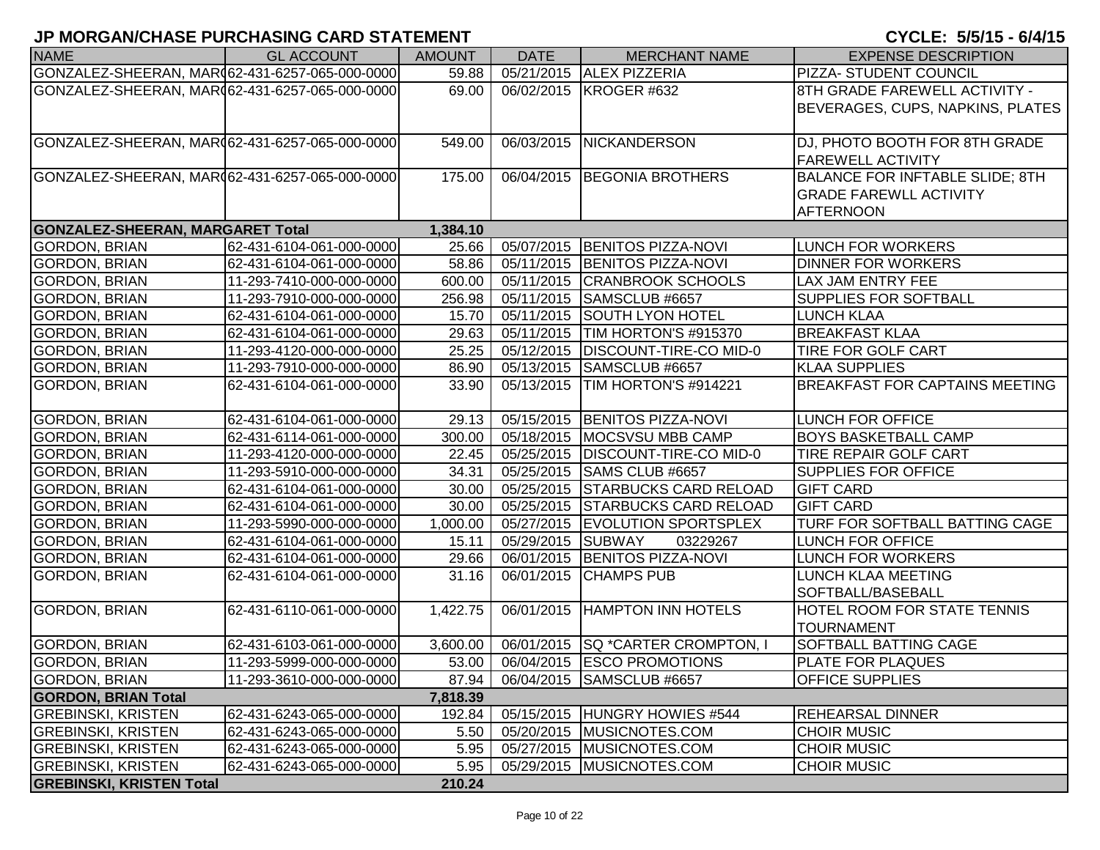|                                                 |                          |               |             |                                      | $\frac{1}{2}$                          |
|-------------------------------------------------|--------------------------|---------------|-------------|--------------------------------------|----------------------------------------|
| <b>NAME</b>                                     | <b>GL ACCOUNT</b>        | <b>AMOUNT</b> | <b>DATE</b> | <b>MERCHANT NAME</b>                 | <b>EXPENSE DESCRIPTION</b>             |
| GONZALEZ-SHEERAN, MAR(62-431-6257-065-000-0000) |                          | 59.88         | 05/21/2015  | <b>ALEX PIZZERIA</b>                 | PIZZA- STUDENT COUNCIL                 |
| GONZALEZ-SHEERAN, MAR062-431-6257-065-000-0000  |                          | 69.00         |             | 06/02/2015   KROGER #632             | 8TH GRADE FAREWELL ACTIVITY -          |
|                                                 |                          |               |             |                                      | BEVERAGES, CUPS, NAPKINS, PLATES       |
| GONZALEZ-SHEERAN, MAR062-431-6257-065-000-0000  |                          | 549.00        | 06/03/2015  | <b>NICKANDERSON</b>                  | DJ, PHOTO BOOTH FOR 8TH GRADE          |
|                                                 |                          |               |             |                                      | <b>FAREWELL ACTIVITY</b>               |
| GONZALEZ-SHEERAN, MAR062-431-6257-065-000-0000  |                          | 175.00        | 06/04/2015  | <b>BEGONIA BROTHERS</b>              | <b>BALANCE FOR INFTABLE SLIDE; 8TH</b> |
|                                                 |                          |               |             |                                      | <b>GRADE FAREWLL ACTIVITY</b>          |
|                                                 |                          |               |             |                                      | AFTERNOON                              |
| <b>GONZALEZ-SHEERAN, MARGARET Total</b>         |                          | 1,384.10      |             |                                      |                                        |
| <b>GORDON, BRIAN</b>                            | 62-431-6104-061-000-0000 | 25.66         | 05/07/2015  | <b>BENITOS PIZZA-NOVI</b>            | <b>LUNCH FOR WORKERS</b>               |
| GORDON, BRIAN                                   | 62-431-6104-061-000-0000 | 58.86         |             | 05/11/2015 BENITOS PIZZA-NOVI        | <b>DINNER FOR WORKERS</b>              |
| GORDON, BRIAN                                   | 11-293-7410-000-000-0000 | 600.00        | 05/11/2015  | <b>CRANBROOK SCHOOLS</b>             | <b>LAX JAM ENTRY FEE</b>               |
| <b>GORDON, BRIAN</b>                            | 11-293-7910-000-000-0000 | 256.98        | 05/11/2015  | SAMSCLUB #6657                       | <b>SUPPLIES FOR SOFTBALL</b>           |
| GORDON, BRIAN                                   | 62-431-6104-061-000-0000 | 15.70         | 05/11/2015  | <b>SOUTH LYON HOTEL</b>              | <b>LUNCH KLAA</b>                      |
| <b>GORDON, BRIAN</b>                            | 62-431-6104-061-000-0000 | 29.63         | 05/11/2015  | TIM HORTON'S #915370                 | <b>BREAKFAST KLAA</b>                  |
| <b>GORDON, BRIAN</b>                            | 11-293-4120-000-000-0000 | 25.25         | 05/12/2015  | <b>DISCOUNT-TIRE-CO MID-0</b>        | <b>TIRE FOR GOLF CART</b>              |
| GORDON, BRIAN                                   | 11-293-7910-000-000-0000 | 86.90         | 05/13/2015  | SAMSCLUB #6657                       | <b>KLAA SUPPLIES</b>                   |
| <b>GORDON, BRIAN</b>                            | 62-431-6104-061-000-0000 | 33.90         | 05/13/2015  | TIM HORTON'S #914221                 | <b>BREAKFAST FOR CAPTAINS MEETING</b>  |
|                                                 |                          |               |             |                                      |                                        |
| <b>GORDON, BRIAN</b>                            | 62-431-6104-061-000-0000 | 29.13         |             | 05/15/2015 BENITOS PIZZA-NOVI        | <b>LUNCH FOR OFFICE</b>                |
| <b>GORDON, BRIAN</b>                            | 62-431-6114-061-000-0000 | 300.00        | 05/18/2015  | MOCSVSU MBB CAMP                     | <b>BOYS BASKETBALL CAMP</b>            |
| <b>GORDON, BRIAN</b>                            | 11-293-4120-000-000-0000 | 22.45         | 05/25/2015  | DISCOUNT-TIRE-CO MID-0               | TIRE REPAIR GOLF CART                  |
| <b>GORDON, BRIAN</b>                            | 11-293-5910-000-000-0000 | 34.31         | 05/25/2015  | SAMS CLUB #6657                      | <b>SUPPLIES FOR OFFICE</b>             |
| <b>GORDON, BRIAN</b>                            | 62-431-6104-061-000-0000 | 30.00         | 05/25/2015  | <b>STARBUCKS CARD RELOAD</b>         | <b>GIFT CARD</b>                       |
| <b>GORDON, BRIAN</b>                            | 62-431-6104-061-000-0000 | 30.00         | 05/25/2015  | <b>STARBUCKS CARD RELOAD</b>         | <b>GIFT CARD</b>                       |
| <b>GORDON, BRIAN</b>                            | 11-293-5990-000-000-0000 | 1,000.00      | 05/27/2015  | <b>EVOLUTION SPORTSPLEX</b>          | TURF FOR SOFTBALL BATTING CAGE         |
| <b>GORDON, BRIAN</b>                            | 62-431-6104-061-000-0000 | 15.11         | 05/29/2015  | <b>SUBWAY</b><br>03229267            | LUNCH FOR OFFICE                       |
| <b>GORDON, BRIAN</b>                            | 62-431-6104-061-000-0000 | 29.66         | 06/01/2015  | <b>BENITOS PIZZA-NOVI</b>            | <b>LUNCH FOR WORKERS</b>               |
| <b>GORDON, BRIAN</b>                            | 62-431-6104-061-000-0000 | 31.16         | 06/01/2015  | <b>CHAMPS PUB</b>                    | LUNCH KLAA MEETING                     |
|                                                 |                          |               |             |                                      | SOFTBALL/BASEBALL                      |
| <b>GORDON, BRIAN</b>                            | 62-431-6110-061-000-0000 | 1,422.75      | 06/01/2015  | <b>HAMPTON INN HOTELS</b>            | HOTEL ROOM FOR STATE TENNIS            |
|                                                 |                          |               |             |                                      | <b>TOURNAMENT</b>                      |
| <b>GORDON, BRIAN</b>                            | 62-431-6103-061-000-0000 | 3,600.00      |             | 06/01/2015   SQ * CARTER CROMPTON, I | SOFTBALL BATTING CAGE                  |
| GORDON, BRIAN                                   | 11-293-5999-000-000-0000 |               |             | 53.00 06/04/2015 ESCO PROMOTIONS     | <b>PLATE FOR PLAQUES</b>               |
| <b>GORDON, BRIAN</b>                            | 11-293-3610-000-000-0000 | 87.94         |             | 06/04/2015 SAMSCLUB #6657            | <b>OFFICE SUPPLIES</b>                 |
| <b>GORDON, BRIAN Total</b>                      |                          | 7,818.39      |             |                                      |                                        |
| <b>GREBINSKI, KRISTEN</b>                       | 62-431-6243-065-000-0000 | 192.84        |             | 05/15/2015   HUNGRY HOWIES #544      | REHEARSAL DINNER                       |
| <b>GREBINSKI, KRISTEN</b>                       | 62-431-6243-065-000-0000 | 5.50          | 05/20/2015  | MUSICNOTES.COM                       | <b>CHOIR MUSIC</b>                     |
| <b>GREBINSKI, KRISTEN</b>                       | 62-431-6243-065-000-0000 | 5.95          |             | 05/27/2015   MUSICNOTES.COM          | <b>CHOIR MUSIC</b>                     |
| <b>GREBINSKI, KRISTEN</b>                       | 62-431-6243-065-000-0000 | 5.95          | 05/29/2015  | MUSICNOTES.COM                       | <b>CHOIR MUSIC</b>                     |
| <b>GREBINSKI, KRISTEN Total</b>                 |                          | 210.24        |             |                                      |                                        |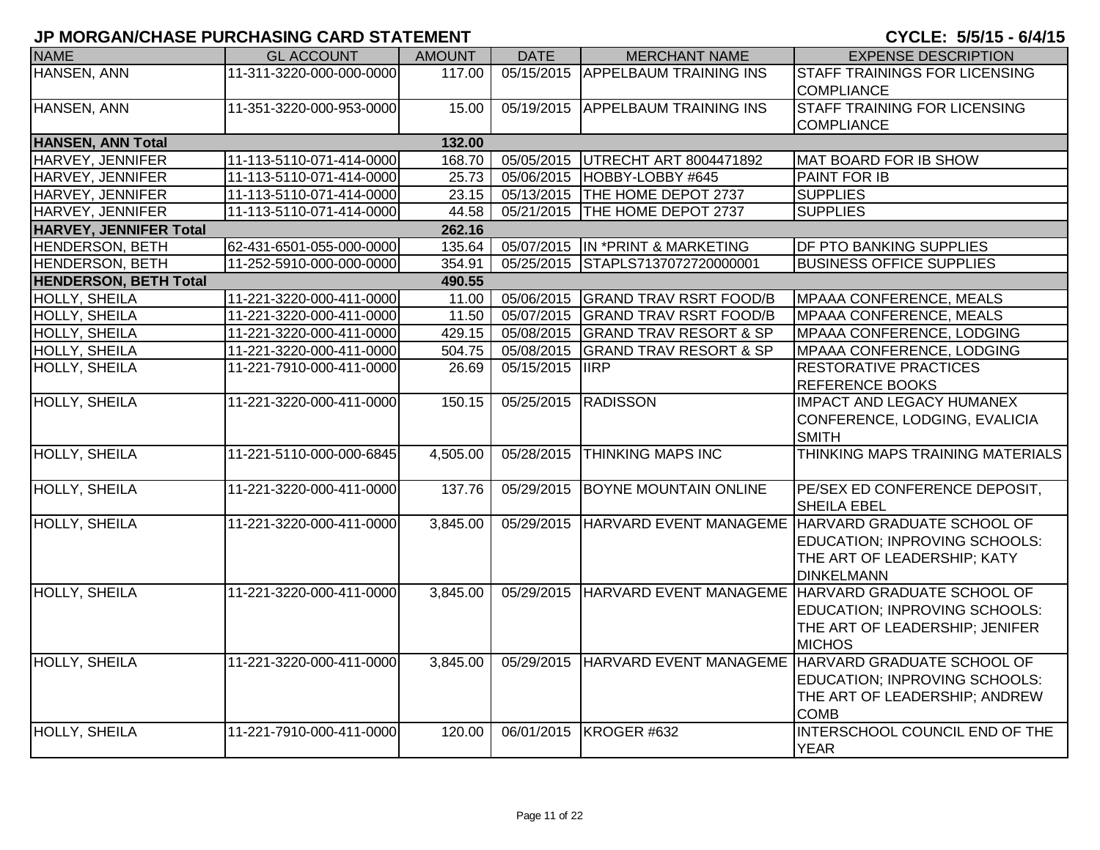| <b>NAME</b>                   | <b>GL ACCOUNT</b>        | <b>AMOUNT</b> | <b>DATE</b>             | <b>MERCHANT NAME</b>                | <b>EXPENSE DESCRIPTION</b>                                     |
|-------------------------------|--------------------------|---------------|-------------------------|-------------------------------------|----------------------------------------------------------------|
| <b>HANSEN, ANN</b>            | 11-311-3220-000-000-0000 | 117.00        |                         | 05/15/2015 APPELBAUM TRAINING INS   | <b>STAFF TRAININGS FOR LICENSING</b>                           |
|                               |                          |               |                         |                                     | <b>COMPLIANCE</b>                                              |
| HANSEN, ANN                   | 11-351-3220-000-953-0000 | 15.00         | 05/19/2015              | <b>APPELBAUM TRAINING INS</b>       | <b>STAFF TRAINING FOR LICENSING</b>                            |
|                               |                          |               |                         |                                     | <b>COMPLIANCE</b>                                              |
| <b>HANSEN, ANN Total</b>      |                          | 132.00        |                         |                                     |                                                                |
| HARVEY, JENNIFER              | 11-113-5110-071-414-0000 | 168.70        |                         | 05/05/2015   UTRECHT ART 8004471892 | MAT BOARD FOR IB SHOW                                          |
| HARVEY, JENNIFER              | 11-113-5110-071-414-0000 | 25.73         |                         | 05/06/2015 HOBBY-LOBBY #645         | <b>PAINT FOR IB</b>                                            |
| HARVEY, JENNIFER              | 11-113-5110-071-414-0000 | 23.15         |                         | 05/13/2015 THE HOME DEPOT 2737      | <b>SUPPLIES</b>                                                |
| HARVEY, JENNIFER              | 11-113-5110-071-414-0000 | 44.58         | $\overline{05/21}/2015$ | THE HOME DEPOT 2737                 | <b>SUPPLIES</b>                                                |
| <b>HARVEY, JENNIFER Total</b> |                          | 262.16        |                         |                                     |                                                                |
| HENDERSON, BETH               | 62-431-6501-055-000-0000 | 135.64        |                         | 05/07/2015   IN * PRINT & MARKETING | <b>DF PTO BANKING SUPPLIES</b>                                 |
| <b>HENDERSON, BETH</b>        | 11-252-5910-000-000-0000 | 354.91        |                         | 05/25/2015 STAPLS7137072720000001   | <b>BUSINESS OFFICE SUPPLIES</b>                                |
| <b>HENDERSON, BETH Total</b>  |                          | 490.55        |                         |                                     |                                                                |
| HOLLY, SHEILA                 | 11-221-3220-000-411-0000 | 11.00         | 05/06/2015              | <b>GRAND TRAV RSRT FOOD/B</b>       | <b>MPAAA CONFERENCE, MEALS</b>                                 |
| <b>HOLLY, SHEILA</b>          | 11-221-3220-000-411-0000 | 11.50         | 05/07/2015              | <b>GRAND TRAV RSRT FOOD/B</b>       | <b>MPAAA CONFERENCE, MEALS</b>                                 |
| HOLLY, SHEILA                 | 11-221-3220-000-411-0000 | 429.15        | 05/08/2015              | <b>GRAND TRAV RESORT &amp; SP</b>   | MPAAA CONFERENCE, LODGING                                      |
| HOLLY, SHEILA                 | 11-221-3220-000-411-0000 | 504.75        | 05/08/2015              | <b>GRAND TRAV RESORT &amp; SP</b>   | MPAAA CONFERENCE, LODGING                                      |
| HOLLY, SHEILA                 | 11-221-7910-000-411-0000 | 26.69         | 05/15/2015  IIRP        |                                     | <b>RESTORATIVE PRACTICES</b>                                   |
|                               |                          |               |                         |                                     | <b>REFERENCE BOOKS</b>                                         |
| <b>HOLLY, SHEILA</b>          | 11-221-3220-000-411-0000 | 150.15        | 05/25/2015              | <b>RADISSON</b>                     | <b>IMPACT AND LEGACY HUMANEX</b>                               |
|                               |                          |               |                         |                                     | CONFERENCE, LODGING, EVALICIA                                  |
|                               |                          |               |                         |                                     | <b>SMITH</b>                                                   |
| <b>HOLLY, SHEILA</b>          | 11-221-5110-000-000-6845 | 4,505.00      | 05/28/2015              | <b>THINKING MAPS INC</b>            | THINKING MAPS TRAINING MATERIALS                               |
|                               |                          |               |                         |                                     |                                                                |
| <b>HOLLY, SHEILA</b>          | 11-221-3220-000-411-0000 | 137.76        |                         | 05/29/2015  BOYNE MOUNTAIN ONLINE   | PE/SEX ED CONFERENCE DEPOSIT,                                  |
|                               |                          |               |                         |                                     | SHEILA EBEL                                                    |
| <b>HOLLY, SHEILA</b>          | 11-221-3220-000-411-0000 | 3,845.00      | 05/29/2015              |                                     | HARVARD EVENT MANAGEME HARVARD GRADUATE SCHOOL OF              |
|                               |                          |               |                         |                                     | EDUCATION; INPROVING SCHOOLS:                                  |
|                               |                          |               |                         |                                     | THE ART OF LEADERSHIP; KATY                                    |
|                               |                          |               |                         |                                     | <b>DINKELMANN</b>                                              |
| <b>HOLLY, SHEILA</b>          | 11-221-3220-000-411-0000 | 3,845.00      |                         |                                     | 05/29/2015 HARVARD EVENT MANAGEME HARVARD GRADUATE SCHOOL OF   |
|                               |                          |               |                         |                                     | EDUCATION; INPROVING SCHOOLS:                                  |
|                               |                          |               |                         |                                     | THE ART OF LEADERSHIP; JENIFER                                 |
|                               |                          |               |                         |                                     | <b>MICHOS</b>                                                  |
| HOLLY, SHEILA                 | 11-221-3220-000-411-0000 | 3,845.00      |                         |                                     | 05/29/2015  HARVARD EVENT MANAGEME  HARVARD GRADUATE SCHOOL OF |
|                               |                          |               |                         |                                     | EDUCATION; INPROVING SCHOOLS:                                  |
|                               |                          |               |                         |                                     | THE ART OF LEADERSHIP; ANDREW                                  |
|                               |                          |               |                         |                                     | <b>COMB</b>                                                    |
| <b>HOLLY, SHEILA</b>          | 11-221-7910-000-411-0000 | 120.00        |                         | 06/01/2015   KROGER #632            | INTERSCHOOL COUNCIL END OF THE                                 |
|                               |                          |               |                         |                                     | <b>YEAR</b>                                                    |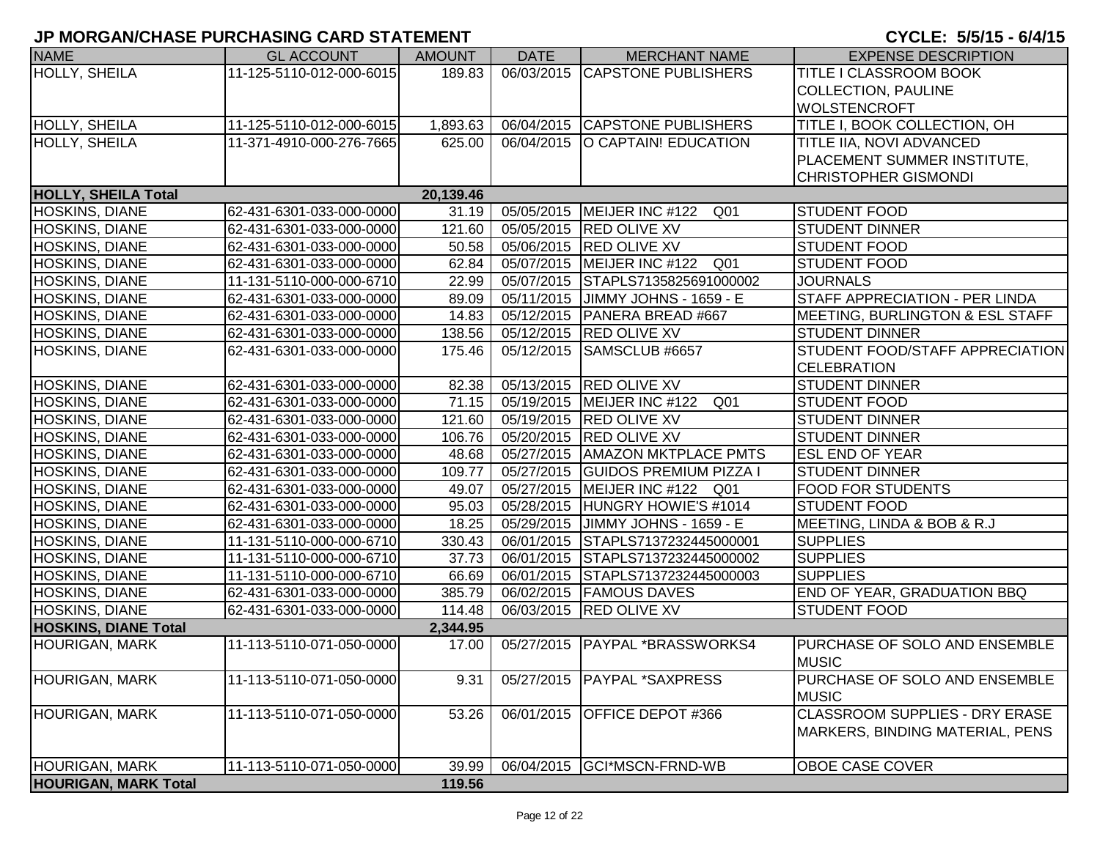| <b>NAME</b>                 | <b>GL ACCOUNT</b>        | <b>AMOUNT</b> | <b>DATE</b> | <b>MERCHANT NAME</b>                | <b>EXPENSE DESCRIPTION</b>                    |
|-----------------------------|--------------------------|---------------|-------------|-------------------------------------|-----------------------------------------------|
| <b>HOLLY, SHEILA</b>        | 11-125-5110-012-000-6015 | 189.83        |             | 06/03/2015 CAPSTONE PUBLISHERS      | TITLE I CLASSROOM BOOK                        |
|                             |                          |               |             |                                     | <b>COLLECTION, PAULINE</b>                    |
|                             |                          |               |             |                                     | <b>WOLSTENCROFT</b>                           |
| <b>HOLLY, SHEILA</b>        | 11-125-5110-012-000-6015 | 1,893.63      |             | 06/04/2015 CAPSTONE PUBLISHERS      | TITLE I, BOOK COLLECTION, OH                  |
| HOLLY, SHEILA               | 11-371-4910-000-276-7665 | 625.00        |             | 06/04/2015   O CAPTAIN! EDUCATION   | TITLE IIA, NOVI ADVANCED                      |
|                             |                          |               |             |                                     | PLACEMENT SUMMER INSTITUTE,                   |
|                             |                          |               |             |                                     | <b>CHRISTOPHER GISMONDI</b>                   |
| <b>HOLLY, SHEILA Total</b>  |                          | 20,139.46     |             |                                     |                                               |
| HOSKINS, DIANE              | 62-431-6301-033-000-0000 | 31.19         |             | 05/05/2015   MEIJER INC #122<br>Q01 | <b>STUDENT FOOD</b>                           |
| HOSKINS, DIANE              | 62-431-6301-033-000-0000 | 121.60        |             | 05/05/2015 RED OLIVE XV             | <b>STUDENT DINNER</b>                         |
| HOSKINS, DIANE              | 62-431-6301-033-000-0000 | 50.58         |             | 05/06/2015 RED OLIVE XV             | <b>STUDENT FOOD</b>                           |
| <b>HOSKINS, DIANE</b>       | 62-431-6301-033-000-0000 | 62.84         | 05/07/2015  | MEIJER INC #122<br>Q01              | <b>STUDENT FOOD</b>                           |
| HOSKINS, DIANE              | 11-131-5110-000-000-6710 | 22.99         |             | 05/07/2015 STAPLS7135825691000002   | <b>JOURNALS</b>                               |
| HOSKINS, DIANE              | 62-431-6301-033-000-0000 | 89.09         |             | 05/11/2015 JIMMY JOHNS - 1659 - E   | STAFF APPRECIATION - PER LINDA                |
| HOSKINS, DIANE              | 62-431-6301-033-000-0000 | 14.83         |             | 05/12/2015 PANERA BREAD #667        | MEETING, BURLINGTON & ESL STAFF               |
| HOSKINS, DIANE              | 62-431-6301-033-000-0000 | 138.56        |             | 05/12/2015 RED OLIVE XV             | <b>STUDENT DINNER</b>                         |
| <b>HOSKINS, DIANE</b>       | 62-431-6301-033-000-0000 | 175.46        |             | 05/12/2015 SAMSCLUB #6657           | STUDENT FOOD/STAFF APPRECIATION               |
|                             |                          |               |             |                                     | <b>CELEBRATION</b>                            |
| HOSKINS, DIANE              | 62-431-6301-033-000-0000 | 82.38         |             | 05/13/2015 RED OLIVE XV             | <b>STUDENT DINNER</b>                         |
| <b>HOSKINS, DIANE</b>       | 62-431-6301-033-000-0000 | 71.15         |             | 05/19/2015   MEIJER INC #122<br>Q01 | <b>STUDENT FOOD</b>                           |
| <b>HOSKINS, DIANE</b>       | 62-431-6301-033-000-0000 | 121.60        |             | 05/19/2015 RED OLIVE XV             | <b>STUDENT DINNER</b>                         |
| <b>HOSKINS, DIANE</b>       | 62-431-6301-033-000-0000 | 106.76        |             | 05/20/2015 RED OLIVE XV             | <b>STUDENT DINNER</b>                         |
| HOSKINS, DIANE              | 62-431-6301-033-000-0000 | 48.68         |             | 05/27/2015   AMAZON MKTPLACE PMTS   | <b>ESL END OF YEAR</b>                        |
| HOSKINS, DIANE              | 62-431-6301-033-000-0000 | 109.77        | 05/27/2015  | <b>GUIDOS PREMIUM PIZZA I</b>       | <b>STUDENT DINNER</b>                         |
| HOSKINS, DIANE              | 62-431-6301-033-000-0000 | 49.07         |             | 05/27/2015   MEIJER INC #122 Q01    | <b>FOOD FOR STUDENTS</b>                      |
| HOSKINS, DIANE              | 62-431-6301-033-000-0000 | 95.03         |             | 05/28/2015 HUNGRY HOWIE'S #1014     | <b>STUDENT FOOD</b>                           |
| HOSKINS, DIANE              | 62-431-6301-033-000-0000 | 18.25         |             | 05/29/2015 JIMMY JOHNS - 1659 - E   | MEETING, LINDA & BOB & R.J                    |
| HOSKINS, DIANE              | 11-131-5110-000-000-6710 | 330.43        |             | 06/01/2015 STAPLS7137232445000001   | <b>SUPPLIES</b>                               |
| HOSKINS, DIANE              | 11-131-5110-000-000-6710 | 37.73         |             | 06/01/2015 STAPLS7137232445000002   | <b>SUPPLIES</b>                               |
| HOSKINS, DIANE              | 11-131-5110-000-000-6710 | 66.69         | 06/01/2015  | STAPLS7137232445000003              | <b>SUPPLIES</b>                               |
| HOSKINS, DIANE              | 62-431-6301-033-000-0000 | 385.79        |             | 06/02/2015   FAMOUS DAVES           | END OF YEAR, GRADUATION BBQ                   |
| HOSKINS, DIANE              | 62-431-6301-033-000-0000 | 114.48        |             | 06/03/2015 RED OLIVE XV             | <b>STUDENT FOOD</b>                           |
| <b>HOSKINS, DIANE Total</b> |                          | 2,344.95      |             |                                     |                                               |
| <b>HOURIGAN, MARK</b>       | 11-113-5110-071-050-0000 | 17.00         |             | 05/27/2015   PAYPAL * BRASSWORKS4   | PURCHASE OF SOLO AND ENSEMBLE<br><b>MUSIC</b> |
| <b>HOURIGAN, MARK</b>       | 11-113-5110-071-050-0000 | 9.31          | 05/27/2015  | <b>PAYPAL *SAXPRESS</b>             | PURCHASE OF SOLO AND ENSEMBLE<br><b>MUSIC</b> |
| <b>HOURIGAN, MARK</b>       | 11-113-5110-071-050-0000 | 53.26         | 06/01/2015  | <b>OFFICE DEPOT #366</b>            | <b>CLASSROOM SUPPLIES - DRY ERASE</b>         |
|                             |                          |               |             |                                     | MARKERS, BINDING MATERIAL, PENS               |
| <b>HOURIGAN, MARK</b>       | 11-113-5110-071-050-0000 | 39.99         | 06/04/2015  | GCI*MSCN-FRND-WB                    | OBOE CASE COVER                               |
| <b>HOURIGAN, MARK Total</b> |                          | 119.56        |             |                                     |                                               |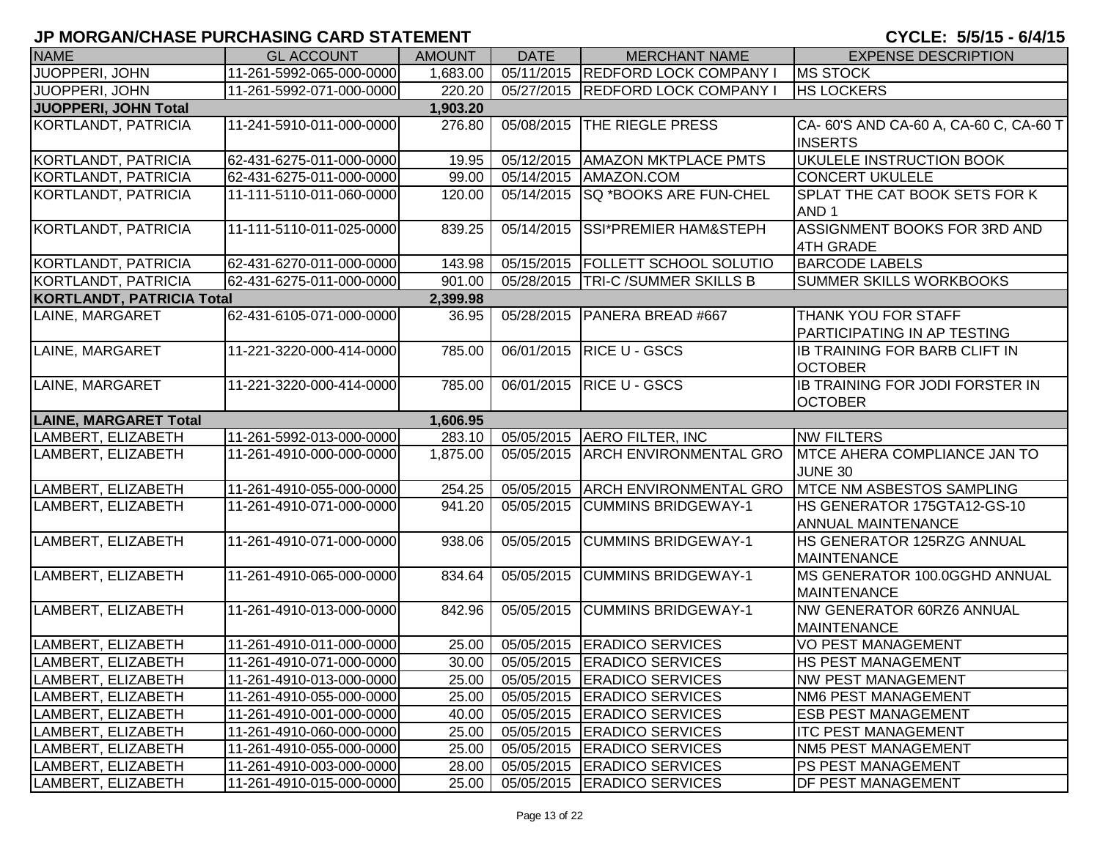| <b>NAME</b>                      | <b>GL ACCOUNT</b>        | <b>AMOUNT</b> | <b>DATE</b> | <b>MERCHANT NAME</b>                 | <b>EXPENSE DESCRIPTION</b>                     |
|----------------------------------|--------------------------|---------------|-------------|--------------------------------------|------------------------------------------------|
| JUOPPERI, JOHN                   | 11-261-5992-065-000-0000 | 1,683.00      |             | 05/11/2015 REDFORD LOCK COMPANY I    | <b>MS STOCK</b>                                |
| JUOPPERI, JOHN                   | 11-261-5992-071-000-0000 | 220.20        |             | 05/27/2015  REDFORD LOCK COMPANY I   | <b>HS LOCKERS</b>                              |
| JUOPPERI, JOHN Total             |                          | 1,903.20      |             |                                      |                                                |
| KORTLANDT, PATRICIA              | 11-241-5910-011-000-0000 | 276.80        |             | 05/08/2015 THE RIEGLE PRESS          | CA-60'S AND CA-60 A, CA-60 C, CA-60 T          |
|                                  |                          |               |             |                                      | <b>INSERTS</b>                                 |
| KORTLANDT, PATRICIA              | 62-431-6275-011-000-0000 | 19.95         | 05/12/2015  | <b>AMAZON MKTPLACE PMTS</b>          | UKULELE INSTRUCTION BOOK                       |
| KORTLANDT, PATRICIA              | 62-431-6275-011-000-0000 | 99.00         | 05/14/2015  | AMAZON.COM                           | <b>CONCERT UKULELE</b>                         |
| <b>KORTLANDT, PATRICIA</b>       | 11-111-5110-011-060-0000 | 120.00        | 05/14/2015  | SQ *BOOKS ARE FUN-CHEL               | SPLAT THE CAT BOOK SETS FOR K                  |
|                                  |                          |               |             |                                      | AND <sub>1</sub>                               |
| KORTLANDT, PATRICIA              | 11-111-5110-011-025-0000 | 839.25        | 05/14/2015  | <b>SSI*PREMIER HAM&amp;STEPH</b>     | ASSIGNMENT BOOKS FOR 3RD AND                   |
|                                  |                          |               |             |                                      | <b>4TH GRADE</b>                               |
| KORTLANDT, PATRICIA              | 62-431-6270-011-000-0000 | 143.98        | 05/15/2015  | <b>FOLLETT SCHOOL SOLUTIO</b>        | <b>BARCODE LABELS</b>                          |
| <b>KORTLANDT, PATRICIA</b>       | 62-431-6275-011-000-0000 | 901.00        |             | 05/28/2015   TRI-C / SUMMER SKILLS B | <b>SUMMER SKILLS WORKBOOKS</b>                 |
| <b>KORTLANDT, PATRICIA Total</b> |                          | 2,399.98      |             |                                      |                                                |
| LAINE, MARGARET                  | 62-431-6105-071-000-0000 | 36.95         |             | 05/28/2015   PANERA BREAD #667       | THANK YOU FOR STAFF                            |
|                                  |                          |               |             |                                      | PARTICIPATING IN AP TESTING                    |
| LAINE, MARGARET                  | 11-221-3220-000-414-0000 | 785.00        | 06/01/2015  | <b>RICE U - GSCS</b>                 | <b>IB TRAINING FOR BARB CLIFT IN</b>           |
|                                  |                          |               |             |                                      | <b>OCTOBER</b>                                 |
| LAINE, MARGARET                  | 11-221-3220-000-414-0000 | 785.00        |             | 06/01/2015 RICE U - GSCS             | <b>IB TRAINING FOR JODI FORSTER IN</b>         |
|                                  |                          |               |             |                                      | <b>OCTOBER</b>                                 |
| <b>LAINE, MARGARET Total</b>     |                          | 1,606.95      |             | 05/05/2015 AERO FILTER, INC          |                                                |
| LAMBERT, ELIZABETH               | 11-261-5992-013-000-0000 | 283.10        |             |                                      | <b>NW FILTERS</b>                              |
| LAMBERT, ELIZABETH               | 11-261-4910-000-000-0000 | 1,875.00      | 05/05/2015  | <b>ARCH ENVIRONMENTAL GRO</b>        | MTCE AHERA COMPLIANCE JAN TO<br><b>JUNE 30</b> |
| LAMBERT, ELIZABETH               | 11-261-4910-055-000-0000 | 254.25        | 05/05/2015  | <b>ARCH ENVIRONMENTAL GRO</b>        | MTCE NM ASBESTOS SAMPLING                      |
| LAMBERT, ELIZABETH               | 11-261-4910-071-000-0000 | 941.20        | 05/05/2015  | <b>CUMMINS BRIDGEWAY-1</b>           | HS GENERATOR 175GTA12-GS-10                    |
|                                  |                          |               |             |                                      | <b>ANNUAL MAINTENANCE</b>                      |
| LAMBERT, ELIZABETH               | 11-261-4910-071-000-0000 | 938.06        | 05/05/2015  | <b>CUMMINS BRIDGEWAY-1</b>           | HS GENERATOR 125RZG ANNUAL                     |
|                                  |                          |               |             |                                      | <b>MAINTENANCE</b>                             |
| LAMBERT, ELIZABETH               | 11-261-4910-065-000-0000 | 834.64        | 05/05/2015  | <b>CUMMINS BRIDGEWAY-1</b>           | MS GENERATOR 100.0GGHD ANNUAL                  |
|                                  |                          |               |             |                                      | <b>MAINTENANCE</b>                             |
| LAMBERT, ELIZABETH               | 11-261-4910-013-000-0000 | 842.96        | 05/05/2015  | <b>CUMMINS BRIDGEWAY-1</b>           | NW GENERATOR 60RZ6 ANNUAL                      |
|                                  |                          |               |             |                                      | <b>MAINTENANCE</b>                             |
| LAMBERT, ELIZABETH               | 11-261-4910-011-000-0000 | 25.00         |             | 05/05/2015 ERADICO SERVICES          | <b>VO PEST MANAGEMENT</b>                      |
| LAMBERT, ELIZABETH               | 11-261-4910-071-000-0000 | 30.00         |             | 05/05/2015 ERADICO SERVICES          | <b>HS PEST MANAGEMENT</b>                      |
| LAMBERT, ELIZABETH               | 11-261-4910-013-000-0000 | 25.00         |             | 05/05/2015   ERADICO SERVICES        | <b>NW PEST MANAGEMENT</b>                      |
| LAMBERT, ELIZABETH               | 11-261-4910-055-000-0000 | 25.00         |             | 05/05/2015   ERADICO SERVICES        | <b>NM6 PEST MANAGEMENT</b>                     |
| LAMBERT, ELIZABETH               | 11-261-4910-001-000-0000 | 40.00         |             | 05/05/2015   ERADICO SERVICES        | <b>ESB PEST MANAGEMENT</b>                     |
| LAMBERT, ELIZABETH               | 11-261-4910-060-000-0000 | 25.00         |             | 05/05/2015   ERADICO SERVICES        | <b>ITC PEST MANAGEMENT</b>                     |
| LAMBERT, ELIZABETH               | 11-261-4910-055-000-0000 | 25.00         |             | 05/05/2015   ERADICO SERVICES        | <b>NM5 PEST MANAGEMENT</b>                     |
| LAMBERT, ELIZABETH               | 11-261-4910-003-000-0000 | 28.00         |             | 05/05/2015   ERADICO SERVICES        | PS PEST MANAGEMENT                             |
| LAMBERT, ELIZABETH               | 11-261-4910-015-000-0000 | 25.00         |             | 05/05/2015   ERADICO SERVICES        | <b>DF PEST MANAGEMENT</b>                      |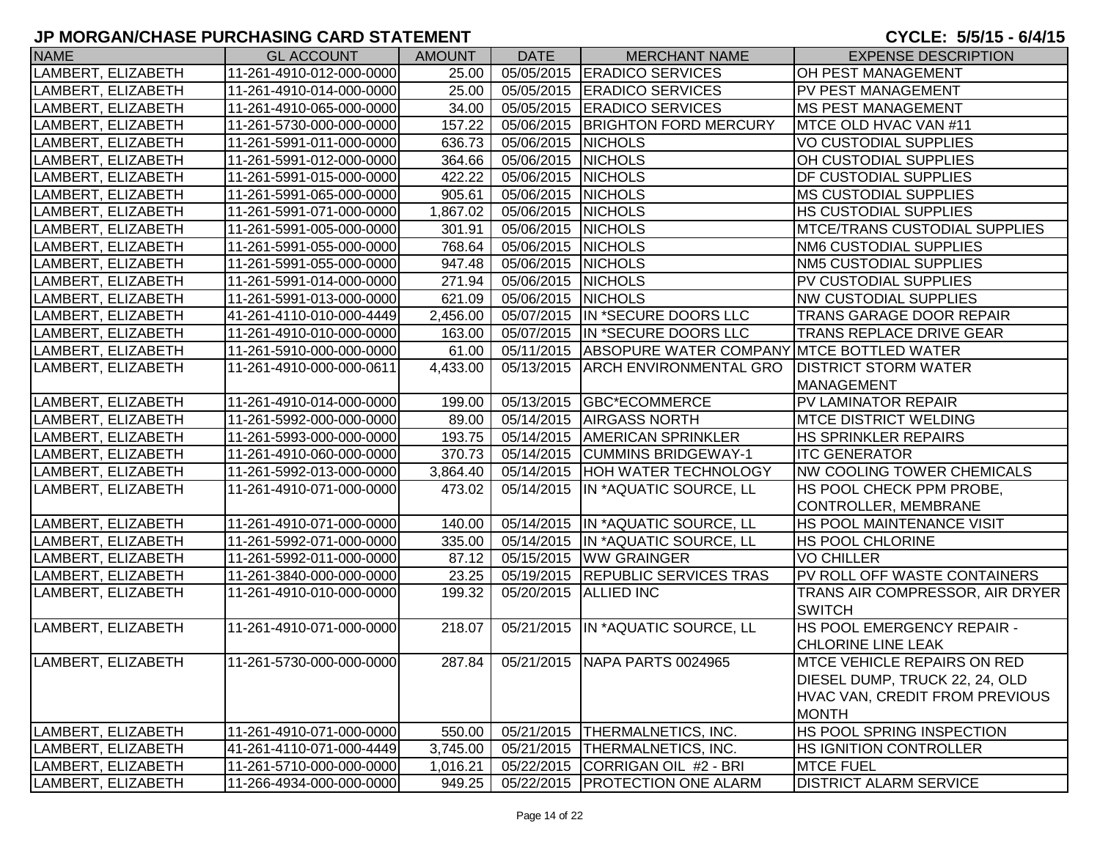| <b>NAME</b>        | <b>GL ACCOUNT</b>                                    | <b>AMOUNT</b>         | DATE               | <b>MERCHANT NAME</b>                                               | <b>EXPENSE DESCRIPTION</b>                                      |
|--------------------|------------------------------------------------------|-----------------------|--------------------|--------------------------------------------------------------------|-----------------------------------------------------------------|
| LAMBERT, ELIZABETH | 11-261-4910-012-000-0000                             | 25.00                 |                    | 05/05/2015   ERADICO SERVICES                                      | OH PEST MANAGEMENT                                              |
| LAMBERT, ELIZABETH | 11-261-4910-014-000-0000                             | 25.00                 |                    | 05/05/2015 ERADICO SERVICES                                        | <b>PV PEST MANAGEMENT</b>                                       |
| LAMBERT, ELIZABETH | 11-261-4910-065-000-0000                             | 34.00                 |                    | 05/05/2015   ERADICO SERVICES                                      | <b>MS PEST MANAGEMENT</b>                                       |
| LAMBERT, ELIZABETH | 11-261-5730-000-000-0000                             | 157.22                |                    | 05/06/2015 BRIGHTON FORD MERCURY                                   | MTCE OLD HVAC VAN #11                                           |
| LAMBERT, ELIZABETH | 11-261-5991-011-000-0000                             | 636.73                | 05/06/2015 NICHOLS |                                                                    | VO CUSTODIAL SUPPLIES                                           |
| LAMBERT, ELIZABETH | 11-261-5991-012-000-0000                             | 364.66                | 05/06/2015 NICHOLS |                                                                    | OH CUSTODIAL SUPPLIES                                           |
| LAMBERT, ELIZABETH | 11-261-5991-015-000-0000                             | 422.22                | 05/06/2015 NICHOLS |                                                                    | <b>DF CUSTODIAL SUPPLIES</b>                                    |
| LAMBERT, ELIZABETH | 11-261-5991-065-000-0000                             | 905.61                | 05/06/2015         | <b>NICHOLS</b>                                                     | <b>MS CUSTODIAL SUPPLIES</b>                                    |
| LAMBERT, ELIZABETH | 11-261-5991-071-000-0000                             | 1,867.02              | 05/06/2015 NICHOLS |                                                                    | <b>HS CUSTODIAL SUPPLIES</b>                                    |
| LAMBERT, ELIZABETH | 11-261-5991-005-000-0000                             | 301.91                | 05/06/2015 NICHOLS |                                                                    | <b>MTCE/TRANS CUSTODIAL SUPPLIES</b>                            |
| LAMBERT, ELIZABETH | 11-261-5991-055-000-0000                             | 768.64                | 05/06/2015         | <b>NICHOLS</b>                                                     | <b>NM6 CUSTODIAL SUPPLIES</b>                                   |
| LAMBERT, ELIZABETH | 11-261-5991-055-000-0000                             | 947.48                | 05/06/2015         | <b>NICHOLS</b>                                                     | <b>NM5 CUSTODIAL SUPPLIES</b>                                   |
| LAMBERT, ELIZABETH | 11-261-5991-014-000-0000                             | 271.94                | 05/06/2015         | <b>NICHOLS</b>                                                     | PV CUSTODIAL SUPPLIES                                           |
| LAMBERT, ELIZABETH | 11-261-5991-013-000-0000                             | 621.09                | 05/06/2015         | <b>NICHOLS</b>                                                     | <b>NW CUSTODIAL SUPPLIES</b>                                    |
| LAMBERT, ELIZABETH | 41-261-4110-010-000-4449                             | $\overline{2,}456.00$ |                    | 05/07/2015 IN *SECURE DOORS LLC                                    | <b>TRANS GARAGE DOOR REPAIR</b>                                 |
| LAMBERT, ELIZABETH | 11-261-4910-010-000-0000                             | 163.00                |                    | 05/07/2015 IN *SECURE DOORS LLC                                    | <b>TRANS REPLACE DRIVE GEAR</b>                                 |
| LAMBERT, ELIZABETH | 11-261-5910-000-000-0000                             | 61.00                 |                    | 05/11/2015 ABSOPURE WATER COMPANY MTCE BOTTLED WATER               |                                                                 |
| LAMBERT, ELIZABETH | 11-261-4910-000-000-0611                             | 4,433.00              |                    | 05/13/2015 ARCH ENVIRONMENTAL GRO DISTRICT STORM WATER             |                                                                 |
|                    |                                                      |                       |                    |                                                                    | <b>MANAGEMENT</b>                                               |
| LAMBERT, ELIZABETH | 11-261-4910-014-000-0000                             | 199.00                |                    | 05/13/2015 GBC*ECOMMERCE                                           | <b>PV LAMINATOR REPAIR</b>                                      |
| LAMBERT, ELIZABETH | 11-261-5992-000-000-0000                             | 89.00                 |                    | 05/14/2015 AIRGASS NORTH                                           | <b>MTCE DISTRICT WELDING</b>                                    |
| LAMBERT, ELIZABETH | 11-261-5993-000-000-0000                             | 193.75                |                    | 05/14/2015 AMERICAN SPRINKLER                                      | <b>HS SPRINKLER REPAIRS</b>                                     |
| LAMBERT, ELIZABETH | 11-261-4910-060-000-0000                             | 370.73                | 05/14/2015         | <b>CUMMINS BRIDGEWAY-1</b>                                         | <b>ITC GENERATOR</b>                                            |
| LAMBERT, ELIZABETH | 11-261-5992-013-000-0000                             | $\overline{3,864.40}$ | 05/14/2015         | <b>HOH WATER TECHNOLOGY</b>                                        | <b>NW COOLING TOWER CHEMICALS</b>                               |
| LAMBERT, ELIZABETH | 11-261-4910-071-000-0000                             | 473.02                | 05/14/2015         | IN *AQUATIC SOURCE, LL                                             | HS POOL CHECK PPM PROBE,                                        |
|                    |                                                      |                       |                    |                                                                    | CONTROLLER, MEMBRANE                                            |
| LAMBERT, ELIZABETH | 11-261-4910-071-000-0000                             | 140.00                |                    | 05/14/2015  IN *AQUATIC SOURCE, LL                                 | <b>HS POOL MAINTENANCE VISIT</b>                                |
| LAMBERT, ELIZABETH | 11-261-5992-071-000-0000                             | 335.00                |                    | 05/14/2015 IN *AQUATIC SOURCE, LL                                  | <b>HS POOL CHLORINE</b>                                         |
| LAMBERT, ELIZABETH | 11-261-5992-011-000-0000                             | 87.12                 |                    | 05/15/2015 WW GRAINGER                                             | <b>VO CHILLER</b>                                               |
| LAMBERT, ELIZABETH | 11-261-3840-000-000-0000                             | 23.25                 |                    | 05/19/2015  REPUBLIC SERVICES TRAS                                 | PV ROLL OFF WASTE CONTAINERS                                    |
| LAMBERT, ELIZABETH | 11-261-4910-010-000-0000                             | 199.32                |                    | 05/20/2015 ALLIED INC                                              | TRANS AIR COMPRESSOR, AIR DRYER                                 |
|                    |                                                      |                       |                    |                                                                    | <b>SWITCH</b>                                                   |
| LAMBERT, ELIZABETH | 11-261-4910-071-000-0000                             | 218.07                |                    | 05/21/2015 IN *AQUATIC SOURCE, LL                                  | <b>HS POOL EMERGENCY REPAIR -</b>                               |
|                    |                                                      |                       |                    |                                                                    | <b>CHLORINE LINE LEAK</b><br><b>MTCE VEHICLE REPAIRS ON RED</b> |
| LAMBERT, ELIZABETH | 11-261-5730-000-000-0000                             |                       |                    | 287.84   05/21/2015   NAPA PARTS 0024965                           |                                                                 |
|                    |                                                      |                       |                    |                                                                    | DIESEL DUMP, TRUCK 22, 24, OLD                                  |
|                    |                                                      |                       |                    |                                                                    | HVAC VAN, CREDIT FROM PREVIOUS                                  |
| LAMBERT, ELIZABETH |                                                      |                       |                    |                                                                    | <b>MONTH</b><br><b>HS POOL SPRING INSPECTION</b>                |
| LAMBERT, ELIZABETH | 11-261-4910-071-000-0000<br>41-261-4110-071-000-4449 | 550.00                |                    | 05/21/2015   THERMALNETICS, INC.<br>05/21/2015 THERMALNETICS, INC. |                                                                 |
| LAMBERT, ELIZABETH | 11-261-5710-000-000-0000                             | 3,745.00              |                    |                                                                    | <b>HS IGNITION CONTROLLER</b><br><b>MTCE FUEL</b>               |
|                    |                                                      | 1,016.21              |                    | 05/22/2015 CORRIGAN OIL #2 - BRI                                   |                                                                 |
| LAMBERT, ELIZABETH | 11-266-4934-000-000-0000                             | 949.25                |                    | 05/22/2015   PROTECTION ONE ALARM                                  | <b>DISTRICT ALARM SERVICE</b>                                   |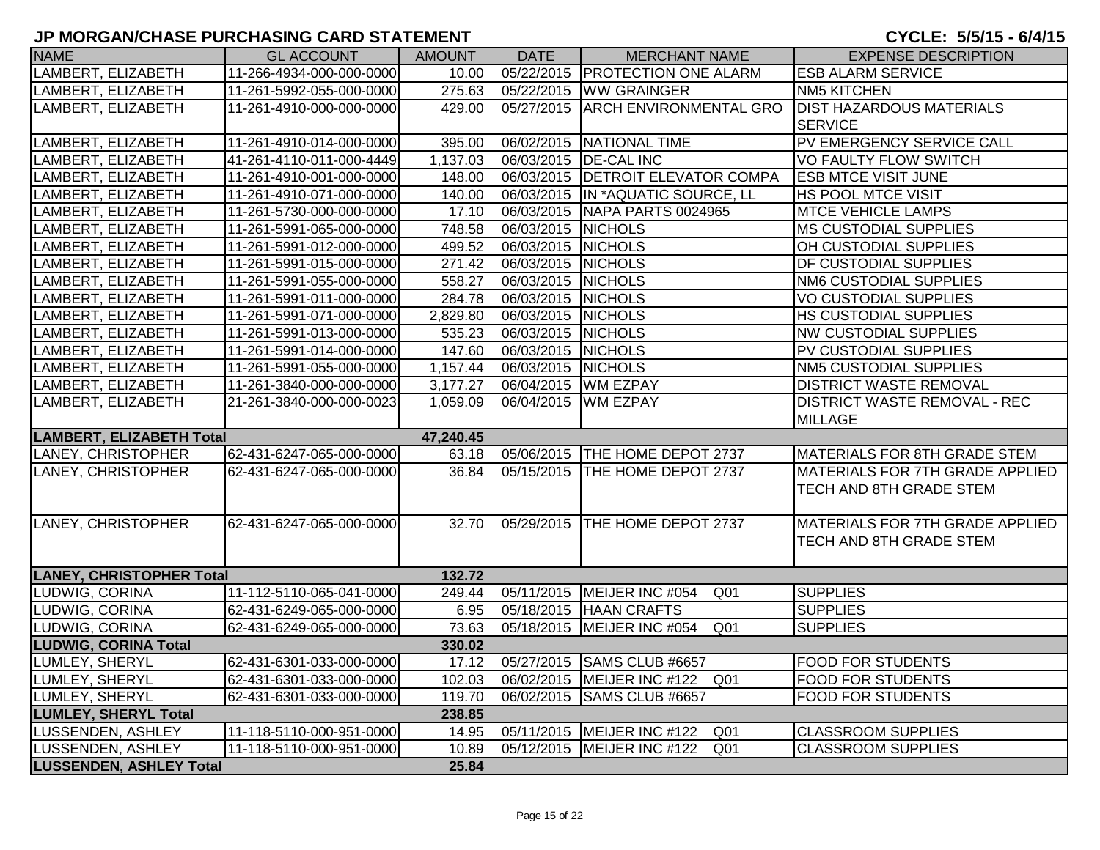| <b>NAME</b>                     | <b>GL ACCOUNT</b>        | <b>AMOUNT</b> | <b>DATE</b>        | <b>MERCHANT NAME</b>                            | <b>EXPENSE DESCRIPTION</b>          |
|---------------------------------|--------------------------|---------------|--------------------|-------------------------------------------------|-------------------------------------|
| LAMBERT, ELIZABETH              | 11-266-4934-000-000-0000 | 10.00         |                    | 05/22/2015   PROTECTION ONE ALARM               | <b>ESB ALARM SERVICE</b>            |
| LAMBERT, ELIZABETH              | 11-261-5992-055-000-0000 | 275.63        |                    | 05/22/2015 WW GRAINGER                          | <b>NM5 KITCHEN</b>                  |
| LAMBERT, ELIZABETH              | 11-261-4910-000-000-0000 | 429.00        |                    | 05/27/2015 ARCH ENVIRONMENTAL GRO               | <b>DIST HAZARDOUS MATERIALS</b>     |
|                                 |                          |               |                    |                                                 | <b>SERVICE</b>                      |
| LAMBERT, ELIZABETH              | 11-261-4910-014-000-0000 | 395.00        |                    | 06/02/2015 NATIONAL TIME                        | PV EMERGENCY SERVICE CALL           |
| LAMBERT, ELIZABETH              | 41-261-4110-011-000-4449 | 1,137.03      |                    | 06/03/2015   DE-CAL INC                         | VO FAULTY FLOW SWITCH               |
| LAMBERT, ELIZABETH              | 11-261-4910-001-000-0000 | 148.00        |                    | 06/03/2015 DETROIT ELEVATOR COMPA               | <b>ESB MTCE VISIT JUNE</b>          |
| LAMBERT, ELIZABETH              | 11-261-4910-071-000-0000 | 140.00        |                    | 06/03/2015  IN *AQUATIC SOURCE, LL              | HS POOL MTCE VISIT                  |
| LAMBERT, ELIZABETH              | 11-261-5730-000-000-0000 | 17.10         |                    | 06/03/2015 NAPA PARTS 0024965                   | <b>MTCE VEHICLE LAMPS</b>           |
| LAMBERT, ELIZABETH              | 11-261-5991-065-000-0000 | 748.58        | 06/03/2015 NICHOLS |                                                 | <b>MS CUSTODIAL SUPPLIES</b>        |
| LAMBERT, ELIZABETH              | 11-261-5991-012-000-0000 | 499.52        | 06/03/2015         | <b>NICHOLS</b>                                  | OH CUSTODIAL SUPPLIES               |
| LAMBERT, ELIZABETH              | 11-261-5991-015-000-0000 | 271.42        | 06/03/2015 NICHOLS |                                                 | DF CUSTODIAL SUPPLIES               |
| LAMBERT, ELIZABETH              | 11-261-5991-055-000-0000 | 558.27        | 06/03/2015 NICHOLS |                                                 | <b>NM6 CUSTODIAL SUPPLIES</b>       |
| LAMBERT, ELIZABETH              | 11-261-5991-011-000-0000 | 284.78        | 06/03/2015         | <b>NICHOLS</b>                                  | <b>VO CUSTODIAL SUPPLIES</b>        |
| LAMBERT, ELIZABETH              | 11-261-5991-071-000-0000 | 2,829.80      | 06/03/2015 NICHOLS |                                                 | HS CUSTODIAL SUPPLIES               |
| LAMBERT, ELIZABETH              | 11-261-5991-013-000-0000 | 535.23        | 06/03/2015 NICHOLS |                                                 | <b>NW CUSTODIAL SUPPLIES</b>        |
| LAMBERT, ELIZABETH              | 11-261-5991-014-000-0000 | 147.60        | 06/03/2015 NICHOLS |                                                 | PV CUSTODIAL SUPPLIES               |
| LAMBERT, ELIZABETH              | 11-261-5991-055-000-0000 | 1,157.44      | 06/03/2015 NICHOLS |                                                 | <b>NM5 CUSTODIAL SUPPLIES</b>       |
| LAMBERT, ELIZABETH              | 11-261-3840-000-000-0000 | 3,177.27      |                    | 06/04/2015 WM EZPAY                             | <b>DISTRICT WASTE REMOVAL</b>       |
| LAMBERT, ELIZABETH              | 21-261-3840-000-000-0023 | 1,059.09      |                    | 06/04/2015 WM EZPAY                             | <b>DISTRICT WASTE REMOVAL - REC</b> |
|                                 |                          |               |                    |                                                 | <b>MILLAGE</b>                      |
| <b>LAMBERT, ELIZABETH Total</b> |                          | 47,240.45     |                    |                                                 |                                     |
| LANEY, CHRISTOPHER              | 62-431-6247-065-000-0000 | 63.18         |                    | 05/06/2015   THE HOME DEPOT 2737                | MATERIALS FOR 8TH GRADE STEM        |
| LANEY, CHRISTOPHER              | 62-431-6247-065-000-0000 | 36.84         | 05/15/2015         | THE HOME DEPOT 2737                             | MATERIALS FOR 7TH GRADE APPLIED     |
|                                 |                          |               |                    |                                                 | TECH AND 8TH GRADE STEM             |
|                                 |                          |               |                    |                                                 |                                     |
| LANEY, CHRISTOPHER              | 62-431-6247-065-000-0000 | 32.70         |                    | 05/29/2015   THE HOME DEPOT 2737                | MATERIALS FOR 7TH GRADE APPLIED     |
|                                 |                          |               |                    |                                                 | TECH AND 8TH GRADE STEM             |
|                                 |                          |               |                    |                                                 |                                     |
| <b>LANEY, CHRISTOPHER Total</b> |                          | 132.72        |                    |                                                 |                                     |
| LUDWIG, CORINA                  | 11-112-5110-065-041-0000 | 249.44        |                    | 05/11/2015   MEIJER INC #054<br>Q01             | <b>SUPPLIES</b>                     |
| LUDWIG, CORINA                  | 62-431-6249-065-000-0000 | 6.95          |                    | 05/18/2015   HAAN CRAFTS                        | <b>SUPPLIES</b>                     |
| LUDWIG, CORINA                  | 62-431-6249-065-000-0000 | 73.63         | 05/18/2015         | MEIJER INC #054<br>Q <sub>01</sub>              | <b>SUPPLIES</b>                     |
| <b>LUDWIG, CORINA Total</b>     |                          | 330.02        |                    |                                                 |                                     |
| LUMLEY, SHERYL                  | 62-431-6301-033-000-0000 | 17.12         |                    | 05/27/2015 SAMS CLUB #6657                      | <b>FOOD FOR STUDENTS</b>            |
| LUMLEY, SHERYL                  | 62-431-6301-033-000-0000 | 102.03        |                    | 06/02/2015   MEIJER INC #122<br>Q <sub>01</sub> | <b>FOOD FOR STUDENTS</b>            |
| LUMLEY, SHERYL                  | 62-431-6301-033-000-0000 | 119.70        |                    | 06/02/2015 SAMS CLUB #6657                      | <b>FOOD FOR STUDENTS</b>            |
| <b>LUMLEY, SHERYL Total</b>     |                          | 238.85        |                    |                                                 |                                     |
| <b>LUSSENDEN, ASHLEY</b>        | 11-118-5110-000-951-0000 | 14.95         |                    | 05/11/2015   MEIJER INC #122<br>Q <sub>01</sub> | <b>CLASSROOM SUPPLIES</b>           |
| LUSSENDEN, ASHLEY               | 11-118-5110-000-951-0000 | 10.89         |                    | 05/12/2015   MEIJER INC #122<br>Q <sub>01</sub> | <b>CLASSROOM SUPPLIES</b>           |
| <b>LUSSENDEN, ASHLEY Total</b>  |                          | 25.84         |                    |                                                 |                                     |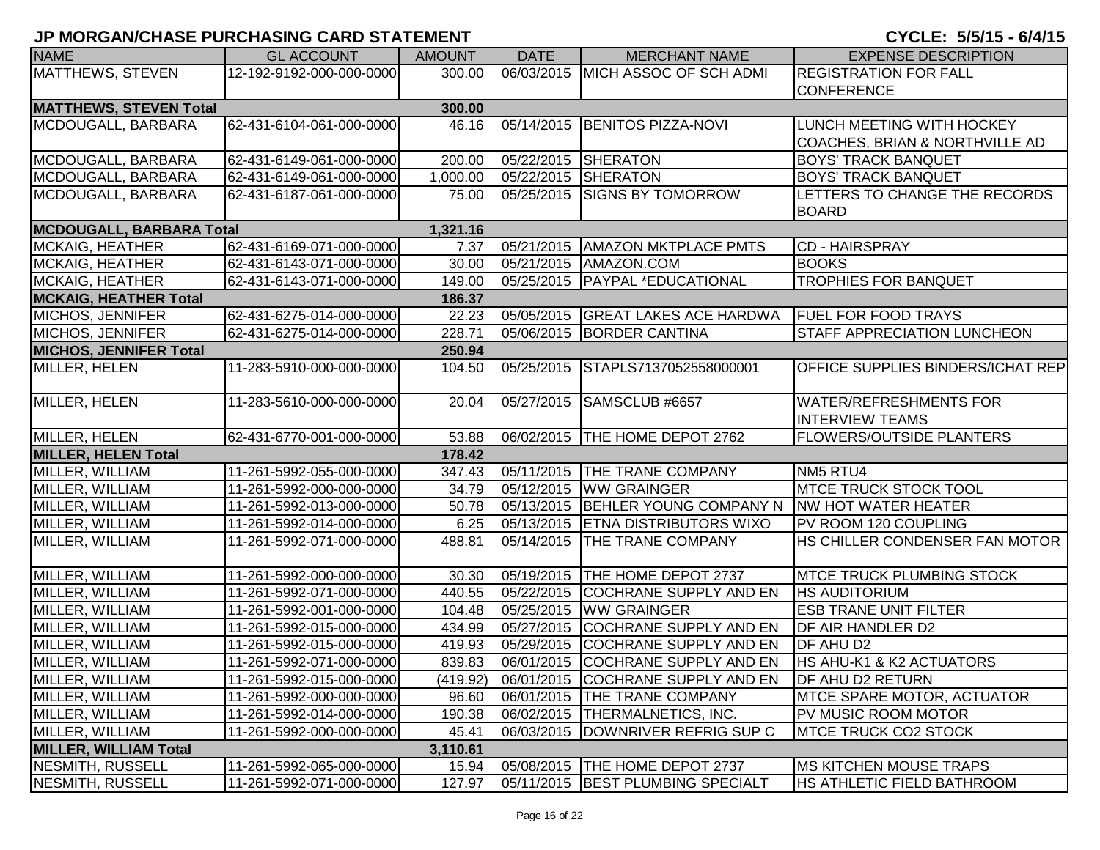| <b>NAME</b>                     | <b>GL ACCOUNT</b>        | <b>AMOUNT</b> | <b>DATE</b> | <b>MERCHANT NAME</b>                       | <b>EXPENSE DESCRIPTION</b>               |
|---------------------------------|--------------------------|---------------|-------------|--------------------------------------------|------------------------------------------|
| MATTHEWS, STEVEN                | 12-192-9192-000-000-0000 | 300.00        |             | 06/03/2015 MICH ASSOC OF SCH ADMI          | <b>REGISTRATION FOR FALL</b>             |
|                                 |                          |               |             |                                            | <b>CONFERENCE</b>                        |
| <b>MATTHEWS, STEVEN Total</b>   |                          | 300.00        |             |                                            |                                          |
| MCDOUGALL, BARBARA              | 62-431-6104-061-000-0000 | 46.16         | 05/14/2015  | <b>BENITOS PIZZA-NOVI</b>                  | LUNCH MEETING WITH HOCKEY                |
|                                 |                          |               |             |                                            | COACHES, BRIAN & NORTHVILLE AD           |
| MCDOUGALL, BARBARA              | 62-431-6149-061-000-0000 | 200.00        | 05/22/2015  | SHERATON                                   | <b>BOYS' TRACK BANQUET</b>               |
| MCDOUGALL, BARBARA              | 62-431-6149-061-000-0000 | 1,000.00      | 05/22/2015  | SHERATON                                   | <b>BOYS' TRACK BANQUET</b>               |
| MCDOUGALL, BARBARA              | 62-431-6187-061-000-0000 | 75.00         | 05/25/2015  | <b>SIGNS BY TOMORROW</b>                   | LETTERS TO CHANGE THE RECORDS            |
|                                 |                          |               |             |                                            | <b>BOARD</b>                             |
| <b>MCDOUGALL, BARBARA Total</b> |                          | 1,321.16      |             |                                            |                                          |
| <b>MCKAIG, HEATHER</b>          | 62-431-6169-071-000-0000 | 7.37          | 05/21/2015  | <b>AMAZON MKTPLACE PMTS</b>                | <b>CD - HAIRSPRAY</b>                    |
| MCKAIG, HEATHER                 | 62-431-6143-071-000-0000 | 30.00         | 05/21/2015  | AMAZON.COM                                 | <b>BOOKS</b>                             |
| <b>MCKAIG, HEATHER</b>          | 62-431-6143-071-000-0000 | 149.00        | 05/25/2015  | <b>PAYPAL *EDUCATIONAL</b>                 | <b>TROPHIES FOR BANQUET</b>              |
| <b>MCKAIG, HEATHER Total</b>    |                          | 186.37        |             |                                            |                                          |
| MICHOS, JENNIFER                | 62-431-6275-014-000-0000 | 22.23         | 05/05/2015  | <b>GREAT LAKES ACE HARDWA</b>              | <b>FUEL FOR FOOD TRAYS</b>               |
| MICHOS, JENNIFER                | 62-431-6275-014-000-0000 | 228.71        | 05/06/2015  | <b>BORDER CANTINA</b>                      | <b>STAFF APPRECIATION LUNCHEON</b>       |
| <b>MICHOS, JENNIFER Total</b>   |                          | 250.94        |             |                                            |                                          |
| MILLER, HELEN                   | 11-283-5910-000-000-0000 | 104.50        | 05/25/2015  | STAPLS7137052558000001                     | <b>OFFICE SUPPLIES BINDERS/ICHAT REP</b> |
|                                 |                          |               |             |                                            |                                          |
| MILLER, HELEN                   | 11-283-5610-000-000-0000 | 20.04         | 05/27/2015  | SAMSCLUB #6657                             | <b>WATER/REFRESHMENTS FOR</b>            |
|                                 |                          |               |             |                                            | <b>INTERVIEW TEAMS</b>                   |
| MILLER, HELEN                   | 62-431-6770-001-000-0000 | 53.88         |             | 06/02/2015   THE HOME DEPOT 2762           | <b>FLOWERS/OUTSIDE PLANTERS</b>          |
| <b>MILLER, HELEN Total</b>      |                          | 178.42        |             |                                            |                                          |
| MILLER, WILLIAM                 | 11-261-5992-055-000-0000 | 347.43        | 05/11/2015  | <b>THE TRANE COMPANY</b>                   | NM5 RTU4                                 |
| MILLER, WILLIAM                 | 11-261-5992-000-000-0000 | 34.79         | 05/12/2015  | <b>WW GRAINGER</b>                         | <b>IMTCE TRUCK STOCK TOOL</b>            |
| MILLER, WILLIAM                 | 11-261-5992-013-000-0000 | 50.78         | 05/13/2015  | BEHLER YOUNG COMPANY N NW HOT WATER HEATER |                                          |
| MILLER, WILLIAM                 | 11-261-5992-014-000-0000 | 6.25          | 05/13/2015  | <b>ETNA DISTRIBUTORS WIXO</b>              | PV ROOM 120 COUPLING                     |
| MILLER, WILLIAM                 | 11-261-5992-071-000-0000 | 488.81        | 05/14/2015  | <b>THE TRANE COMPANY</b>                   | HS CHILLER CONDENSER FAN MOTOR           |
|                                 |                          |               |             |                                            |                                          |
| MILLER, WILLIAM                 | 11-261-5992-000-000-0000 | 30.30         | 05/19/2015  | THE HOME DEPOT 2737                        | <b>IMTCE TRUCK PLUMBING STOCK</b>        |
| MILLER, WILLIAM                 | 11-261-5992-071-000-0000 | 440.55        | 05/22/2015  | COCHRANE SUPPLY AND EN                     | <b>HS AUDITORIUM</b>                     |
| MILLER, WILLIAM                 | 11-261-5992-001-000-0000 | 104.48        | 05/25/2015  | <b>WW GRAINGER</b>                         | <b>ESB TRANE UNIT FILTER</b>             |
| MILLER, WILLIAM                 | 11-261-5992-015-000-0000 | 434.99        | 05/27/2015  | <b>COCHRANE SUPPLY AND EN</b>              | <b>DF AIR HANDLER D2</b>                 |
| MILLER, WILLIAM                 | 11-261-5992-015-000-0000 | 419.93        | 05/29/2015  | COCHRANE SUPPLY AND EN                     | <b>DF AHU D2</b>                         |
| MILLER, WILLIAM                 | 11-261-5992-071-000-0000 | 839.83        | 06/01/2015  | COCHRANE SUPPLY AND EN                     | <b>HS AHU-K1 &amp; K2 ACTUATORS</b>      |
| MILLER, WILLIAM                 | 11-261-5992-015-000-0000 | (419.92)      |             | 06/01/2015 COCHRANE SUPPLY AND EN          | <b>DF AHU D2 RETURN</b>                  |
| MILLER, WILLIAM                 | 11-261-5992-000-000-0000 | 96.60         | 06/01/2015  | <b>THE TRANE COMPANY</b>                   | <b>IMTCE SPARE MOTOR, ACTUATOR</b>       |
| MILLER, WILLIAM                 | 11-261-5992-014-000-0000 | 190.38        | 06/02/2015  | <b>THERMALNETICS, INC.</b>                 | PV MUSIC ROOM MOTOR                      |
| MILLER, WILLIAM                 | 11-261-5992-000-000-0000 | 45.41         | 06/03/2015  | DOWNRIVER REFRIG SUP C                     | <b>IMTCE TRUCK CO2 STOCK</b>             |
| <b>MILLER, WILLIAM Total</b>    |                          | 3,110.61      |             |                                            |                                          |
| NESMITH, RUSSELL                | 11-261-5992-065-000-0000 | 15.94         |             | 05/08/2015   THE HOME DEPOT 2737           | <b>IMS KITCHEN MOUSE TRAPS</b>           |
| NESMITH, RUSSELL                | 11-261-5992-071-000-0000 | 127.97        |             | 05/11/2015 BEST PLUMBING SPECIALT          | <b>HS ATHLETIC FIELD BATHROOM</b>        |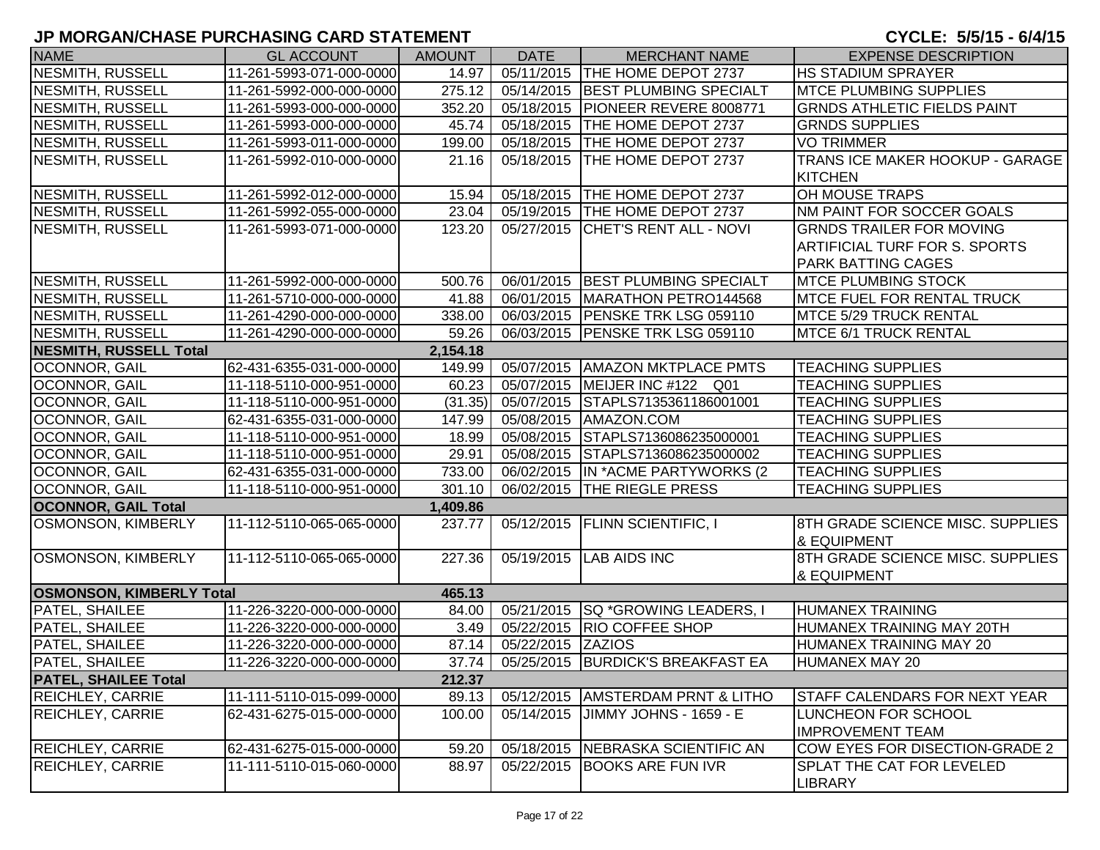| <b>NAME</b>                     | <b>GL ACCOUNT</b>        | <b>AMOUNT</b> | <b>DATE</b>       | <b>MERCHANT NAME</b>                 | <b>EXPENSE DESCRIPTION</b>           |
|---------------------------------|--------------------------|---------------|-------------------|--------------------------------------|--------------------------------------|
| <b>NESMITH, RUSSELL</b>         | 11-261-5993-071-000-0000 | 14.97         |                   | 05/11/2015   THE HOME DEPOT 2737     | <b>HS STADIUM SPRAYER</b>            |
| NESMITH, RUSSELL                | 11-261-5992-000-000-0000 | 275.12        |                   | 05/14/2015   BEST PLUMBING SPECIALT  | <b>IMTCE PLUMBING SUPPLIES</b>       |
| NESMITH, RUSSELL                | 11-261-5993-000-000-0000 | 352.20        |                   | 05/18/2015   PIONEER REVERE 8008771  | <b>GRNDS ATHLETIC FIELDS PAINT</b>   |
| NESMITH, RUSSELL                | 11-261-5993-000-000-0000 | 45.74         |                   | 05/18/2015   THE HOME DEPOT 2737     | <b>GRNDS SUPPLIES</b>                |
| NESMITH, RUSSELL                | 11-261-5993-011-000-0000 | 199.00        |                   | 05/18/2015 THE HOME DEPOT 2737       | <b>VO TRIMMER</b>                    |
| NESMITH, RUSSELL                | 11-261-5992-010-000-0000 | 21.16         |                   | 05/18/2015   THE HOME DEPOT 2737     | TRANS ICE MAKER HOOKUP - GARAGE      |
|                                 |                          |               |                   |                                      | <b>KITCHEN</b>                       |
| <b>NESMITH, RUSSELL</b>         | 11-261-5992-012-000-0000 | 15.94         |                   | 05/18/2015   THE HOME DEPOT 2737     | <b>OH MOUSE TRAPS</b>                |
| NESMITH, RUSSELL                | 11-261-5992-055-000-0000 | 23.04         |                   | 05/19/2015   THE HOME DEPOT 2737     | NM PAINT FOR SOCCER GOALS            |
| NESMITH, RUSSELL                | 11-261-5993-071-000-0000 | 123.20        | 05/27/2015        | <b>CHET'S RENT ALL - NOVI</b>        | <b>GRNDS TRAILER FOR MOVING</b>      |
|                                 |                          |               |                   |                                      | <b>ARTIFICIAL TURF FOR S. SPORTS</b> |
|                                 |                          |               |                   |                                      | <b>PARK BATTING CAGES</b>            |
| NESMITH, RUSSELL                | 11-261-5992-000-000-0000 | 500.76        |                   | 06/01/2015   BEST PLUMBING SPECIALT  | <b>IMTCE PLUMBING STOCK</b>          |
| NESMITH, RUSSELL                | 11-261-5710-000-000-0000 | 41.88         |                   | 06/01/2015   MARATHON PETRO144568    | <b>IMTCE FUEL FOR RENTAL TRUCK</b>   |
| NESMITH, RUSSELL                | 11-261-4290-000-000-0000 | 338.00        |                   | 06/03/2015   PENSKE TRK LSG 059110   | <b>MTCE 5/29 TRUCK RENTAL</b>        |
| NESMITH, RUSSELL                | 11-261-4290-000-000-0000 | 59.26         |                   | 06/03/2015   PENSKE TRK LSG 059110   | MTCE 6/1 TRUCK RENTAL                |
| <b>NESMITH, RUSSELL Total</b>   |                          | 2,154.18      |                   |                                      |                                      |
| OCONNOR, GAIL                   | 62-431-6355-031-000-0000 | 149.99        |                   | 05/07/2015   AMAZON MKTPLACE PMTS    | <b>TEACHING SUPPLIES</b>             |
| OCONNOR, GAIL                   | 11-118-5110-000-951-0000 | 60.23         |                   | 05/07/2015 MEIJER INC #122 Q01       | <b>TEACHING SUPPLIES</b>             |
| OCONNOR, GAIL                   | 11-118-5110-000-951-0000 | (31.35)       |                   | 05/07/2015 STAPLS7135361186001001    | <b>TEACHING SUPPLIES</b>             |
| OCONNOR, GAIL                   | 62-431-6355-031-000-0000 | 147.99        |                   | 05/08/2015   AMAZON.COM              | <b>TEACHING SUPPLIES</b>             |
| OCONNOR, GAIL                   | 11-118-5110-000-951-0000 | 18.99         |                   | 05/08/2015 STAPLS7136086235000001    | <b>TEACHING SUPPLIES</b>             |
| <b>OCONNOR, GAIL</b>            | 11-118-5110-000-951-0000 | 29.91         | 05/08/2015        | STAPLS7136086235000002               | <b>TEACHING SUPPLIES</b>             |
| OCONNOR, GAIL                   | 62-431-6355-031-000-0000 | 733.00        |                   | 06/02/2015   IN * ACME PARTYWORKS (2 | <b>TEACHING SUPPLIES</b>             |
| OCONNOR, GAIL                   | 11-118-5110-000-951-0000 | 301.10        |                   | 06/02/2015   THE RIEGLE PRESS        | <b>TEACHING SUPPLIES</b>             |
| <b>OCONNOR, GAIL Total</b>      |                          | 1,409.86      |                   |                                      |                                      |
| <b>OSMONSON, KIMBERLY</b>       | 11-112-5110-065-065-0000 | 237.77        |                   | 05/12/2015   FLINN SCIENTIFIC, I     | 8TH GRADE SCIENCE MISC. SUPPLIES     |
|                                 |                          |               |                   |                                      | <b>&amp; EQUIPMENT</b>               |
| <b>OSMONSON, KIMBERLY</b>       | 11-112-5110-065-065-0000 | 227.36        |                   | 05/19/2015 LAB AIDS INC              | 8TH GRADE SCIENCE MISC. SUPPLIES     |
|                                 |                          |               |                   |                                      | <b>&amp; EQUIPMENT</b>               |
| <b>OSMONSON, KIMBERLY Total</b> |                          | 465.13        |                   |                                      |                                      |
| PATEL, SHAILEE                  | 11-226-3220-000-000-0000 | 84.00         |                   | 05/21/2015   SQ * GROWING LEADERS, I | HUMANEX TRAINING                     |
| <b>PATEL, SHAILEE</b>           | 11-226-3220-000-000-0000 | 3.49          |                   | 05/22/2015  RIO COFFEE SHOP          | HUMANEX TRAINING MAY 20TH            |
| <b>PATEL, SHAILEE</b>           | 11-226-3220-000-000-0000 | 87.14         | 05/22/2015 ZAZIOS |                                      | HUMANEX TRAINING MAY 20              |
| <b>PATEL, SHAILEE</b>           | 11-226-3220-000-000-0000 | 37.74         |                   | 05/25/2015   BURDICK'S BREAKFAST EA  | HUMANEX MAY 20                       |
| <b>PATEL, SHAILEE Total</b>     |                          | 212.37        |                   |                                      |                                      |
| <b>REICHLEY, CARRIE</b>         | 11-111-5110-015-099-0000 | 89.13         | 05/12/2015        | <b>AMSTERDAM PRNT &amp; LITHO</b>    | <b>STAFF CALENDARS FOR NEXT YEAR</b> |
| <b>REICHLEY, CARRIE</b>         | 62-431-6275-015-000-0000 | 100.00        | 05/14/2015        | JIMMY JOHNS - 1659 - E               | LUNCHEON FOR SCHOOL                  |
|                                 |                          |               |                   |                                      | <b>IMPROVEMENT TEAM</b>              |
| <b>REICHLEY, CARRIE</b>         | 62-431-6275-015-000-0000 | 59.20         |                   | 05/18/2015   NEBRASKA SCIENTIFIC AN  | COW EYES FOR DISECTION-GRADE 2       |
| <b>REICHLEY, CARRIE</b>         | 11-111-5110-015-060-0000 | 88.97         | 05/22/2015        | <b>BOOKS ARE FUN IVR</b>             | <b>SPLAT THE CAT FOR LEVELED</b>     |
|                                 |                          |               |                   |                                      | <b>LIBRARY</b>                       |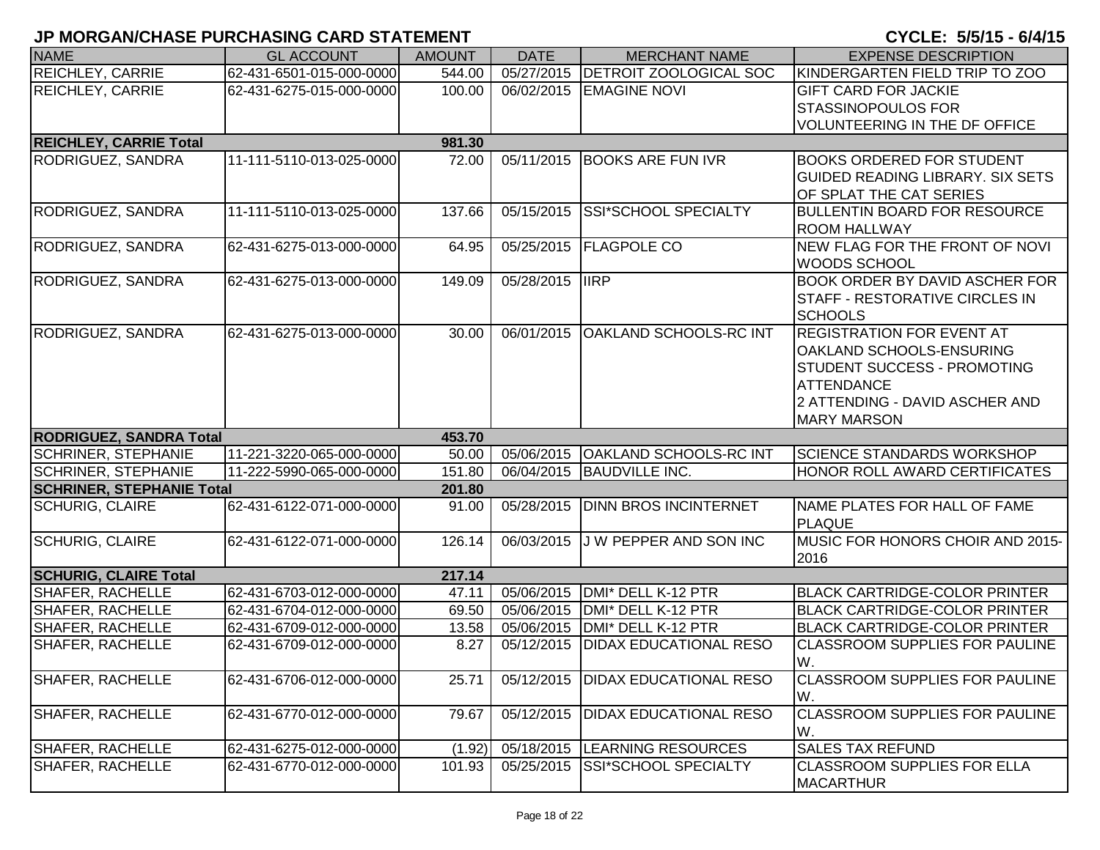| <b>NAME</b>                      | <b>GL ACCOUNT</b>        | <b>AMOUNT</b> | <b>DATE</b>             | <b>MERCHANT NAME</b>          | <b>EXPENSE DESCRIPTION</b>                            |
|----------------------------------|--------------------------|---------------|-------------------------|-------------------------------|-------------------------------------------------------|
| <b>REICHLEY, CARRIE</b>          | 62-431-6501-015-000-0000 | 544.00        | 05/27/2015              | <b>DETROIT ZOOLOGICAL SOC</b> | KINDERGARTEN FIELD TRIP TO ZOO                        |
| <b>REICHLEY, CARRIE</b>          | 62-431-6275-015-000-0000 | 100.00        | 06/02/2015              | <b>EMAGINE NOVI</b>           | <b>GIFT CARD FOR JACKIE</b>                           |
|                                  |                          |               |                         |                               | <b>STASSINOPOULOS FOR</b>                             |
|                                  |                          |               |                         |                               | VOLUNTEERING IN THE DF OFFICE                         |
| <b>REICHLEY, CARRIE Total</b>    |                          | 981.30        |                         |                               |                                                       |
| RODRIGUEZ, SANDRA                | 11-111-5110-013-025-0000 | 72.00         | 05/11/2015              | <b>BOOKS ARE FUN IVR</b>      | <b>BOOKS ORDERED FOR STUDENT</b>                      |
|                                  |                          |               |                         |                               | <b>GUIDED READING LIBRARY. SIX SETS</b>               |
|                                  |                          |               |                         |                               | OF SPLAT THE CAT SERIES                               |
| RODRIGUEZ, SANDRA                | 11-111-5110-013-025-0000 | 137.66        | 05/15/2015              | SSI*SCHOOL SPECIALTY          | <b>BULLENTIN BOARD FOR RESOURCE</b>                   |
|                                  |                          |               |                         | <b>FLAGPOLE CO</b>            | <b>ROOM HALLWAY</b>                                   |
| RODRIGUEZ, SANDRA                | 62-431-6275-013-000-0000 | 64.95         | 05/25/2015              |                               | NEW FLAG FOR THE FRONT OF NOVI<br><b>WOODS SCHOOL</b> |
| RODRIGUEZ, SANDRA                | 62-431-6275-013-000-0000 | 149.09        | 05/28/2015              | <b>IIRP</b>                   | <b>BOOK ORDER BY DAVID ASCHER FOR</b>                 |
|                                  |                          |               |                         |                               | <b>STAFF - RESTORATIVE CIRCLES IN</b>                 |
|                                  |                          |               |                         |                               | <b>SCHOOLS</b>                                        |
| RODRIGUEZ, SANDRA                | 62-431-6275-013-000-0000 | 30.00         | 06/01/2015              | <b>OAKLAND SCHOOLS-RC INT</b> | <b>REGISTRATION FOR EVENT AT</b>                      |
|                                  |                          |               |                         |                               | <b>OAKLAND SCHOOLS-ENSURING</b>                       |
|                                  |                          |               |                         |                               | <b>STUDENT SUCCESS - PROMOTING</b>                    |
|                                  |                          |               |                         |                               | <b>ATTENDANCE</b>                                     |
|                                  |                          |               |                         |                               | 2 ATTENDING - DAVID ASCHER AND                        |
|                                  |                          |               |                         |                               | <b>MARY MARSON</b>                                    |
| <b>RODRIGUEZ, SANDRA Total</b>   |                          | 453.70        |                         |                               |                                                       |
| <b>SCHRINER, STEPHANIE</b>       | 11-221-3220-065-000-0000 | 50.00         | 05/06/2015              | <b>OAKLAND SCHOOLS-RC INT</b> | SCIENCE STANDARDS WORKSHOP                            |
| <b>SCHRINER, STEPHANIE</b>       | 11-222-5990-065-000-0000 | 151.80        | 06/04/2015              | <b>BAUDVILLE INC.</b>         | <b>HONOR ROLL AWARD CERTIFICATES</b>                  |
| <b>SCHRINER, STEPHANIE Total</b> |                          | 201.80        |                         |                               |                                                       |
| <b>SCHURIG, CLAIRE</b>           | 62-431-6122-071-000-0000 | 91.00         | $\overline{05/28}/2015$ | <b>DINN BROS INCINTERNET</b>  | NAME PLATES FOR HALL OF FAME                          |
|                                  |                          |               |                         |                               | <b>PLAQUE</b>                                         |
| <b>SCHURIG, CLAIRE</b>           | 62-431-6122-071-000-0000 | 126.14        | 06/03/2015              | J W PEPPER AND SON INC        | MUSIC FOR HONORS CHOIR AND 2015-                      |
| <b>SCHURIG, CLAIRE Total</b>     |                          | 217.14        |                         |                               | 2016                                                  |
| <b>SHAFER, RACHELLE</b>          | 62-431-6703-012-000-0000 | 47.11         | 05/06/2015              | DMI* DELL K-12 PTR            | <b>BLACK CARTRIDGE-COLOR PRINTER</b>                  |
| <b>SHAFER, RACHELLE</b>          | 62-431-6704-012-000-0000 | 69.50         | 05/06/2015              | DMI* DELL K-12 PTR            | <b>BLACK CARTRIDGE-COLOR PRINTER</b>                  |
| SHAFER, RACHELLE                 | 62-431-6709-012-000-0000 | 13.58         | 05/06/2015              | DMI* DELL K-12 PTR            | <b>BLACK CARTRIDGE-COLOR PRINTER</b>                  |
| SHAFER, RACHELLE                 | 62-431-6709-012-000-0000 | 8.27          | 05/12/2015              | <b>DIDAX EDUCATIONAL RESO</b> | <b>CLASSROOM SUPPLIES FOR PAULINE</b>                 |
|                                  |                          |               |                         |                               | W.                                                    |
| SHAFER, RACHELLE                 | 62-431-6706-012-000-0000 | 25.71         | 05/12/2015              | <b>DIDAX EDUCATIONAL RESO</b> | <b>CLASSROOM SUPPLIES FOR PAULINE</b>                 |
|                                  |                          |               |                         |                               | W.                                                    |
| SHAFER, RACHELLE                 | 62-431-6770-012-000-0000 | 79.67         | 05/12/2015              | <b>DIDAX EDUCATIONAL RESO</b> | <b>CLASSROOM SUPPLIES FOR PAULINE</b>                 |
|                                  |                          |               |                         |                               | W.                                                    |
| SHAFER, RACHELLE                 | 62-431-6275-012-000-0000 | (1.92)        | 05/18/2015              | <b>LEARNING RESOURCES</b>     | <b>SALES TAX REFUND</b>                               |
| SHAFER, RACHELLE                 | 62-431-6770-012-000-0000 | 101.93        | 05/25/2015              | SSI*SCHOOL SPECIALTY          | <b>CLASSROOM SUPPLIES FOR ELLA</b>                    |
|                                  |                          |               |                         |                               | <b>MACARTHUR</b>                                      |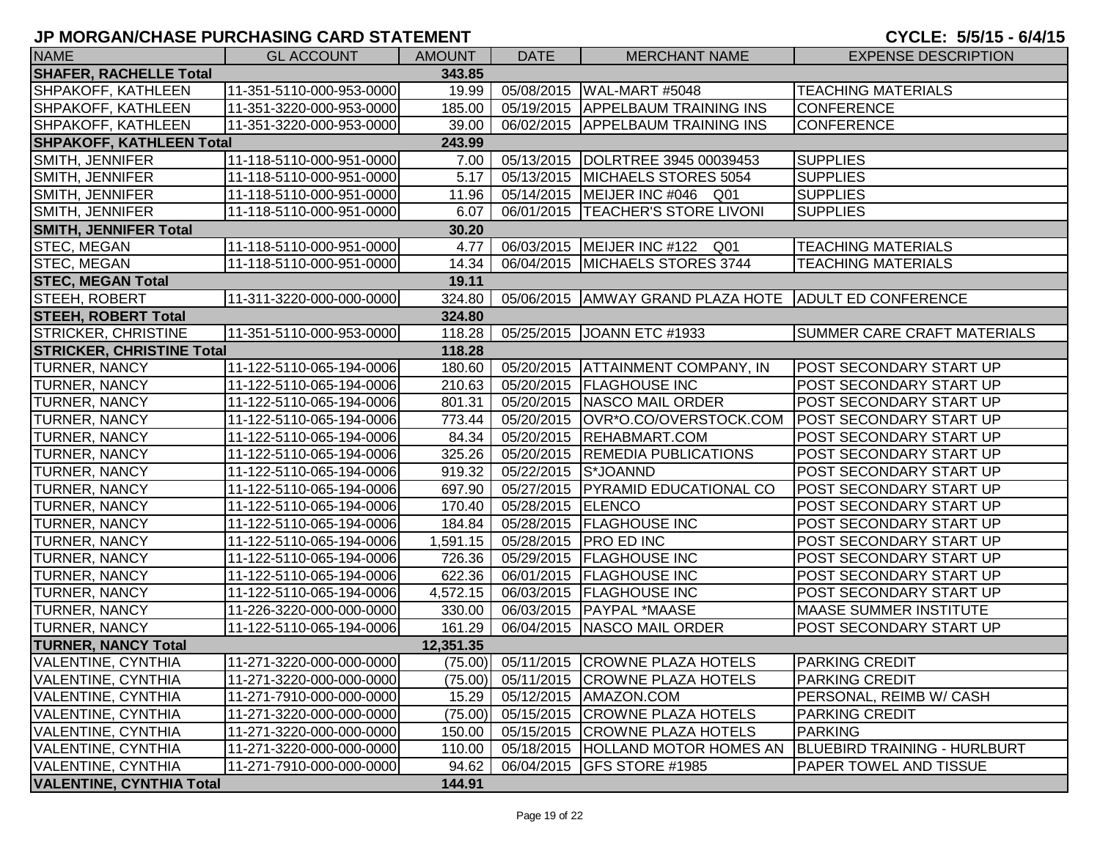| <b>NAME</b>                      | <b>GL ACCOUNT</b>        | <b>AMOUNT</b> | <b>DATE</b> | <b>MERCHANT NAME</b>                       | <b>EXPENSE DESCRIPTION</b>          |
|----------------------------------|--------------------------|---------------|-------------|--------------------------------------------|-------------------------------------|
| <b>SHAFER, RACHELLE Total</b>    |                          | 343.85        |             |                                            |                                     |
| SHPAKOFF, KATHLEEN               | 11-351-5110-000-953-0000 | 19.99         | 05/08/2015  | WAL-MART #5048                             | <b>TEACHING MATERIALS</b>           |
| SHPAKOFF, KATHLEEN               | 11-351-3220-000-953-0000 | 185.00        |             | 05/19/2015   APPELBAUM TRAINING INS        | <b>CONFERENCE</b>                   |
| SHPAKOFF, KATHLEEN               | 11-351-3220-000-953-0000 | 39.00         |             | 06/02/2015 APPELBAUM TRAINING INS          | <b>CONFERENCE</b>                   |
| <b>SHPAKOFF, KATHLEEN Total</b>  |                          | 243.99        |             |                                            |                                     |
| SMITH, JENNIFER                  | 11-118-5110-000-951-0000 | 7.00          | 05/13/2015  | DOLRTREE 3945 00039453                     | <b>SUPPLIES</b>                     |
| SMITH, JENNIFER                  | 11-118-5110-000-951-0000 | 5.17          | 05/13/2015  | MICHAELS STORES 5054                       | <b>SUPPLIES</b>                     |
| SMITH, JENNIFER                  | 11-118-5110-000-951-0000 | 11.96         | 05/14/2015  | MEIJER INC #046 Q01                        | <b>SUPPLIES</b>                     |
| SMITH, JENNIFER                  | 11-118-5110-000-951-0000 | 6.07          | 06/01/2015  | <b>TEACHER'S STORE LIVONI</b>              | <b>SUPPLIES</b>                     |
| <b>SMITH, JENNIFER Total</b>     |                          | 30.20         |             |                                            |                                     |
| <b>STEC, MEGAN</b>               | 11-118-5110-000-951-0000 | 4.77          | 06/03/2015  | MEIJER INC #122 Q01                        | <b>TEACHING MATERIALS</b>           |
| <b>STEC, MEGAN</b>               | 11-118-5110-000-951-0000 | 14.34         |             | 06/04/2015   MICHAELS STORES 3744          | <b>TEACHING MATERIALS</b>           |
| <b>STEC, MEGAN Total</b>         |                          | 19.11         |             |                                            |                                     |
| STEEH, ROBERT                    | 11-311-3220-000-000-0000 | 324.80        | 05/06/2015  | AMWAY GRAND PLAZA HOTE ADULT ED CONFERENCE |                                     |
| <b>STEEH, ROBERT Total</b>       |                          | 324.80        |             |                                            |                                     |
| <b>STRICKER, CHRISTINE</b>       | 11-351-5110-000-953-0000 | 118.28        |             | 05/25/2015 JOANN ETC #1933                 | <b>SUMMER CARE CRAFT MATERIALS</b>  |
| <b>STRICKER, CHRISTINE Total</b> |                          | 118.28        |             |                                            |                                     |
| <b>TURNER, NANCY</b>             | 11-122-5110-065-194-0006 | 180.60        |             | 05/20/2015   ATTAINMENT COMPANY, IN        | POST SECONDARY START UP             |
| <b>TURNER, NANCY</b>             | 11-122-5110-065-194-0006 | 210.63        | 05/20/2015  | <b>FLAGHOUSE INC</b>                       | POST SECONDARY START UP             |
| <b>TURNER, NANCY</b>             | 11-122-5110-065-194-0006 | 801.31        | 05/20/2015  | NASCO MAIL ORDER                           | POST SECONDARY START UP             |
| <b>TURNER, NANCY</b>             | 11-122-5110-065-194-0006 | 773.44        | 05/20/2015  | OVR*O.CO/OVERSTOCK.COM                     | POST SECONDARY START UP             |
| <b>TURNER, NANCY</b>             | 11-122-5110-065-194-0006 | 84.34         | 05/20/2015  | REHABMART.COM                              | POST SECONDARY START UP             |
| <b>TURNER, NANCY</b>             | 11-122-5110-065-194-0006 | 325.26        | 05/20/2015  | <b>REMEDIA PUBLICATIONS</b>                | POST SECONDARY START UP             |
| <b>TURNER, NANCY</b>             | 11-122-5110-065-194-0006 | 919.32        | 05/22/2015  | S*JOANND                                   | POST SECONDARY START UP             |
| <b>TURNER, NANCY</b>             | 11-122-5110-065-194-0006 | 697.90        | 05/27/2015  | <b>PYRAMID EDUCATIONAL CO</b>              | POST SECONDARY START UP             |
| <b>TURNER, NANCY</b>             | 11-122-5110-065-194-0006 | 170.40        | 05/28/2015  | <b>ELENCO</b>                              | POST SECONDARY START UP             |
| <b>TURNER, NANCY</b>             | 11-122-5110-065-194-0006 | 184.84        | 05/28/2015  | <b>FLAGHOUSE INC</b>                       | POST SECONDARY START UP             |
| <b>TURNER, NANCY</b>             | 11-122-5110-065-194-0006 | 1,591.15      | 05/28/2015  | <b>PRO ED INC</b>                          | POST SECONDARY START UP             |
| <b>TURNER, NANCY</b>             | 11-122-5110-065-194-0006 | 726.36        | 05/29/2015  | <b>FLAGHOUSE INC</b>                       | POST SECONDARY START UP             |
| <b>TURNER, NANCY</b>             | 11-122-5110-065-194-0006 | 622.36        | 06/01/2015  | <b>FLAGHOUSE INC</b>                       | POST SECONDARY START UP             |
| <b>TURNER, NANCY</b>             | 11-122-5110-065-194-0006 | 4,572.15      | 06/03/2015  | <b>FLAGHOUSE INC</b>                       | POST SECONDARY START UP             |
| <b>TURNER, NANCY</b>             | 11-226-3220-000-000-0000 | 330.00        | 06/03/2015  | <b>PAYPAL *MAASE</b>                       | <b>MAASE SUMMER INSTITUTE</b>       |
| <b>TURNER, NANCY</b>             | 11-122-5110-065-194-0006 | 161.29        | 06/04/2015  | NASCO MAIL ORDER                           | POST SECONDARY START UP             |
| <b>TURNER, NANCY Total</b>       |                          | 12,351.35     |             |                                            |                                     |
| VALENTINE, CYNTHIA               | 11-271-3220-000-000-0000 |               |             | (75.00) 05/11/2015 CROWNE PLAZA HOTELS     | <b>PARKING CREDIT</b>               |
| <b>VALENTINE, CYNTHIA</b>        | 11-271-3220-000-000-0000 |               |             | (75.00) 05/11/2015 CROWNE PLAZA HOTELS     | <b>PARKING CREDIT</b>               |
| <b>VALENTINE, CYNTHIA</b>        | 11-271-7910-000-000-0000 | 15.29         | 05/12/2015  | AMAZON.COM                                 | PERSONAL, REIMB W/ CASH             |
| VALENTINE, CYNTHIA               | 11-271-3220-000-000-0000 | (75.00)       | 05/15/2015  | <b>CROWNE PLAZA HOTELS</b>                 | <b>PARKING CREDIT</b>               |
| <b>VALENTINE, CYNTHIA</b>        | 11-271-3220-000-000-0000 | 150.00        | 05/15/2015  | <b>CROWNE PLAZA HOTELS</b>                 | <b>PARKING</b>                      |
| <b>VALENTINE, CYNTHIA</b>        | 11-271-3220-000-000-0000 | 110.00        | 05/18/2015  | <b>HOLLAND MOTOR HOMES AN</b>              | <b>BLUEBIRD TRAINING - HURLBURT</b> |
| <b>VALENTINE, CYNTHIA</b>        | 11-271-7910-000-000-0000 | 94.62         | 06/04/2015  | <b>GFS STORE #1985</b>                     | PAPER TOWEL AND TISSUE              |
| <b>VALENTINE, CYNTHIA Total</b>  |                          | 144.91        |             |                                            |                                     |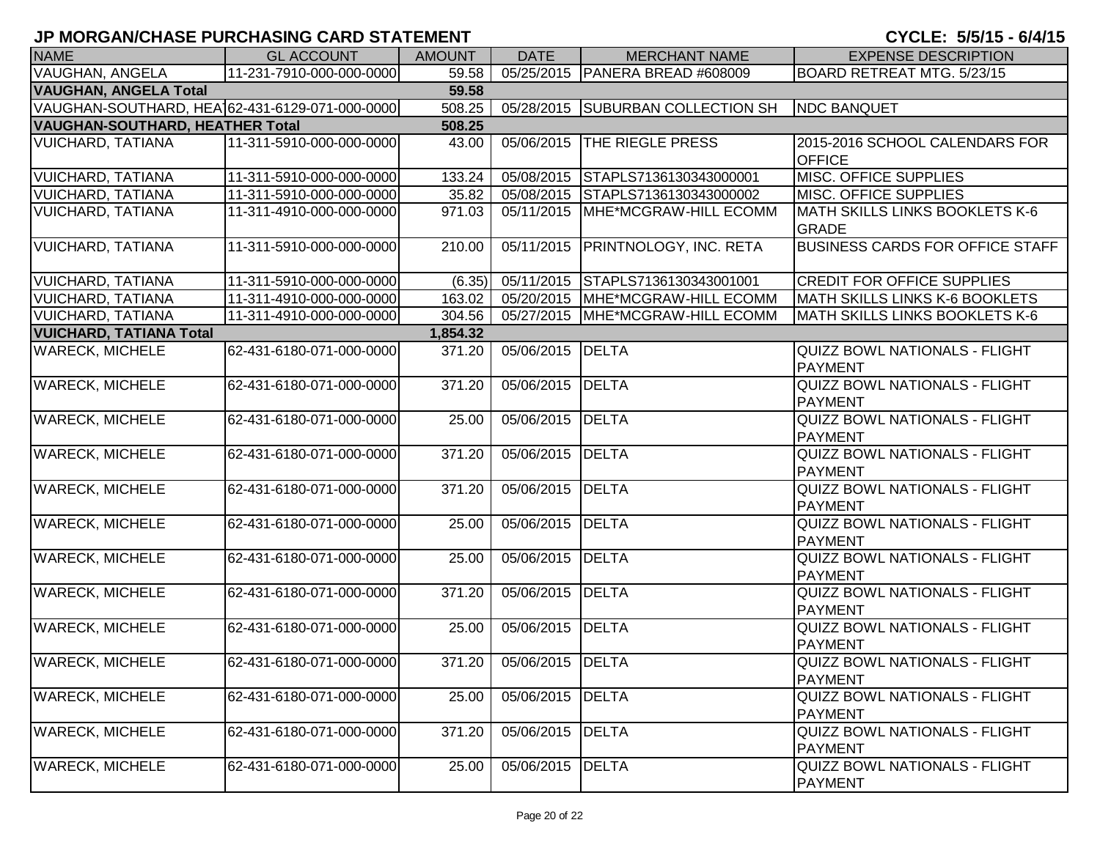| <b>NAME</b>                                    | <b>GL ACCOUNT</b>        | <b>AMOUNT</b> | <b>DATE</b>             | <b>MERCHANT NAME</b>              | <b>EXPENSE DESCRIPTION</b>                             |
|------------------------------------------------|--------------------------|---------------|-------------------------|-----------------------------------|--------------------------------------------------------|
| <b>VAUGHAN, ANGELA</b>                         | 11-231-7910-000-000-0000 | 59.58         |                         | 05/25/2015 PANERA BREAD #608009   | BOARD RETREAT MTG. 5/23/15                             |
| <b>VAUGHAN, ANGELA Total</b>                   |                          | 59.58         |                         |                                   |                                                        |
| VAUGHAN-SOUTHARD, HEA162-431-6129-071-000-0000 |                          | 508.25        | 05/28/2015              | <b>SUBURBAN COLLECTION SH</b>     | <b>NDC BANQUET</b>                                     |
| <b>VAUGHAN-SOUTHARD, HEATHER Total</b>         |                          | 508.25        |                         |                                   |                                                        |
| <b>VUICHARD, TATIANA</b>                       | 11-311-5910-000-000-0000 | 43.00         | 05/06/2015              | <b>THE RIEGLE PRESS</b>           | 2015-2016 SCHOOL CALENDARS FOR<br><b>OFFICE</b>        |
| <b>VUICHARD, TATIANA</b>                       | 11-311-5910-000-000-0000 | 133.24        | 05/08/2015              | STAPLS7136130343000001            | MISC. OFFICE SUPPLIES                                  |
| <b>VUICHARD, TATIANA</b>                       | 11-311-5910-000-000-0000 | 35.82         | 05/08/2015              | STAPLS7136130343000002            | MISC. OFFICE SUPPLIES                                  |
| VUICHARD, TATIANA                              | 11-311-4910-000-000-0000 | 971.03        | 05/11/2015              | <b>IMHE*MCGRAW-HILL ECOMM</b>     | MATH SKILLS LINKS BOOKLETS K-6<br><b>GRADE</b>         |
| <b>VUICHARD, TATIANA</b>                       | 11-311-5910-000-000-0000 | 210.00        | 05/11/2015              | <b>PRINTNOLOGY, INC. RETA</b>     | <b>BUSINESS CARDS FOR OFFICE STAFF</b>                 |
| <b>VUICHARD, TATIANA</b>                       | 11-311-5910-000-000-0000 | (6.35)        |                         | 05/11/2015 STAPLS7136130343001001 | <b>CREDIT FOR OFFICE SUPPLIES</b>                      |
| <b>VUICHARD, TATIANA</b>                       | 11-311-4910-000-000-0000 | 163.02        |                         | 05/20/2015 MHE*MCGRAW-HILL ECOMM  | MATH SKILLS LINKS K-6 BOOKLETS                         |
| <b>VUICHARD, TATIANA</b>                       | 11-311-4910-000-000-0000 | 304.56        |                         | 05/27/2015 MHE*MCGRAW-HILL ECOMM  | <b>MATH SKILLS LINKS BOOKLETS K-6</b>                  |
| <b>VUICHARD, TATIANA Total</b>                 |                          | 1,854.32      |                         |                                   |                                                        |
| <b>WARECK, MICHELE</b>                         | 62-431-6180-071-000-0000 | 371.20        | 05/06/2015 DELTA        |                                   | QUIZZ BOWL NATIONALS - FLIGHT<br><b>PAYMENT</b>        |
| <b>WARECK, MICHELE</b>                         | 62-431-6180-071-000-0000 | 371.20        | 05/06/2015              | DELTA                             | <b>QUIZZ BOWL NATIONALS - FLIGHT</b><br>PAYMENT        |
| <b>WARECK, MICHELE</b>                         | 62-431-6180-071-000-0000 | 25.00         | 05/06/2015              | <b>DELTA</b>                      | <b>QUIZZ BOWL NATIONALS - FLIGHT</b><br>PAYMENT        |
| <b>WARECK, MICHELE</b>                         | 62-431-6180-071-000-0000 | 371.20        | 05/06/2015              | <b>DELTA</b>                      | <b>QUIZZ BOWL NATIONALS - FLIGHT</b><br>PAYMENT        |
| <b>WARECK, MICHELE</b>                         | 62-431-6180-071-000-0000 | 371.20        | 05/06/2015              | DELTA                             | <b>QUIZZ BOWL NATIONALS - FLIGHT</b><br>PAYMENT        |
| <b>WARECK, MICHELE</b>                         | 62-431-6180-071-000-0000 | 25.00         | 05/06/2015              | DELTA                             | <b>QUIZZ BOWL NATIONALS - FLIGHT</b><br>PAYMENT        |
| <b>WARECK, MICHELE</b>                         | 62-431-6180-071-000-0000 | 25.00         | 05/06/2015              | DELTA                             | <b>QUIZZ BOWL NATIONALS - FLIGHT</b><br><b>PAYMENT</b> |
| <b>WARECK, MICHELE</b>                         | 62-431-6180-071-000-0000 | 371.20        | 05/06/2015              | <b>DELTA</b>                      | <b>QUIZZ BOWL NATIONALS - FLIGHT</b><br>PAYMENT        |
| <b>WARECK, MICHELE</b>                         | 62-431-6180-071-000-0000 | 25.00         | 05/06/2015              | DELTA                             | <b>QUIZZ BOWL NATIONALS - FLIGHT</b><br>PAYMENT        |
| <b>WARECK, MICHELE</b>                         | 62-431-6180-071-000-0000 |               | 371.20 05/06/2015 DELTA |                                   | QUIZZ BOWL NATIONALS - FLIGHT<br>PAYMENT               |
| <b>WARECK, MICHELE</b>                         | 62-431-6180-071-000-0000 | 25.00         | 05/06/2015              | <b>DELTA</b>                      | <b>QUIZZ BOWL NATIONALS - FLIGHT</b><br>PAYMENT        |
| <b>WARECK, MICHELE</b>                         | 62-431-6180-071-000-0000 | 371.20        | 05/06/2015              | <b>DELTA</b>                      | <b>QUIZZ BOWL NATIONALS - FLIGHT</b><br>PAYMENT        |
| <b>WARECK, MICHELE</b>                         | 62-431-6180-071-000-0000 | 25.00         | 05/06/2015 DELTA        |                                   | QUIZZ BOWL NATIONALS - FLIGHT<br>PAYMENT               |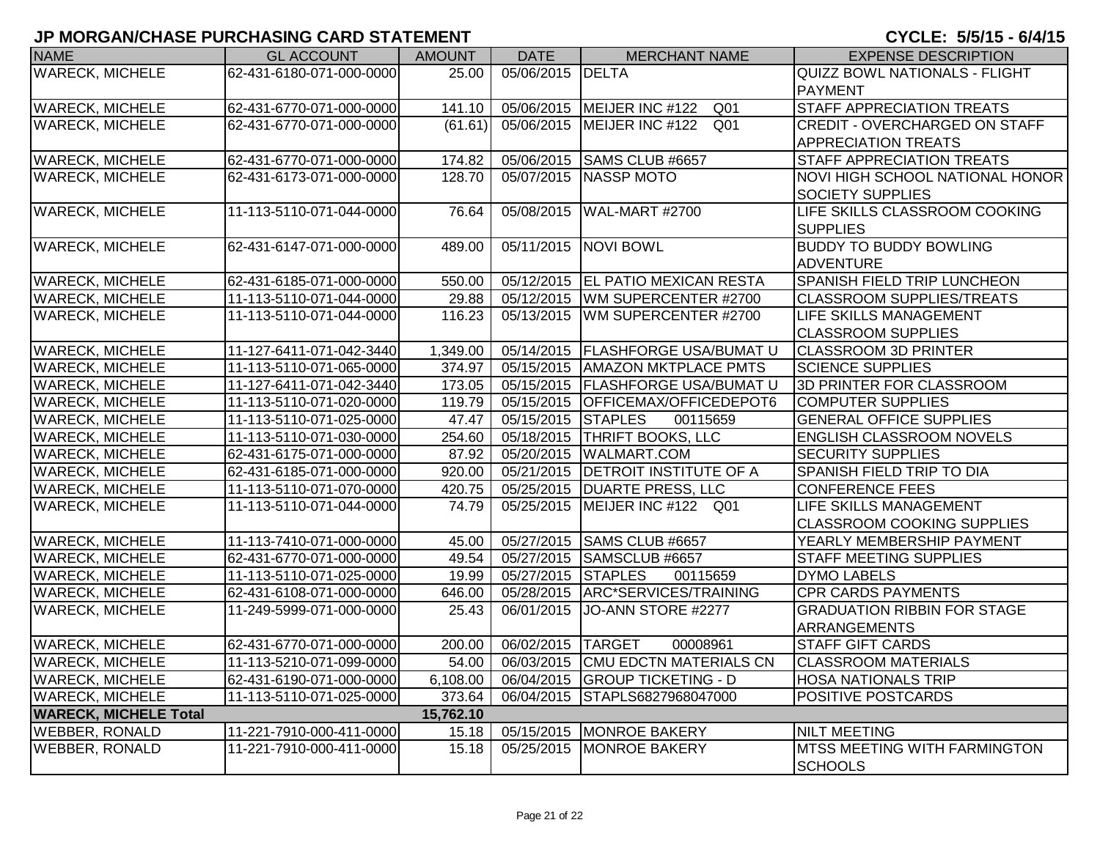| <b>NAME</b>                  | <b>GL ACCOUNT</b>        | <b>AMOUNT</b> | <b>DATE</b>        | <b>MERCHANT NAME</b>                            | <b>EXPENSE DESCRIPTION</b>                            |
|------------------------------|--------------------------|---------------|--------------------|-------------------------------------------------|-------------------------------------------------------|
| <b>WARECK, MICHELE</b>       | 62-431-6180-071-000-0000 | 25.00         | 05/06/2015 DELTA   |                                                 | <b>QUIZZ BOWL NATIONALS - FLIGHT</b>                  |
|                              |                          |               |                    |                                                 | <b>PAYMENT</b>                                        |
| <b>WARECK, MICHELE</b>       | 62-431-6770-071-000-0000 | 141.10        |                    | 05/06/2015   MEIJER INC #122<br>Q <sub>01</sub> | <b>STAFF APPRECIATION TREATS</b>                      |
| <b>WARECK, MICHELE</b>       | 62-431-6770-071-000-0000 | (61.61)       |                    | 05/06/2015   MEIJER INC #122<br>Q01             | <b>CREDIT - OVERCHARGED ON STAFF</b>                  |
|                              |                          |               |                    |                                                 | <b>APPRECIATION TREATS</b>                            |
| <b>WARECK, MICHELE</b>       | 62-431-6770-071-000-0000 | 174.82        | 05/06/2015         | SAMS CLUB #6657                                 | <b>STAFF APPRECIATION TREATS</b>                      |
| <b>WARECK, MICHELE</b>       | 62-431-6173-071-000-0000 | 128.70        |                    | 05/07/2015 NASSP MOTO                           | NOVI HIGH SCHOOL NATIONAL HONOR                       |
|                              |                          |               |                    |                                                 | <b>SOCIETY SUPPLIES</b>                               |
| <b>WARECK, MICHELE</b>       | 11-113-5110-071-044-0000 | 76.64         | 05/08/2015         | WAL-MART #2700                                  | LIFE SKILLS CLASSROOM COOKING                         |
|                              |                          |               |                    |                                                 | <b>SUPPLIES</b>                                       |
| <b>WARECK, MICHELE</b>       | 62-431-6147-071-000-0000 | 489.00        |                    | 05/11/2015 NOVI BOWL                            | <b>BUDDY TO BUDDY BOWLING</b>                         |
|                              |                          |               |                    |                                                 | <b>ADVENTURE</b>                                      |
| <b>WARECK, MICHELE</b>       | 62-431-6185-071-000-0000 | 550.00        |                    | 05/12/2015   EL PATIO MEXICAN RESTA             | <b>SPANISH FIELD TRIP LUNCHEON</b>                    |
| <b>WARECK, MICHELE</b>       | 11-113-5110-071-044-0000 | 29.88         |                    | 05/12/2015   WM SUPERCENTER #2700               | <b>CLASSROOM SUPPLIES/TREATS</b>                      |
| <b>WARECK, MICHELE</b>       | 11-113-5110-071-044-0000 | 116.23        |                    | 05/13/2015   WM SUPERCENTER #2700               | <b>LIFE SKILLS MANAGEMENT</b>                         |
|                              |                          |               |                    |                                                 | <b>CLASSROOM SUPPLIES</b>                             |
| <b>WARECK, MICHELE</b>       | 11-127-6411-071-042-3440 | 1,349.00      |                    | 05/14/2015   FLASHFORGE USA/BUMAT U             | <b>CLASSROOM 3D PRINTER</b>                           |
| <b>WARECK, MICHELE</b>       | 11-113-5110-071-065-0000 | 374.97        |                    | 05/15/2015   AMAZON MKTPLACE PMTS               | <b>SCIENCE SUPPLIES</b>                               |
| <b>WARECK, MICHELE</b>       | 11-127-6411-071-042-3440 | 173.05        |                    | 05/15/2015   FLASHFORGE USA/BUMAT U             | 3D PRINTER FOR CLASSROOM                              |
| <b>WARECK, MICHELE</b>       | 11-113-5110-071-020-0000 | 119.79        |                    | 05/15/2015 OFFICEMAX/OFFICEDEPOT6               | <b>COMPUTER SUPPLIES</b>                              |
| <b>WARECK, MICHELE</b>       | 11-113-5110-071-025-0000 | 47.47         | 05/15/2015 STAPLES | 00115659                                        | <b>GENERAL OFFICE SUPPLIES</b>                        |
| <b>WARECK, MICHELE</b>       | 11-113-5110-071-030-0000 | 254.60        |                    | 05/18/2015   THRIFT BOOKS, LLC                  | <b>ENGLISH CLASSROOM NOVELS</b>                       |
| <b>WARECK, MICHELE</b>       | 62-431-6175-071-000-0000 | 87.92         | 05/20/2015         | <b>WALMART.COM</b>                              | <b>SECURITY SUPPLIES</b>                              |
| <b>WARECK, MICHELE</b>       | 62-431-6185-071-000-0000 | 920.00        |                    | 05/21/2015   DETROIT INSTITUTE OF A             | SPANISH FIELD TRIP TO DIA                             |
| <b>WARECK, MICHELE</b>       | 11-113-5110-071-070-0000 | 420.75        |                    | 05/25/2015   DUARTE PRESS, LLC                  | <b>CONFERENCE FEES</b>                                |
| <b>WARECK, MICHELE</b>       | 11-113-5110-071-044-0000 | 74.79         |                    | 05/25/2015   MEIJER INC #122 Q01                | LIFE SKILLS MANAGEMENT                                |
|                              |                          |               |                    |                                                 | <b>CLASSROOM COOKING SUPPLIES</b>                     |
| <b>WARECK, MICHELE</b>       | 11-113-7410-071-000-0000 | 45.00         |                    | 05/27/2015 SAMS CLUB #6657                      | YEARLY MEMBERSHIP PAYMENT                             |
| <b>WARECK, MICHELE</b>       | 62-431-6770-071-000-0000 | 49.54         |                    | 05/27/2015 SAMSCLUB #6657                       | <b>STAFF MEETING SUPPLIES</b>                         |
| <b>WARECK, MICHELE</b>       | 11-113-5110-071-025-0000 | 19.99         | 05/27/2015 STAPLES | 00115659                                        | <b>DYMO LABELS</b>                                    |
| <b>WARECK, MICHELE</b>       | 62-431-6108-071-000-0000 | 646.00        |                    | 05/28/2015 ARC*SERVICES/TRAINING                | <b>CPR CARDS PAYMENTS</b>                             |
| <b>WARECK, MICHELE</b>       | 11-249-5999-071-000-0000 | 25.43         | 06/01/2015         | JO-ANN STORE #2277                              | <b>GRADUATION RIBBIN FOR STAGE</b>                    |
|                              |                          |               |                    |                                                 | <b>ARRANGEMENTS</b>                                   |
| <b>WARECK, MICHELE</b>       | 62-431-6770-071-000-0000 | 200.00        | 06/02/2015 TARGET  | 00008961                                        | <b>STAFF GIFT CARDS</b>                               |
| <b>WARECK, MICHELE</b>       | 11-113-5210-071-099-0000 | 54.00         |                    | 06/03/2015 CMU EDCTN MATERIALS CN               | <b>CLASSROOM MATERIALS</b>                            |
| <b>WARECK, MICHELE</b>       | 62-431-6190-071-000-0000 | 6,108.00      |                    | 06/04/2015 GROUP TICKETING - D                  | <b>HOSA NATIONALS TRIP</b>                            |
| <b>WARECK, MICHELE</b>       | 11-113-5110-071-025-0000 | 373.64        |                    | 06/04/2015 STAPLS6827968047000                  | <b>POSITIVE POSTCARDS</b>                             |
| <b>WARECK, MICHELE Total</b> |                          | 15,762.10     |                    |                                                 |                                                       |
| <b>WEBBER, RONALD</b>        | 11-221-7910-000-411-0000 | 15.18         | 05/15/2015         | <b>MONROE BAKERY</b>                            | <b>NILT MEETING</b>                                   |
| <b>WEBBER, RONALD</b>        | 11-221-7910-000-411-0000 | 15.18         | 05/25/2015         | <b>MONROE BAKERY</b>                            | <b>MTSS MEETING WITH FARMINGTON</b><br><b>SCHOOLS</b> |